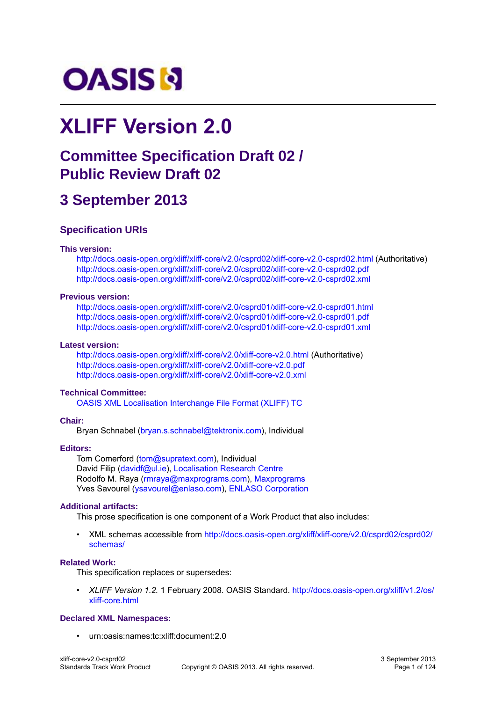# **OASIS N**

# **XLIFF Version 2.0**

# **Committee Specification Draft 02 / Public Review Draft 02**

# **3 September 2013**

#### **Specification URIs**

#### **This version:**

<http://docs.oasis-open.org/xliff/xliff-core/v2.0/csprd02/xliff-core-v2.0-csprd02.html> (Authoritative) <http://docs.oasis-open.org/xliff/xliff-core/v2.0/csprd02/xliff-core-v2.0-csprd02.pdf> <http://docs.oasis-open.org/xliff/xliff-core/v2.0/csprd02/xliff-core-v2.0-csprd02.xml>

#### **Previous version:**

<http://docs.oasis-open.org/xliff/xliff-core/v2.0/csprd01/xliff-core-v2.0-csprd01.html> <http://docs.oasis-open.org/xliff/xliff-core/v2.0/csprd01/xliff-core-v2.0-csprd01.pdf> <http://docs.oasis-open.org/xliff/xliff-core/v2.0/csprd01/xliff-core-v2.0-csprd01.xml>

#### **Latest version:**

<http://docs.oasis-open.org/xliff/xliff-core/v2.0/xliff-core-v2.0.html>(Authoritative) <http://docs.oasis-open.org/xliff/xliff-core/v2.0/xliff-core-v2.0.pdf> <http://docs.oasis-open.org/xliff/xliff-core/v2.0/xliff-core-v2.0.xml>

#### **Technical Committee:**

[OASIS XML Localisation Interchange File Format \(XLIFF\) TC](http://www.oasis-open.org/committees/xliff/)

#### **Chair:**

Bryan Schnabel ([bryan.s.schnabel@tektronix.com\)](mailto:bryan.s.schnabel@tektronix.com), Individual

#### **Editors:**

Tom Comerford ([tom@supratext.com\)](mailto:tom@supratext.com), Individual David Filip ([davidf@ul.ie\)](mailto:davidf@ul.ie), [Localisation Research Centre](http://www.localisation.ie/) Rodolfo M. Raya ([rmraya@maxprograms.com\)](mailto:rmraya@maxprograms.com), [Maxprograms](http://maxprograms.com) Yves Savourel ([ysavourel@enlaso.com](mailto:ysavourel@enlaso.com)), [ENLASO Corporation](http://www.enlaso.com/)

#### **Additional artifacts:**

This prose specification is one component of a Work Product that also includes:

• XML schemas accessible from [http://docs.oasis-open.org/xliff/xliff-core/v2.0/csprd02/csprd02/](http://docs.oasis-open.org/xliff/xliff-core/v2.0/csprd02/csprd02/schemas/) [schemas/](http://docs.oasis-open.org/xliff/xliff-core/v2.0/csprd02/csprd02/schemas/)

#### **Related Work:**

This specification replaces or supersedes:

• *XLIFF Version 1.2.* 1 February 2008. OASIS Standard. [http://docs.oasis-open.org/xliff/v1.2/os/](http://docs.oasis-open.org/xliff/v1.2/os/xliff-core.html) [xliff-core.html](http://docs.oasis-open.org/xliff/v1.2/os/xliff-core.html)

#### **Declared XML Namespaces:**

• urn:oasis:names:tc:xliff:document:2.0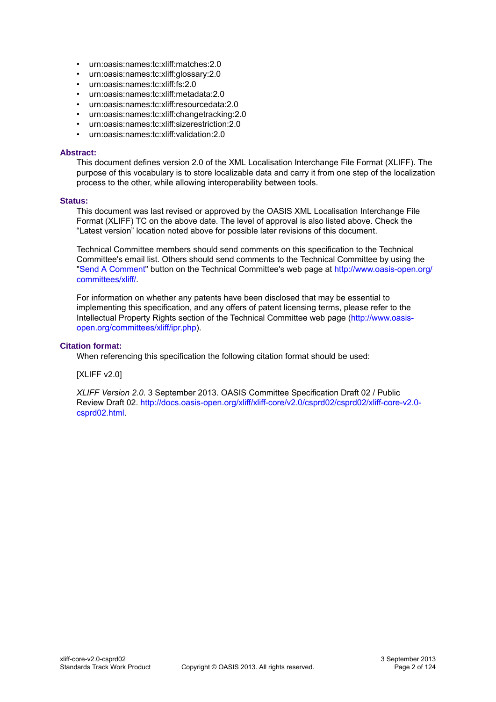- urn:oasis:names:tc:xliff:matches:2.0
- urn:oasis:names:tc:xliff:glossary:2.0
- urn:oasis:names:tc:xliff:fs:2.0
- urn:oasis:names:tc:xliff:metadata:2.0
- urn:oasis:names:tc:xliff:resourcedata:2.0
- urn:oasis:names:tc:xliff:changetracking:2.0
- urn:oasis:names:tc:xliff:sizerestriction:2.0
- urn:oasis:names:tc:xliff:validation:2.0

#### **Abstract:**

This document defines version 2.0 of the XML Localisation Interchange File Format (XLIFF). The purpose of this vocabulary is to store localizable data and carry it from one step of the localization process to the other, while allowing interoperability between tools.

#### **Status:**

This document was last revised or approved by the OASIS XML Localisation Interchange File Format (XLIFF) TC on the above date. The level of approval is also listed above. Check the "Latest version" location noted above for possible later revisions of this document.

Technical Committee members should send comments on this specification to the Technical Committee's email list. Others should send comments to the Technical Committee by using the "[Send A Comment](http://www.oasis-open.org/committees/comments/index.php?wg_abbrev=xliff)" button on the Technical Committee's web page at [http://www.oasis-open.org/](http://www.oasis-open.org/committees/xliff/) [committees/xliff/](http://www.oasis-open.org/committees/xliff/).

For information on whether any patents have been disclosed that may be essential to implementing this specification, and any offers of patent licensing terms, please refer to the Intellectual Property Rights section of the Technical Committee web page [\(http://www.oasis](http://www.oasis-open.org/committees/xliff/ipr.php)[open.org/committees/xliff/ipr.php\)](http://www.oasis-open.org/committees/xliff/ipr.php).

#### **Citation format:**

When referencing this specification the following citation format should be used:

#### [XLIFF v2.0]

*XLIFF Version 2.0*. 3 September 2013. OASIS Committee Specification Draft 02 / Public Review Draft 02. [http://docs.oasis-open.org/xliff/xliff-core/v2.0/csprd02/csprd02/xliff-core-v2.0](http://docs.oasis-open.org/xliff/xliff-core/v2.0/csprd02/csprd02/xliff-core-v2.0-csprd02.html) [csprd02.html](http://docs.oasis-open.org/xliff/xliff-core/v2.0/csprd02/csprd02/xliff-core-v2.0-csprd02.html).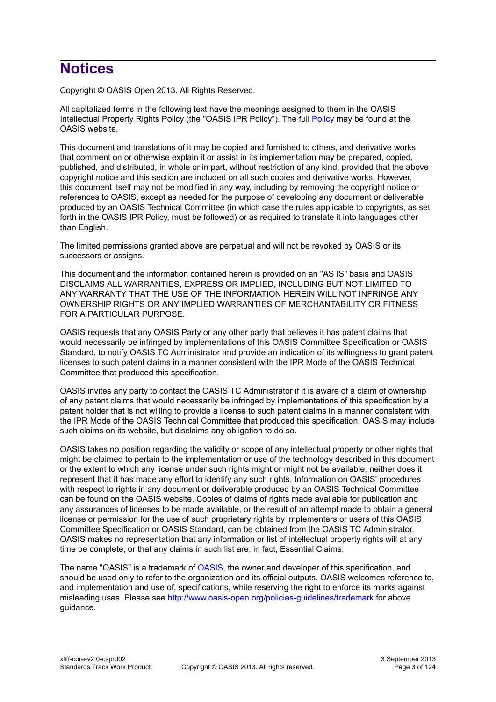# **Notices**

Copyright © OASIS Open 2013. All Rights Reserved.

All capitalized terms in the following text have the meanings assigned to them in the OASIS Intellectual Property Rights Policy (the "OASIS IPR Policy"). The full [Policy](http://www.oasis-open.org/policies-guidelines/ipr) may be found at the OASIS website.

This document and translations of it may be copied and furnished to others, and derivative works that comment on or otherwise explain it or assist in its implementation may be prepared, copied, published, and distributed, in whole or in part, without restriction of any kind, provided that the above copyright notice and this section are included on all such copies and derivative works. However, this document itself may not be modified in any way, including by removing the copyright notice or references to OASIS, except as needed for the purpose of developing any document or deliverable produced by an OASIS Technical Committee (in which case the rules applicable to copyrights, as set forth in the OASIS IPR Policy, must be followed) or as required to translate it into languages other than English.

The limited permissions granted above are perpetual and will not be revoked by OASIS or its successors or assigns.

This document and the information contained herein is provided on an "AS IS" basis and OASIS DISCLAIMS ALL WARRANTIES, EXPRESS OR IMPLIED, INCLUDING BUT NOT LIMITED TO ANY WARRANTY THAT THE USE OF THE INFORMATION HEREIN WILL NOT INFRINGE ANY OWNERSHIP RIGHTS OR ANY IMPLIED WARRANTIES OF MERCHANTABILITY OR FITNESS FOR A PARTICULAR PURPOSE.

OASIS requests that any OASIS Party or any other party that believes it has patent claims that would necessarily be infringed by implementations of this OASIS Committee Specification or OASIS Standard, to notify OASIS TC Administrator and provide an indication of its willingness to grant patent licenses to such patent claims in a manner consistent with the IPR Mode of the OASIS Technical Committee that produced this specification.

OASIS invites any party to contact the OASIS TC Administrator if it is aware of a claim of ownership of any patent claims that would necessarily be infringed by implementations of this specification by a patent holder that is not willing to provide a license to such patent claims in a manner consistent with the IPR Mode of the OASIS Technical Committee that produced this specification. OASIS may include such claims on its website, but disclaims any obligation to do so.

OASIS takes no position regarding the validity or scope of any intellectual property or other rights that might be claimed to pertain to the implementation or use of the technology described in this document or the extent to which any license under such rights might or might not be available; neither does it represent that it has made any effort to identify any such rights. Information on OASIS' procedures with respect to rights in any document or deliverable produced by an OASIS Technical Committee can be found on the OASIS website. Copies of claims of rights made available for publication and any assurances of licenses to be made available, or the result of an attempt made to obtain a general license or permission for the use of such proprietary rights by implementers or users of this OASIS Committee Specification or OASIS Standard, can be obtained from the OASIS TC Administrator. OASIS makes no representation that any information or list of intellectual property rights will at any time be complete, or that any claims in such list are, in fact, Essential Claims.

The name "OASIS" is a trademark of [OASIS,](http://www.oasis-open.org) the owner and developer of this specification, and should be used only to refer to the organization and its official outputs. OASIS welcomes reference to, and implementation and use of, specifications, while reserving the right to enforce its marks against misleading uses. Please see<http://www.oasis-open.org/policies-guidelines/trademark>for above guidance.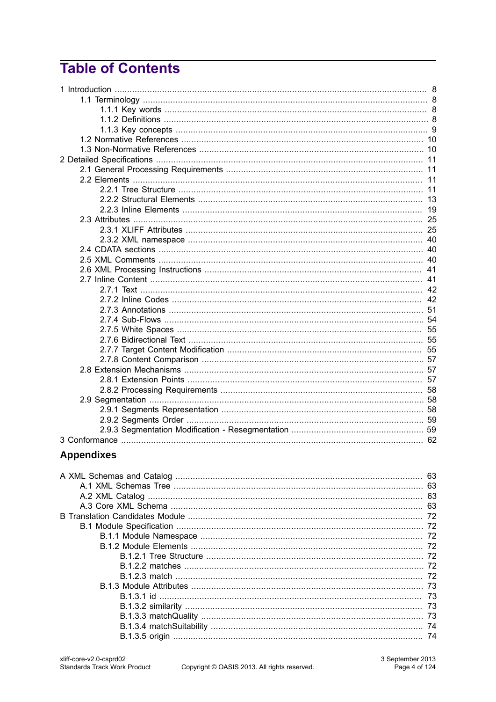# **Table of Contents**

| 40 |
|----|
| 40 |
| 40 |
| 41 |
|    |
|    |
|    |
|    |
|    |
|    |
|    |
|    |
|    |
|    |
|    |
|    |
|    |
|    |
|    |
|    |
|    |

# **Appendixes**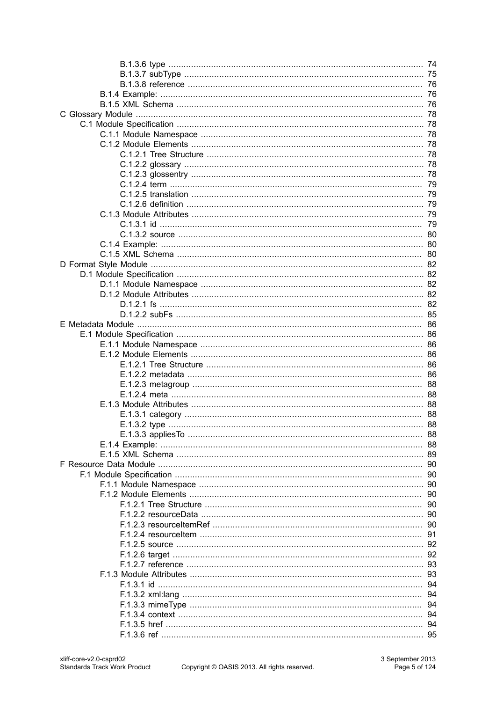| 76 |
|----|
|    |
|    |
|    |
|    |
|    |
|    |
|    |
|    |
| 79 |
|    |
|    |
|    |
| 79 |
| 80 |
| 80 |
| 80 |
|    |
|    |
|    |
|    |
|    |
| 82 |
|    |
| 86 |
|    |
| 86 |
| 86 |
|    |
| 86 |
|    |
|    |
| 88 |
|    |
|    |
| 88 |
| 88 |
| 89 |
| 90 |
| 90 |
| 90 |
| 90 |
| 90 |
| 90 |
| 90 |
| 91 |
| 92 |
| 92 |
| 93 |
| 93 |
| 94 |
| 94 |
| 94 |
| 94 |
| 94 |
| 95 |
|    |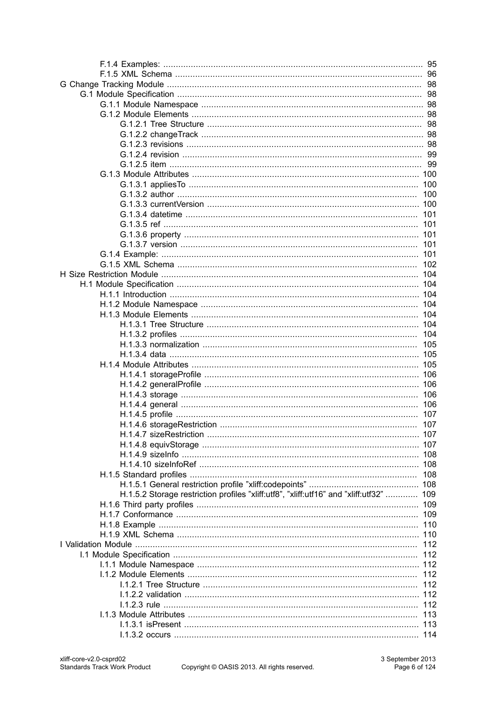|                                                                                    | 98         |
|------------------------------------------------------------------------------------|------------|
|                                                                                    | 98         |
|                                                                                    | 98         |
|                                                                                    | 98         |
|                                                                                    | 98         |
|                                                                                    |            |
|                                                                                    |            |
|                                                                                    | -99        |
|                                                                                    | 99         |
|                                                                                    |            |
|                                                                                    | 100        |
|                                                                                    | 100        |
|                                                                                    | 100        |
|                                                                                    | 101        |
|                                                                                    | 101        |
|                                                                                    | 101        |
|                                                                                    | 101        |
|                                                                                    |            |
|                                                                                    | 101        |
|                                                                                    | 102        |
|                                                                                    | 104        |
|                                                                                    | 104        |
|                                                                                    | 104        |
|                                                                                    | 104        |
|                                                                                    | 104        |
|                                                                                    | 104        |
|                                                                                    | 104        |
|                                                                                    | 105        |
|                                                                                    | 105        |
|                                                                                    | 105        |
|                                                                                    | 106        |
|                                                                                    | 106        |
|                                                                                    | 106        |
|                                                                                    | 106        |
|                                                                                    | 107        |
|                                                                                    | 107        |
|                                                                                    |            |
|                                                                                    |            |
|                                                                                    |            |
|                                                                                    |            |
|                                                                                    | 108        |
|                                                                                    |            |
| H.1.5.2 Storage restriction profiles "xliff:utf8", "xliff:utf16" and "xliff:utf32" | 109        |
|                                                                                    | 109        |
|                                                                                    |            |
|                                                                                    | 110        |
|                                                                                    |            |
|                                                                                    |            |
|                                                                                    | 112<br>112 |
|                                                                                    |            |
|                                                                                    |            |
|                                                                                    | 112        |
|                                                                                    | 112        |
|                                                                                    |            |
|                                                                                    | 112        |
|                                                                                    | 113        |
|                                                                                    |            |
|                                                                                    |            |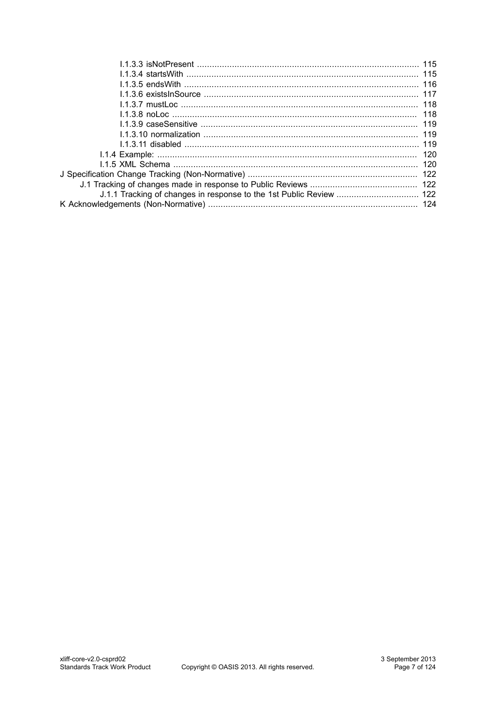| J.1.1 Tracking of changes in response to the 1st Public Review  122 |  |
|---------------------------------------------------------------------|--|
|                                                                     |  |
|                                                                     |  |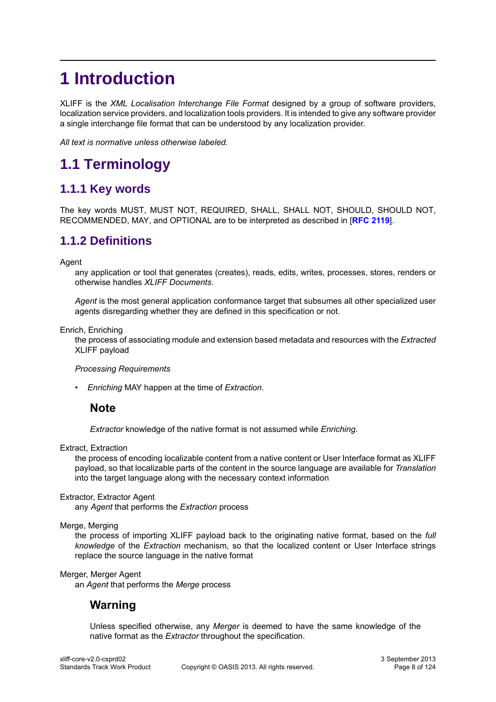# <span id="page-7-0"></span>**1 Introduction**

XLIFF is the *XML Localisation Interchange File Format* designed by a group of software providers, localization service providers, and localization tools providers. It is intended to give any software provider a single interchange file format that can be understood by any localization provider.

*All text is normative unless otherwise labeled.*

# <span id="page-7-1"></span>**1.1 Terminology**

# <span id="page-7-2"></span>**1.1.1 Key words**

The key words MUST, MUST NOT, REQUIRED, SHALL, SHALL NOT, SHOULD, SHOULD NOT, RECOMMENDED, MAY, and OPTIONAL are to be interpreted as described in [**[RFC 2119](#page-9-2)**].

# <span id="page-7-3"></span>**1.1.2 Definitions**

Agent

any application or tool that generates (creates), reads, edits, writes, processes, stores, renders or otherwise handles *XLIFF Documents*.

*Agent* is the most general application conformance target that subsumes all other specialized user agents disregarding whether they are defined in this specification or not.

Enrich, Enriching

the process of associating module and extension based metadata and resources with the *Extracted* XLIFF payload

#### *Processing Requirements*

• *Enriching* MAY happen at the time of *Extraction*.

#### **Note**

*Extractor* knowledge of the native format is not assumed while *Enriching*.

Extract, Extraction

the process of encoding localizable content from a native content or User Interface format as XLIFF payload, so that localizable parts of the content in the source language are available for *Translation* into the target language along with the necessary context information

#### Extractor, Extractor Agent

any *Agent* that performs the *Extraction* process

Merge, Merging

the process of importing XLIFF payload back to the originating native format, based on the *full knowledge* of the *Extraction* mechanism, so that the localized content or User Interface strings replace the source language in the native format

#### Merger, Merger Agent

an *Agent* that performs the *Merge* process

#### **Warning**

Unless specified otherwise, any *Merger* is deemed to have the same knowledge of the native format as the *Extractor* throughout the specification.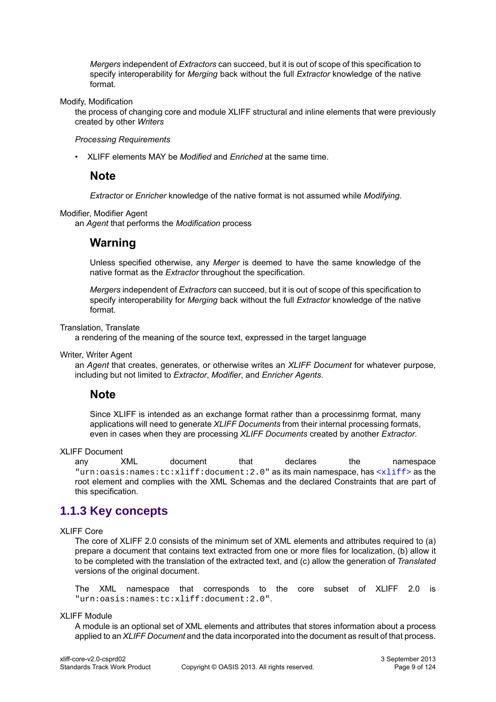*Mergers* independent of *Extractors* can succeed, but it is out of scope of this specification to specify interoperability for *Merging* back without the full *Extractor* knowledge of the native format.

Modify, Modification

the process of changing core and module XLIFF structural and inline elements that were previously created by other *Writers*

#### *Processing Requirements*

• XLIFF elements MAY be *Modified* and *Enriched* at the same time.

#### **Note**

*Extractor* or *Enricher* knowledge of the native format is not assumed while *Modifying*.

Modifier, Modifier Agent

an *Agent* that performs the *Modification* process

#### **Warning**

Unless specified otherwise, any *Merger* is deemed to have the same knowledge of the native format as the *Extractor* throughout the specification.

*Mergers* independent of *Extractors* can succeed, but it is out of scope of this specification to specify interoperability for *Merging* back without the full *Extractor* knowledge of the native format.

Translation, Translate

a rendering of the meaning of the source text, expressed in the target language

Writer, Writer Agent

an *Agent* that creates, generates, or otherwise writes an *XLIFF Document* for whatever purpose, including but not limited to *Extractor*, *Modifier*, and *Enricher Agents*.

#### **Note**

Since XLIFF is intended as an exchange format rather than a processinmg format, many applications will need to generate *XLIFF Documents* from their internal processing formats, even in cases when they are processing *XLIFF Documents* created by another *Extractor*.

XLIFF Document

```
any XML document that declares the namespace
"urn:oasis:names:tc:xliff:document:2.0" as its main namespace, has <xliff> as the
root element and complies with the XML Schemas and the declared Constraints that are part of
this specification.
```
# <span id="page-8-0"></span>**1.1.3 Key concepts**

#### XLIFF Core

The core of XLIFF 2.0 consists of the minimum set of XML elements and attributes required to (a) prepare a document that contains text extracted from one or more files for localization, (b) allow it to be completed with the translation of the extracted text, and (c) allow the generation of *Translated* versions of the original document.

The XML namespace that corresponds to the core subset of XLIFF 2.0 is "urn:oasis:names:tc:xliff:document:2.0".

XLIFF Module

A module is an optional set of XML elements and attributes that stores information about a process applied to an *XLIFF Document* and the data incorporated into the document as result of that process.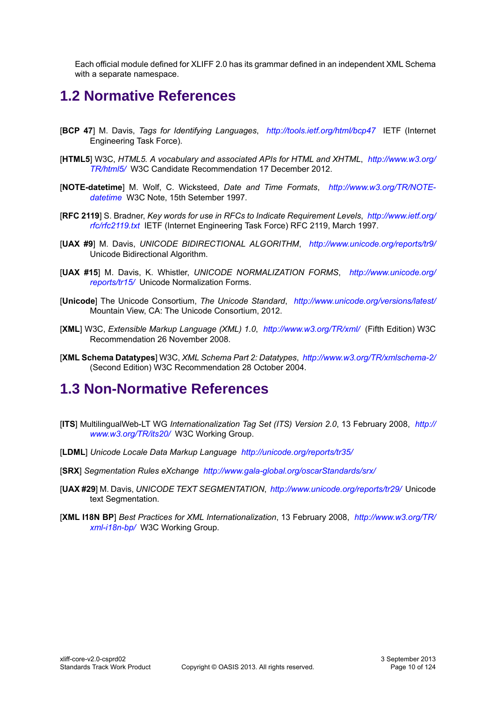Each official module defined for XLIFF 2.0 has its grammar defined in an independent XML Schema with a separate namespace.

# <span id="page-9-0"></span>**1.2 Normative References**

- <span id="page-9-5"></span>[**BCP 47**] M. Davis, *Tags for Identifying Languages*, *<http://tools.ietf.org/html/bcp47>* IETF (Internet Engineering Task Force).
- [**HTML5**] W3C, *HTML5. A vocabulary and associated APIs for HTML and XHTML*, *[http://www.w3.org/](http://www.w3.org/TR/html5/) [TR/html5/](http://www.w3.org/TR/html5/)* W3C Candidate Recommendation 17 December 2012.
- [**NOTE-datetime**] M. Wolf, C. Wicksteed, *Date and Time Formats*, *[http://www.w3.org/TR/NOTE](http://www.w3.org/TR/NOTE-datetime)[datetime](http://www.w3.org/TR/NOTE-datetime)* W3C Note, 15th Setember 1997.
- <span id="page-9-2"></span>[**RFC 2119**] S. Bradner, *Key words for use in RFCs to Indicate Requirement Levels*, *[http://www.ietf.org/](http://www.ietf.org/rfc/rfc2119.txt) [rfc/rfc2119.txt](http://www.ietf.org/rfc/rfc2119.txt)* IETF (Internet Engineering Task Force) RFC 2119, March 1997.
- [**UAX #9**] M. Davis, *UNICODE BIDIRECTIONAL ALGORITHM*, *<http://www.unicode.org/reports/tr9/>* Unicode Bidirectional Algorithm.
- [**UAX #15**] M. Davis, K. Whistler, *UNICODE NORMALIZATION FORMS*, *[http://www.unicode.org/](http://www.unicode.org/reports/tr15/) [reports/tr15/](http://www.unicode.org/reports/tr15/)* Unicode Normalization Forms.
- [**Unicode**] The Unicode Consortium, *The Unicode Standard*, *<http://www.unicode.org/versions/latest/>* Mountain View, CA: The Unicode Consortium, 2012.
- [**XML**] W3C, *Extensible Markup Language (XML) 1.0*, *<http://www.w3.org/TR/xml/>* (Fifth Edition) W3C Recommendation 26 November 2008.
- <span id="page-9-3"></span>[**XML Schema Datatypes**] W3C, *XML Schema Part 2: Datatypes*, *<http://www.w3.org/TR/xmlschema-2/>* (Second Edition) W3C Recommendation 28 October 2004.

# <span id="page-9-1"></span>**1.3 Non-Normative References**

- <span id="page-9-4"></span>[**ITS**] MultilingualWeb-LT WG *Internationalization Tag Set (ITS) Version 2.0*, 13 February 2008, *[http://](http://www.w3.org/TR/its20/) [www.w3.org/TR/its20/](http://www.w3.org/TR/its20/)* W3C Working Group.
- [**LDML**] *Unicode Locale Data Markup Language <http://unicode.org/reports/tr35/>*
- [**SRX**] *Segmentation Rules eXchange <http://www.gala-global.org/oscarStandards/srx/>*
- [**UAX #29**] M. Davis, *UNICODE TEXT SEGMENTATION*, *<http://www.unicode.org/reports/tr29/>* Unicode text Segmentation.
- [**XML I18N BP**] *Best Practices for XML Internationalization*, 13 February 2008, *[http://www.w3.org/TR/](http://www.w3.org/TR/xml-i18n-bp/) [xml-i18n-bp/](http://www.w3.org/TR/xml-i18n-bp/)* W3C Working Group.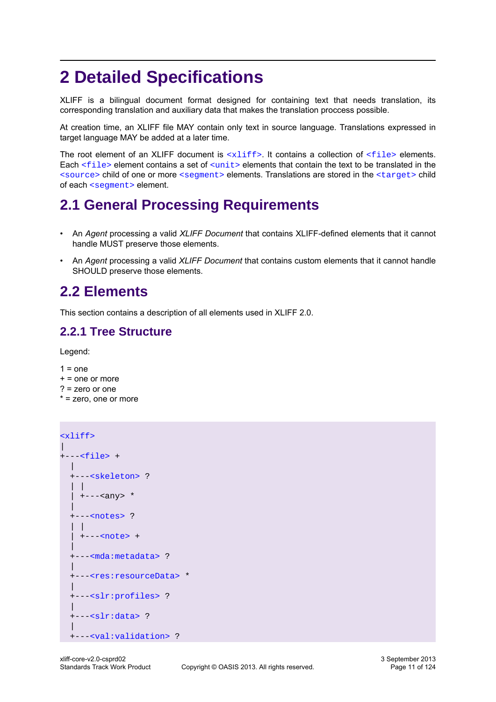# <span id="page-10-0"></span>**2 Detailed Specifications**

XLIFF is a bilingual document format designed for containing text that needs translation, its corresponding translation and auxiliary data that makes the translation proccess possible.

At creation time, an XLIFF file MAY contain only text in source language. Translations expressed in target language MAY be added at a later time.

The root element of an XLIFF document is  $\langle$ xliff>. It contains a collection of  $\langle$ file> elements. Each  $\le$  file> element contains a set of  $\le$ unit> elements that contain the text to be translated in the [<source>](#page-17-0) child of one or more [<segment>](#page-15-0) elements. Translations are stored in the [<target>](#page-17-1) child of each [<segment>](#page-15-0) element.

# <span id="page-10-1"></span>**2.1 General Processing Requirements**

- An *Agent* processing a valid *XLIFF Document* that contains XLIFF-defined elements that it cannot handle MUST preserve those elements.
- An *Agent* processing a valid *XLIFF Document* that contains custom elements that it cannot handle SHOULD preserve those elements.

# <span id="page-10-2"></span>**2.2 Elements**

This section contains a description of all elements used in XLIFF 2.0.

# <span id="page-10-3"></span>**2.2.1 Tree Structure**

Legend:

 $1 = one$  $+$  = one or more ? = zero or one \* = zero, one or more

```
\langle x \rangle\overline{\phantom{a}}+---<file> +
  \| +---<skeleton> ?
   | |
    | +---<any> *
 |
   +---<notes> ?
   | |
    +---<note> + |
   +---<mda:metadata> ?
 |
   +---<res:resourceData> *
 |
   +---<slr:profiles> ?
 |
   +---<slr:data> ?
 |
   +---<val:validation> ?
```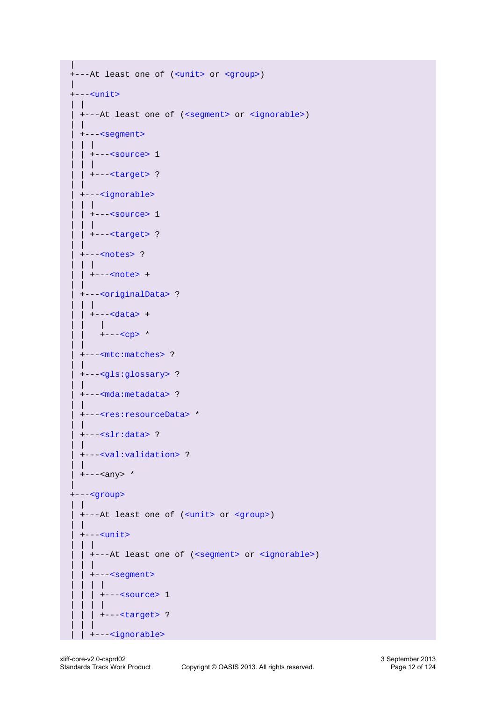```
 |
  +---At least one of (<unit> or <group>)
 |
  +---<unit>
   | |
   | +---At least one of (<segment> or <ignorable>)
 | |
    | +---<segment>
     | | |
    |<source> 1
     | | |
    | | +---<target> ?
 | |
    | +---<ignorable>
    | ||<source> 1
     | | |
     | | +---<target> ?
 | |
    | +---<notes> ?
     | | |
    |<note> +
 | |
     | +---<originalData> ?
     | | |
    |<data> +
       \|+---<CD> *
 | |
    | +---<mtc:matches> ?
 | |
    | +---<gls:glossary> ?
    | |
    | +---<mda:metadata> ?
 | |
    | +---<res:resourceData> *
 | |
     | +---<slr:data> ?
 | |
    | +---<val:validation> ?
    | |
    | +---<any> *
 |
  +---<group>
  | \cdot | | +---At least one of (<unit> or <group>)
 | |
    | +---<unit>
    | | |
    | | +---At least one of (<segment> or <ignorable>)
 | | |
    <segment>
     | | | |
    \vert \vert<source> 1
 | | | |
     | | | +---<target> ?
 | | |
    | | +---<ignorable>
```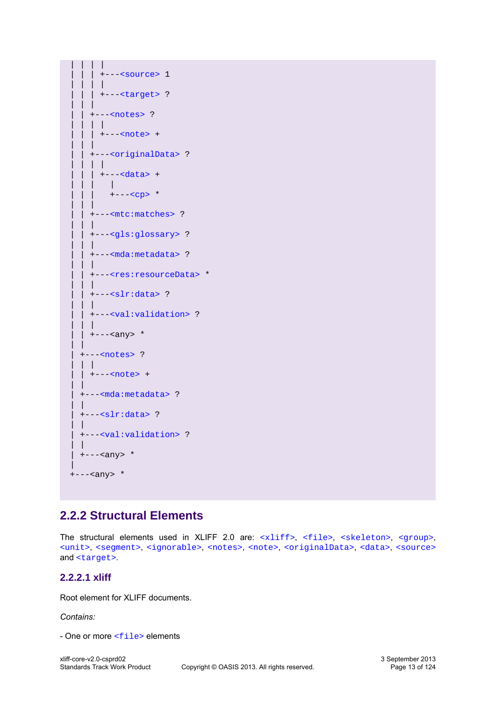```
 | | | |
          | | | +---<source> 1
     | | | |
     | | | +---<target> ?
 | | |
       | | +---<notes> ?
     | | | |
       |<note> +
 | | |
       | | +---<originalData> ?
       | | | |
         | | | +---<data> +
           \perp| +---<CD> * | | |
       | | +---<mtc:matches> ?
 | | |
       | | +---<gls:glossary> ?
     | | |
     | | +---<mda:metadata> ?
     | | |
     | | +---<res:resourceData> *
 | | |
     | +---<\text{slr:data} ?
 | | |
     | | +---<val:validation> ?
 | | |
    | +----<any> *
 | |
     | +---<notes> ?
     | | |
    |<note> +
     | |
     | +---<mda:metadata> ?
 | |
    +--<sub>s</sub>lr:data> ?
 | |
     | +---<val:validation> ?
 | |
    +---<i>any</i> * |
   +---<any> *
```
# <span id="page-12-0"></span>**2.2.2 Structural Elements**

The structural elements used in XLIFF 2.0 are:  $\langle$ xliff>,  $\langle$ file>,  $\langle$ skeleton>,  $\langle$ qroup>, [<unit>](#page-14-0), [<segment>](#page-15-0), [<ignorable>](#page-15-1), [<notes>](#page-16-0), [<note>](#page-16-1), [<originalData>](#page-16-2), [<data>](#page-16-3), [<source>](#page-17-0) and [<target>](#page-17-1).

#### <span id="page-12-1"></span>**2.2.2.1 xliff**

Root element for XLIFF documents.

*Contains:*

- One or more [<file>](#page-13-0) elements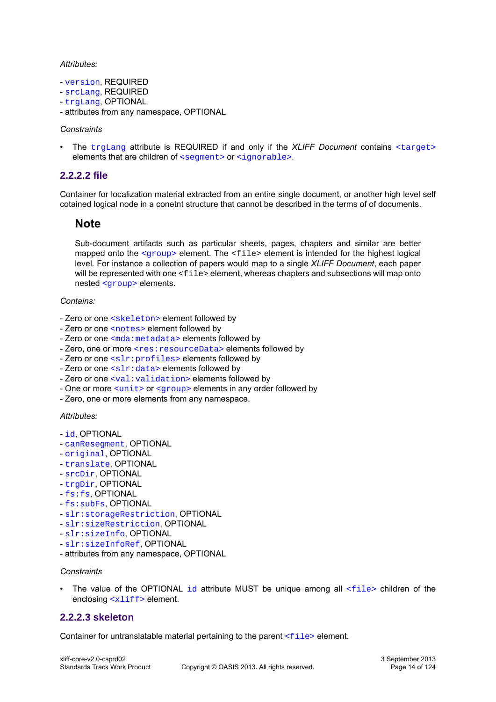#### *Attributes:*

- [version](#page-38-0), REQUIRED
- [srcLang](#page-35-0), REQUIRED
- [trgLang](#page-37-0), OPTIONAL
- attributes from any namespace, OPTIONAL

#### *Constraints*

• The [trgLang](#page-37-0) attribute is REQUIRED if and only if the *XLIFF Document* contains [<target>](#page-17-1) elements that are children of [<segment>](#page-15-0) or [<ignorable>](#page-15-1).

#### <span id="page-13-0"></span>**2.2.2.2 file**

Container for localization material extracted from an entire single document, or another high level self cotained logical node in a conetnt structure that cannot be described in the terms of of documents.

#### **Note**

Sub-document artifacts such as particular sheets, pages, chapters and similar are better mapped onto the  $\langle q \rangle$  element. The  $\langle$ file> element is intended for the highest logical level. For instance a collection of papers would map to a single *XLIFF Document*, each paper will be represented with one <file> element, whereas chapters and subsections will map onto nested [<group>](#page-14-1) elements.

#### *Contains:*

- Zero or one [<skeleton>](#page-13-1) element followed by
- Zero or one [<notes>](#page-16-0) element followed by
- Zero or one [<mda:metadata>](#page-85-5) elements followed by
- Zero, one or more <res: resourceData> elements followed by
- Zero or one [<slr:profiles>](#page-103-6) elements followed by
- Zero or one [<slr:data>](#page-104-1) elements followed by
- Zero or one <val: validation> elements followed by
- One or more  $\langle \text{unit} \rangle$  or  $\langle \text{aroup} \rangle$  elements in any order followed by
- Zero, one or more elements from any namespace.

#### *Attributes:*

- [id](#page-30-0), OPTIONAL
- [canResegment](#page-25-0), OPTIONAL
- [original](#page-33-0), OPTIONAL
- [translate](#page-37-1), OPTIONAL
- [srcDir](#page-34-0), OPTIONAL
- [trgDir](#page-37-2), OPTIONAL
- [fs:fs](#page-81-4), OPTIONAL
- [fs:subFs](#page-84-0), OPTIONAL
- [slr:storageRestriction](#page-106-1), OPTIONAL
- [slr:sizeRestriction](#page-106-2), OPTIONAL
- [slr:sizeInfo](#page-107-0), OPTIONAL
- [slr:sizeInfoRef](#page-107-1), OPTIONAL
- attributes from any namespace, OPTIONAL

#### *Constraints*

The value of the OPTIONAL [id](#page-30-0) attribute MUST be unique among all  $\le$ file> children of the enclosing [<xliff>](#page-12-1) element.

#### <span id="page-13-1"></span>**2.2.2.3 skeleton**

Container for untranslatable material pertaining to the parent  $\leq$  file  $>$  element.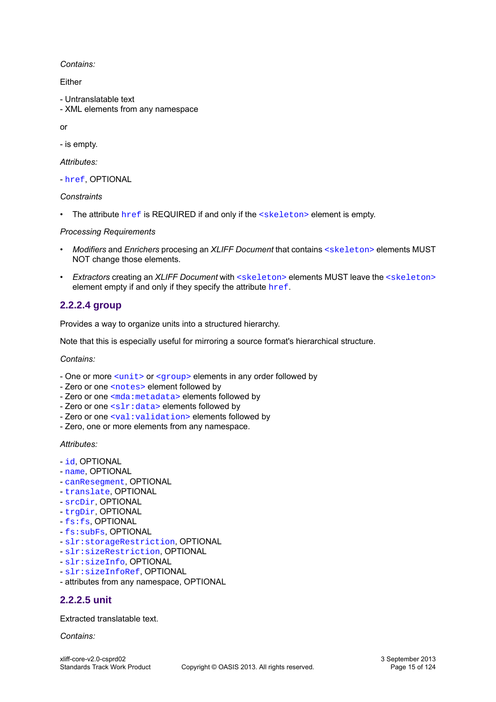*Contains:*

Either

- Untranslatable text
- XML elements from any namespace

or

- is empty.

*Attributes:*

- [href](#page-30-1), OPTIONAL

*Constraints*

• The attribute [href](#page-30-1) is REQUIRED if and only if the [<skeleton>](#page-13-1) element is empty.

#### *Processing Requirements*

- *Modifiers* and *Enrichers* procesing an *XLIFF Document* that contains [<skeleton>](#page-13-1) elements MUST NOT change those elements.
- *Extractors* creating an *XLIFF Document* with [<skeleton>](#page-13-1) elements MUST leave the [<skeleton>](#page-13-1) element empty if and only if they specify the attribute [href](#page-30-1).

#### <span id="page-14-1"></span>**2.2.2.4 group**

Provides a way to organize units into a structured hierarchy.

Note that this is especially useful for mirroring a source format's hierarchical structure.

*Contains:*

- One or more [<unit>](#page-14-0) or [<group>](#page-14-1) elements in any order followed by
- Zero or one [<notes>](#page-16-0) element followed by
- Zero or one [<mda:metadata>](#page-85-5) elements followed by
- Zero or one [<slr:data>](#page-104-1) elements followed by
- Zero or one <val: validation> elements followed by
- Zero, one or more elements from any namespace.

*Attributes:*

- [id](#page-30-0), OPTIONAL
- [name](#page-31-0), OPTIONAL
- [canResegment](#page-25-0), OPTIONAL
- [translate](#page-37-1), OPTIONAL
- [srcDir](#page-34-0), OPTIONAL
- [trgDir](#page-37-2), OPTIONAL
- [fs:fs](#page-81-4), OPTIONAL
- [fs:subFs](#page-84-0), OPTIONAL
- [slr:storageRestriction](#page-106-1), OPTIONAL
- [slr:sizeRestriction](#page-106-2), OPTIONAL
- [slr:sizeInfo](#page-107-0), OPTIONAL
- [slr:sizeInfoRef](#page-107-1), OPTIONAL
- attributes from any namespace, OPTIONAL

#### <span id="page-14-0"></span>**2.2.2.5 unit**

Extracted translatable text.

*Contains:*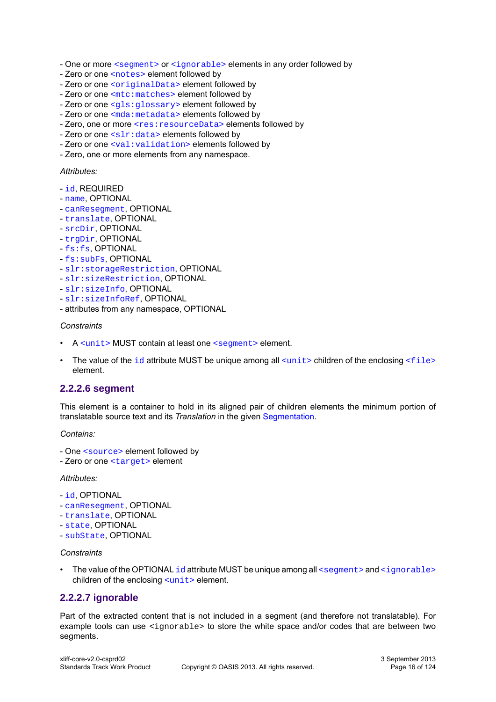- One or more [<segment>](#page-15-0) or [<ignorable>](#page-15-1) elements in any order followed by
- Zero or one [<notes>](#page-16-0) element followed by
- Zero or one [<originalData>](#page-16-2) element followed by
- Zero or one [<mtc:matches>](#page-71-5) element followed by
- Zero or one [<gls:glossary>](#page-77-5) element followed by
- Zero or one [<mda:metadata>](#page-85-5) elements followed by
- Zero, one or more <res: resourceData> elements followed by
- Zero or one [<slr:data>](#page-104-1) elements followed by
- Zero or one [<val:validation>](#page-111-5) elements followed by
- Zero, one or more elements from any namespace.

#### *Attributes:*

- [id](#page-30-0), REQUIRED
- [name](#page-31-0), OPTIONAL
- [canResegment](#page-25-0), OPTIONAL
- [translate](#page-37-1), OPTIONAL
- [srcDir](#page-34-0), OPTIONAL
- [trgDir](#page-37-2), OPTIONAL
- $-fs:fs,$  $-fs:fs,$  $-fs:fs,$  OPTIONAL
- [fs:subFs](#page-84-0), OPTIONAL
- [slr:storageRestriction](#page-106-1), OPTIONAL
- [slr:sizeRestriction](#page-106-2), OPTIONAL
- [slr:sizeInfo](#page-107-0), OPTIONAL
- [slr:sizeInfoRef](#page-107-1), OPTIONAL
- attributes from any namespace, OPTIONAL

#### *Constraints*

- A [<unit>](#page-14-0) MUST contain at least one [<segment>](#page-15-0) element.
- The value of the  $id$  attribute MUST be unique among all  $\langle unit \rangle$  children of the enclosing  $\langle file \rangle$ element.

#### <span id="page-15-0"></span>**2.2.2.6 segment**

This element is a container to hold in its aligned pair of children elements the minimum portion of translatable source text and its *Translation* in the given [Segmentation](#page-57-1).

#### *Contains:*

- One [<source>](#page-17-0) element followed by
- Zero or one [<target>](#page-17-1) element

#### *Attributes:*

- [id](#page-30-0), OPTIONAL
- [canResegment](#page-25-0), OPTIONAL
- [translate](#page-37-1), OPTIONAL
- [state](#page-36-0), OPTIONAL
- [subState](#page-36-1), OPTIONAL

#### *Constraints*

The value of the OPTIONAL [id](#page-30-0) attribute MUST be unique among all [<segment>](#page-15-0) and [<ignorable>](#page-15-1) children of the enclosing [<unit>](#page-14-0) element.

#### <span id="page-15-1"></span>**2.2.2.7 ignorable**

Part of the extracted content that is not included in a segment (and therefore not translatable). For example tools can use  $\leq$  ignorable> to store the white space and/or codes that are between two segments.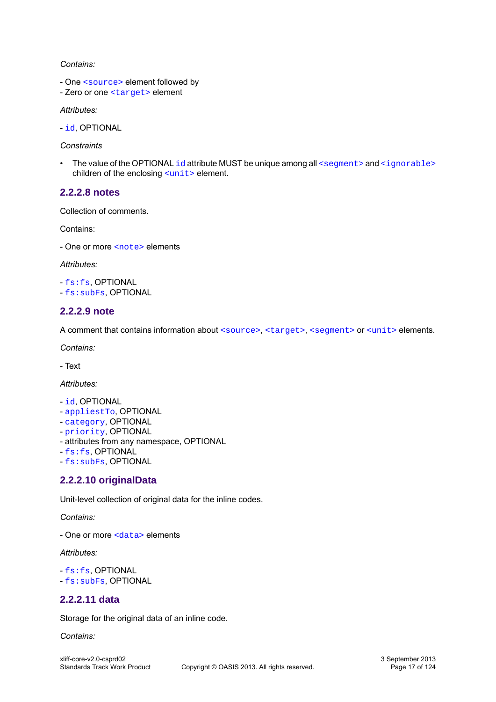#### *Contains:*

- One [<source>](#page-17-0) element followed by
- Zero or one [<target>](#page-17-1) element

*Attributes:*

- [id](#page-30-0), OPTIONAL

*Constraints*

• The value of the OPTIONAL [id](#page-30-0) attribute MUST be unique among all  $\leq$  seqment  $\geq$  and  $\leq$  ignorable  $\geq$ children of the enclosing [<unit>](#page-14-0) element.

#### <span id="page-16-0"></span>**2.2.2.8 notes**

Collection of comments.

Contains:

- One or more [<note>](#page-16-1) elements

*Attributes:*

- [fs:fs](#page-81-4), OPTIONAL - [fs:subFs](#page-84-0), OPTIONAL

#### <span id="page-16-1"></span>**2.2.2.9 note**

A comment that contains information about [<source>](#page-17-0), [<target>](#page-17-1), [<segment>](#page-15-0) or [<unit>](#page-14-0) elements.

*Contains:*

- Text

*Attributes:*

- [id](#page-30-0), OPTIONAL
- [appliestTo](#page-24-2), OPTIONAL
- [category](#page-26-0), OPTIONAL
- [priority](#page-33-1), OPTIONAL
- attributes from any namespace, OPTIONAL
- [fs:fs](#page-81-4), OPTIONAL
- [fs:subFs](#page-84-0), OPTIONAL

#### <span id="page-16-2"></span>**2.2.2.10 originalData**

Unit-level collection of original data for the inline codes.

*Contains:*

- One or more [<data>](#page-16-3) elements

#### *Attributes:*

- [fs:fs](#page-81-4), OPTIONAL
- [fs:subFs](#page-84-0), OPTIONAL

#### <span id="page-16-3"></span>**2.2.2.11 data**

Storage for the original data of an inline code.

#### *Contains:*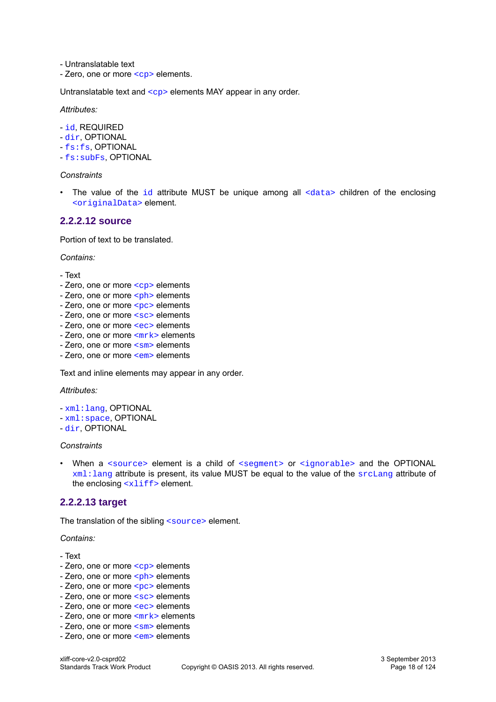- Untranslatable text

- Zero, one or more [<cp>](#page-18-1) elements.

Untranslatable text and  $\langle cp \rangle$  elements MAY appear in any order.

*Attributes:*

- [id](#page-30-0), REQUIRED
- [dir](#page-26-1), OPTIONAL
- [fs:fs](#page-81-4), OPTIONAL
- [fs:subFs](#page-84-0), OPTIONAL

#### *Constraints*

• The value of the  $id$  attribute MUST be unique among all  $\langle data \rangle$  children of the enclosing [<originalData>](#page-16-2) element.

#### <span id="page-17-0"></span>**2.2.2.12 source**

Portion of text to be translated.

*Contains:*

- Text
- Zero, one or more [<cp>](#page-18-1) elements
- Zero, one or more  $\leq$ ph> elements
- Zero, one or more [<pc>](#page-19-1) elements
- Zero, one or more [<sc>](#page-20-0) elements
- Zero, one or more [<ec>](#page-21-0) elements
- Zero, one or more  $\leq mrk$  elements
- Zero, one or more [<sm>](#page-23-1) elements
- Zero, one or more [<em>](#page-24-3) elements

Text and inline elements may appear in any order.

#### *Attributes:*

- [xml:lang](#page-39-3), OPTIONAL
- [xml:space](#page-39-4), OPTIONAL
- [dir](#page-26-1), OPTIONAL

#### *Constraints*

• When a [<source>](#page-17-0) element is a child of [<segment>](#page-15-0) or [<ignorable>](#page-15-1) and the OPTIONAL xml: lang attribute is present, its value MUST be equal to the value of the [srcLang](#page-35-0) attribute of the enclosing  $\langle \times 1 \text{if} f \rangle$  element.

#### <span id="page-17-1"></span>**2.2.2.13 target**

The translation of the sibling [<source>](#page-17-0) element.

*Contains:*

- Text
- Zero, one or more [<cp>](#page-18-1) elements
- Zero, one or more [<ph>](#page-19-0) elements
- Zero, one or more  $<sub>pc</sub>$  elements</sub>
- Zero, one or more [<sc>](#page-20-0) elements
- Zero, one or more [<ec>](#page-21-0) elements
- Zero, one or more  $\langle m r k \rangle$  elements
- Zero, one or more [<sm>](#page-23-1) elements
- Zero, one or more [<em>](#page-24-3) elements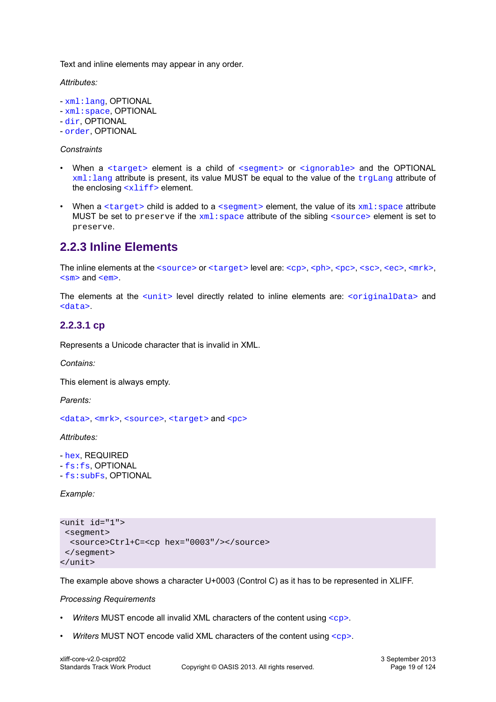Text and inline elements may appear in any order.

*Attributes:*

- [xml:lang](#page-39-3), OPTIONAL
- [xml:space](#page-39-4), OPTIONAL

- [dir](#page-26-1), OPTIONAL

- [order](#page-33-2), OPTIONAL

#### *Constraints*

- When a [<target>](#page-17-1) element is a child of [<segment>](#page-15-0) or [<ignorable>](#page-15-1) and the OPTIONAL  $xml:$ lang attribute is present, its value MUST be equal to the value of the  $trajLang$  attribute of the enclosing  $\langle \text{xlift} \rangle$  element.
- When a  $\langle$  target> child is added to a  $\langle$  segment> element, the value of its  $xml$ : space attribute MUST be set to preserve if the  $xml:space$  attribute of the sibling  $\langle source \rangle$  element is set to preserve.

# <span id="page-18-0"></span>**2.2.3 Inline Elements**

The inline elements at the [<source>](#page-17-0) or [<target>](#page-17-1) level are: [<cp>](#page-18-1), [<ph>](#page-19-0), [<pc>](#page-19-1), [<sc>](#page-20-0), <sc>, [<ec>](#page-21-0), [<mrk>](#page-23-0), [<sm>](#page-23-1) and [<em>](#page-24-3).

The elements at the [<unit>](#page-14-0) level directly related to inline elements are: [<originalData>](#page-16-2) and [<data>](#page-16-3).

#### <span id="page-18-1"></span>**2.2.3.1 cp**

Represents a Unicode character that is invalid in XML.

*Contains:*

This element is always empty.

*Parents:*

[<data>](#page-16-3), [<mrk>](#page-23-0), [<source>](#page-17-0), [<target>](#page-17-1) and [<pc>](#page-19-1)

*Attributes:*

- [hex](#page-29-0), REQUIRED - [fs:fs](#page-81-4), OPTIONAL

- [fs:subFs](#page-84-0), OPTIONAL

*Example:*

```
<unit id="1">
 <segment>
  <source>Ctrl+C=<cp hex="0003"/></source>
 </segment>
</unit>
```
The example above shows a character U+0003 (Control C) as it has to be represented in XLIFF.

#### *Processing Requirements*

- *Writers* MUST encode all invalid XML characters of the content using [<cp>](#page-18-1).
- *Writers* MUST NOT encode valid XML characters of the content using [<cp>](#page-18-1).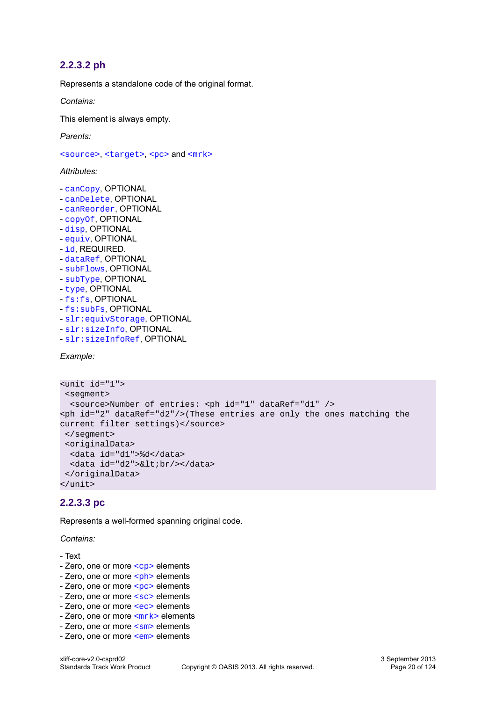#### <span id="page-19-0"></span>**2.2.3.2 ph**

Represents a standalone code of the original format.

*Contains:*

This element is always empty.

*Parents:*

[<source>](#page-17-0), [<target>](#page-17-1), [<pc>](#page-19-1) and [<mrk>](#page-23-0)

#### *Attributes:*

- [canCopy](#page-24-4), OPTIONAL
- [canDelete](#page-24-4), OPTIONAL
- [canReorder](#page-25-1), OPTIONAL
- [copyOf](#page-26-2), OPTIONAL
- [disp](#page-26-3), OPTIONAL
- [equiv](#page-28-0), OPTIONAL
- [id](#page-30-0), REQUIRED.
- [dataRef](#page-31-1), OPTIONAL
- [subFlows](#page-35-1), OPTIONAL
- [subType](#page-35-2), OPTIONAL
- [type](#page-38-1), OPTIONAL
- [fs:fs](#page-81-4), OPTIONAL
- [fs:subFs](#page-84-0), OPTIONAL
- [slr:equivStorage](#page-106-3), OPTIONAL
- [slr:sizeInfo](#page-107-0), OPTIONAL
- [slr:sizeInfoRef](#page-107-1), OPTIONAL

*Example:*

```
<unit id="1">
 <segment>
  <source>Number of entries: <ph id="1" dataRef="d1" />
<ph id="2" dataRef="d2"/>(These entries are only the ones matching the 
current filter settings)</source>
 </segment>
 <originalData>
   <data id="d1">%d</data> 
 <data id="d2">&lt;br/></data>
 </originalData>
</unit>
```
#### <span id="page-19-1"></span>**2.2.3.3 pc**

Represents a well-formed spanning original code.

*Contains:*

- Text
- Zero, one or more [<cp>](#page-18-1) elements
- Zero, one or more  $\leq$ ph> elements
- Zero, one or more [<pc>](#page-19-1) elements
- Zero, one or more [<sc>](#page-20-0) elements
- Zero, one or more [<ec>](#page-21-0) elements
- Zero, one or more  $\langle m r k \rangle$  elements
- Zero, one or more [<sm>](#page-23-1) elements
- Zero, one or more [<em>](#page-24-3) elements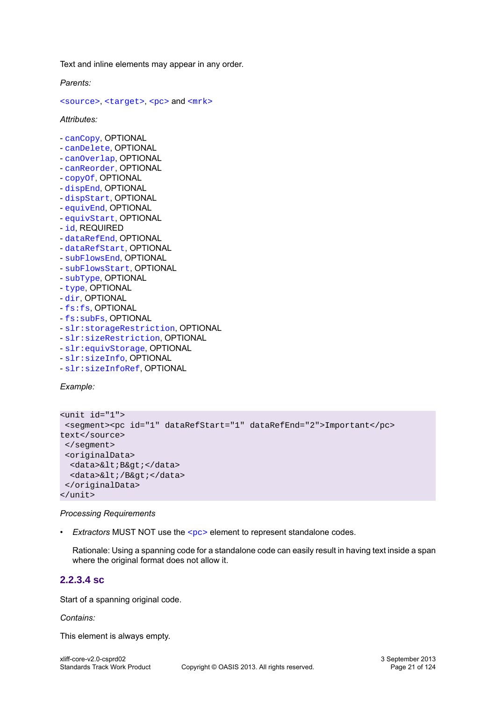Text and inline elements may appear in any order.

*Parents:*

[<source>](#page-17-0), [<target>](#page-17-1), [<pc>](#page-19-1) and [<mrk>](#page-23-0)

*Attributes:*

- [canCopy](#page-24-4), OPTIONAL
- [canDelete](#page-24-4), OPTIONAL
- [canOverlap](#page-25-2), OPTIONAL
- [canReorder](#page-25-1), OPTIONAL
- [copyOf](#page-26-2), OPTIONAL
- [dispEnd](#page-27-0), OPTIONAL
- [dispStart](#page-27-1), OPTIONAL
- [equivEnd](#page-28-1), OPTIONAL
- [equivStart](#page-29-1), OPTIONAL
- [id](#page-30-0), REQUIRED
- [dataRefEnd](#page-32-0), OPTIONAL
- [dataRefStart](#page-32-1), OPTIONAL
- [subFlowsEnd](#page-35-3), OPTIONAL
- [subFlowsStart](#page-35-4), OPTIONAL
- [subType](#page-35-2), OPTIONAL
- [type](#page-38-1), OPTIONAL
- [dir](#page-26-1), OPTIONAL
- [fs:fs](#page-81-4), OPTIONAL
- [fs:subFs](#page-84-0), OPTIONAL
- [slr:storageRestriction](#page-106-1), OPTIONAL
- [slr:sizeRestriction](#page-106-2), OPTIONAL
- [slr:equivStorage](#page-106-3), OPTIONAL
- [slr:sizeInfo](#page-107-0), OPTIONAL
- [slr:sizeInfoRef](#page-107-1), OPTIONAL

*Example:*

```
<unit id="1">
 <segment><pc id="1" dataRefStart="1" dataRefEnd="2">Important</pc> 
text</source>
 </segment>
 <originalData>
 <data>&lt;B&qt;</data>
 <data>&lt;/B&qt;</data>
 </originalData>
</unit>
```
#### *Processing Requirements*

• *Extractors* MUST NOT use the [<pc>](#page-19-1) element to represent standalone codes.

Rationale: Using a spanning code for a standalone code can easily result in having text inside a span where the original format does not allow it.

#### <span id="page-20-0"></span>**2.2.3.4 sc**

Start of a spanning original code.

*Contains:*

This element is always empty.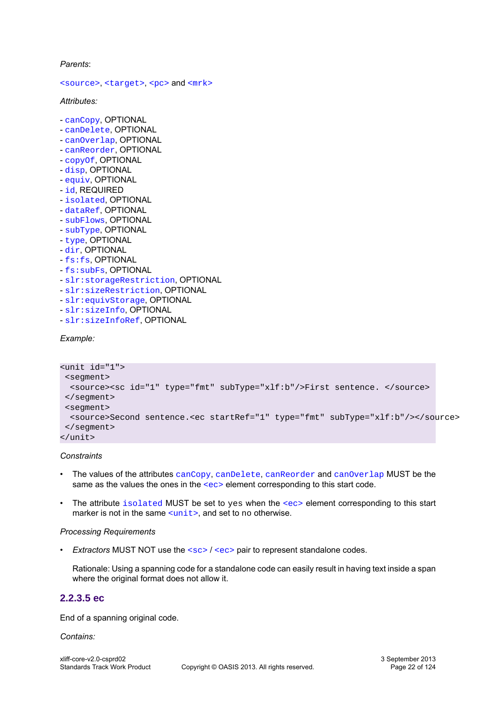*Parents*:

[<source>](#page-17-0), [<target>](#page-17-1), [<pc>](#page-19-1) and [<mrk>](#page-23-0)

*Attributes:*

- [canCopy](#page-24-4), OPTIONAL
- [canDelete](#page-24-4), OPTIONAL
- [canOverlap](#page-25-2), OPTIONAL
- [canReorder](#page-25-1), OPTIONAL
- [copyOf](#page-26-2), OPTIONAL
- [disp](#page-26-3), OPTIONAL
- [equiv](#page-28-0), OPTIONAL
- [id](#page-30-0), REQUIRED
- [isolated](#page-30-2), OPTIONAL
- [dataRef](#page-31-1), OPTIONAL
- [subFlows](#page-35-1), OPTIONAL
- [subType](#page-35-2), OPTIONAL
- [type](#page-38-1), OPTIONAL
- [dir](#page-26-1), OPTIONAL
- [fs:fs](#page-81-4), OPTIONAL
- [fs:subFs](#page-84-0), OPTIONAL
- [slr:storageRestriction](#page-106-1), OPTIONAL
- [slr:sizeRestriction](#page-106-2), OPTIONAL
- [slr:equivStorage](#page-106-3), OPTIONAL
- [slr:sizeInfo](#page-107-0), OPTIONAL
- [slr:sizeInfoRef](#page-107-1), OPTIONAL

*Example:*

```
<unit id="1">
 <segment>
  <source><sc id="1" type="fmt" subType="xlf:b"/>First sentence. </source>
 </segment>
 <segment>
  <source>Second sentence.<ec startRef="1" type="fmt" subType="xlf:b"/></source>
 </segment>
</unit>
```
#### *Constraints*

- The values of the attributes [canCopy](#page-24-4), [canDelete](#page-24-5), [canReorder](#page-25-1) and [canOverlap](#page-25-2) MUST be the same as the values the ones in the [<ec>](#page-21-0) element corresponding to this start code.
- The attribute [isolated](#page-30-2) MUST be set to yes when the [<ec>](#page-21-0) element corresponding to this start marker is not in the same  $\frac{1}{12}$ , and set to no otherwise.

#### *Processing Requirements*

• *Extractors* MUST NOT use the [<sc>](#page-20-0) / [<ec>](#page-21-0) pair to represent standalone codes.

Rationale: Using a spanning code for a standalone code can easily result in having text inside a span where the original format does not allow it.

#### <span id="page-21-0"></span>**2.2.3.5 ec**

End of a spanning original code.

*Contains:*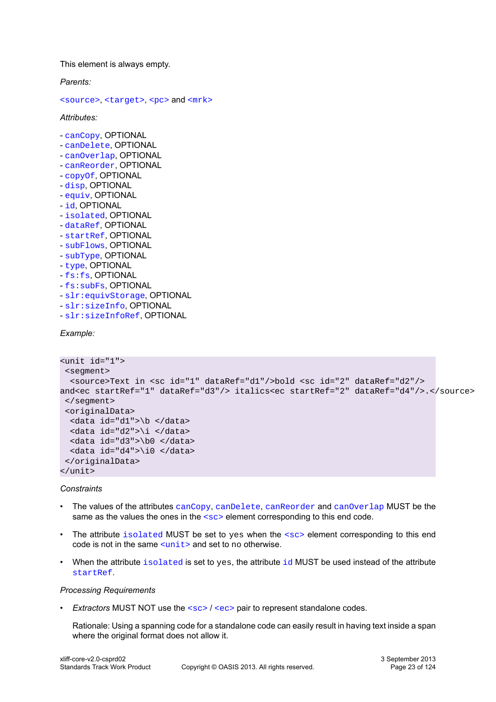This element is always empty.

*Parents:*

[<source>](#page-17-0), [<target>](#page-17-1), [<pc>](#page-19-1) and [<mrk>](#page-23-0)

*Attributes:*

- [canCopy](#page-24-4), OPTIONAL
- [canDelete](#page-24-4), OPTIONAL
- [canOverlap](#page-25-2), OPTIONAL
- [canReorder](#page-25-1), OPTIONAL
- [copyOf](#page-26-2), OPTIONAL
- [disp](#page-26-3), OPTIONAL
- [equiv](#page-28-0), OPTIONAL
- [id](#page-30-0), OPTIONAL
- [isolated](#page-30-2), OPTIONAL
- [dataRef](#page-31-1), OPTIONAL
- [startRef](#page-34-1), OPTIONAL
- [subFlows](#page-35-1), OPTIONAL
- [subType](#page-35-2), OPTIONAL
- [type](#page-38-1), OPTIONAL
- [fs:fs](#page-81-4), OPTIONAL
- [fs:subFs](#page-84-0), OPTIONAL
- [slr:equivStorage](#page-106-3), OPTIONAL
- [slr:sizeInfo](#page-107-0), OPTIONAL
- [slr:sizeInfoRef](#page-107-1), OPTIONAL

*Example:*

```
<unit id="1">
 <segment>
  <source>Text in <sc id="1" dataRef="d1"/>bold <sc id="2" dataRef="d2"/>
and<ec startRef="1" dataRef="d3"/> italics<ec startRef="2" dataRef="d4"/>.</source>
  </segment>
  <originalData>
   <data id="d1">\b </data>
   <data id="d2">\i </data>
   <data id="d3">\b0 </data>
  <data id="d4">\i0 </data>
  </originalData>
</unit>
```
*Constraints*

- The values of the attributes [canCopy](#page-24-4), [canDelete](#page-24-5), [canReorder](#page-25-1) and [canOverlap](#page-25-2) MUST be the same as the values the ones in the  $\langle \sec \theta \rangle$  element corresponding to this end code.
- The attribute [isolated](#page-30-2) MUST be set to yes when the  $\langle \sec s \rangle$  element corresponding to this end code is not in the same  $\frac{1}{x}$  and set to no otherwise.
- When the attribute  $isolated$  is set to yes, the attribute  $id$  MUST be used instead of the attribute [startRef](#page-34-1).

#### *Processing Requirements*

• *Extractors* MUST NOT use the  $<sub>SC</sub>$  /  $<sub>CC</sub>$  pair to represent standalone codes.</sub></sub>

Rationale: Using a spanning code for a standalone code can easily result in having text inside a span where the original format does not allow it.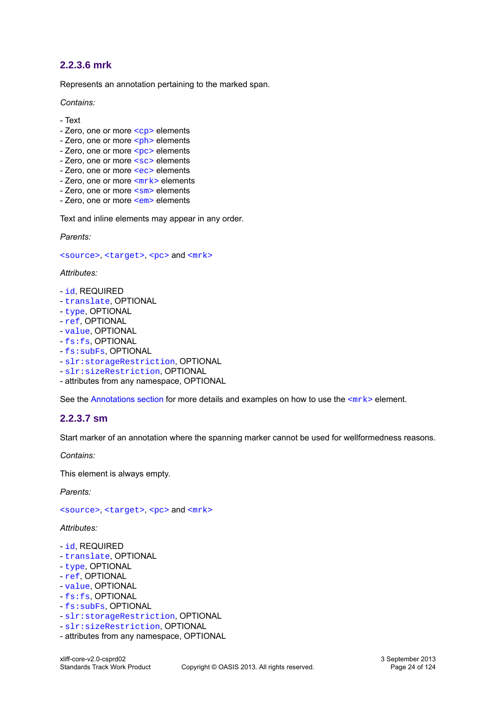#### <span id="page-23-0"></span>**2.2.3.6 mrk**

Represents an annotation pertaining to the marked span.

*Contains:*

- Text
- Zero, one or more [<cp>](#page-18-1) elements
- Zero, one or more  $\langle$ <sub>ph</sub>> elements
- Zero, one or more [<pc>](#page-19-1) elements
- Zero, one or more [<sc>](#page-20-0) elements
- Zero, one or more [<ec>](#page-21-0) elements
- Zero, one or more  $\leq m$ rk > elements
- Zero, one or more  $\leq$ sm> elements
- Zero, one or more [<em>](#page-24-3) elements

Text and inline elements may appear in any order.

*Parents:*

[<source>](#page-17-0), [<target>](#page-17-1), [<pc>](#page-19-1) and [<mrk>](#page-23-0)

*Attributes:*

- [id](#page-30-0), REQUIRED
- [translate](#page-37-1), OPTIONAL
- [type](#page-38-1), OPTIONAL
- [ref](#page-33-3), OPTIONAL
- [value](#page-38-2), OPTIONAL
- [fs:fs](#page-81-4), OPTIONAL
- [fs:subFs](#page-84-0), OPTIONAL
- [slr:storageRestriction](#page-106-1), OPTIONAL
- [slr:sizeRestriction](#page-106-2), OPTIONAL
- attributes from any namespace, OPTIONAL

See the [Annotations section](#page-50-0) for more details and examples on how to use the <mr k> element.

#### <span id="page-23-1"></span>**2.2.3.7 sm**

Start marker of an annotation where the spanning marker cannot be used for wellformedness reasons.

*Contains:*

This element is always empty.

*Parents:*

[<source>](#page-17-0), [<target>](#page-17-1), [<pc>](#page-19-1) and [<mrk>](#page-23-0)

#### *Attributes:*

- [id](#page-30-0), REQUIRED
- [translate](#page-37-1), OPTIONAL
- [type](#page-38-1), OPTIONAL
- [ref](#page-33-3), OPTIONAL
- [value](#page-38-2), OPTIONAL
- [fs:fs](#page-81-4), OPTIONAL
- [fs:subFs](#page-84-0), OPTIONAL
- [slr:storageRestriction](#page-106-1), OPTIONAL
- [slr:sizeRestriction](#page-106-2), OPTIONAL
- attributes from any namespace, OPTIONAL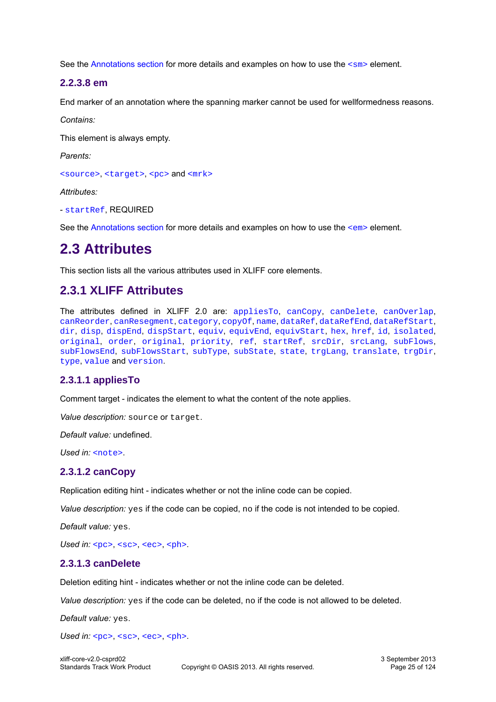See the [Annotations section](#page-50-0) for more details and examples on how to use the  $\langle sm \rangle$  element.

#### <span id="page-24-3"></span>**2.2.3.8 em**

End marker of an annotation where the spanning marker cannot be used for wellformedness reasons.

*Contains:*

This element is always empty.

*Parents:*

[<source>](#page-17-0), [<target>](#page-17-1), [<pc>](#page-19-1) and [<mrk>](#page-23-0)

*Attributes:*

- [startRef](#page-34-1), REQUIRED

See the [Annotations section](#page-50-0) for more details and examples on how to use the  $\leq$ em> element.

# <span id="page-24-0"></span>**2.3 Attributes**

This section lists all the various attributes used in XLIFF core elements.

# <span id="page-24-1"></span>**2.3.1 XLIFF Attributes**

The attributes defined in XLIFF 2.0 are: [appliesTo](#page-24-2), [canCopy](#page-24-4), [canDelete](#page-24-5), [canOverlap](#page-25-2), [canReorder](#page-25-1), [canResegment](#page-25-0), [category](#page-26-0), [copyOf](#page-26-2), [name](#page-26-1), [dataRef](#page-31-1), [dataRefEnd](#page-32-0), [dataRefStart](#page-32-1), [dir](#page-33-0), [disp](#page-26-3), [dispEnd](#page-27-0), [dispStart](#page-27-1), [equiv](#page-28-0), [equivEnd](#page-28-1), [equivStart](#page-29-1), [hex](#page-29-0), [href](#page-30-1), [id](#page-30-0), [isolated](#page-30-2), [original](#page-31-0), [order](#page-33-2), [original](#page-33-0), [priority](#page-33-1), [ref](#page-33-3), [startRef](#page-34-1), [srcDir](#page-34-0), [srcLang](#page-35-0), [subFlows](#page-35-1), [subFlowsEnd](#page-35-3), [subFlowsStart](#page-35-4), [subType](#page-35-2), [subState](#page-36-1), [state](#page-36-0), [trgLang](#page-37-0), [translate](#page-37-1), [trgDir](#page-37-2), [type](#page-38-1), [value](#page-38-2) and [version](#page-38-0).

#### <span id="page-24-2"></span>**2.3.1.1 appliesTo**

Comment target - indicates the element to what the content of the note applies.

*Value description:* source or target.

*Default value:* undefined.

*Used in:* [<note>](#page-16-1).

#### <span id="page-24-4"></span>**2.3.1.2 canCopy**

Replication editing hint - indicates whether or not the inline code can be copied.

*Value description:* yes if the code can be copied, no if the code is not intended to be copied.

*Default value:* yes.

*Used in:* [<pc>](#page-19-1), [<sc>](#page-20-0), [<ec>](#page-21-0), [<ph>](#page-19-0).

#### <span id="page-24-5"></span>**2.3.1.3 canDelete**

Deletion editing hint - indicates whether or not the inline code can be deleted.

*Value description:* yes if the code can be deleted, no if the code is not allowed to be deleted.

*Default value:* yes.

*Used in:* [<pc>](#page-19-1), [<sc>](#page-20-0), [<ec>](#page-21-0), [<ph>](#page-19-0).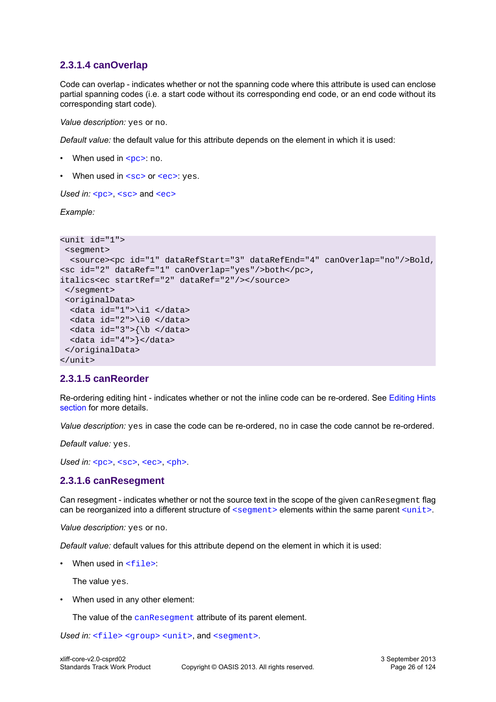#### <span id="page-25-2"></span>**2.3.1.4 canOverlap**

Code can overlap - indicates whether or not the spanning code where this attribute is used can enclose partial spanning codes (i.e. a start code without its corresponding end code, or an end code without its corresponding start code).

*Value description:* yes or no.

*Default value:* the default value for this attribute depends on the element in which it is used:

- When used in  $$ : no.
- When used in  $<$ sc  $>$  or  $<$ ec $>$ : yes.

*Used in:* [<pc>](#page-19-1), [<sc>](#page-20-0) and [<ec>](#page-21-0)

*Example:*

```
<unit id="1">
 <segment>
  <source><pc id="1" dataRefStart="3" dataRefEnd="4" canOverlap="no"/>Bold, 
<sc id="2" dataRef="1" canOverlap="yes"/>both</pc>, 
italics<ec startRef="2" dataRef="2"/></source>
 </segment>
  <originalData>
  <data id="1">\i1 </data>
  <data id="2">\i0 </data>
  <data id="3">{\b </data>
  <data id="4">}</data>
 </originalData>
</unit>
```
#### <span id="page-25-1"></span>**2.3.1.5 canReorder**

Re-ordering editing hint - indicates whether or not the inline code can be re-ordered. See [Editing Hints](#page-49-0) [section](#page-49-0) for more details.

*Value description:* yes in case the code can be re-ordered, no in case the code cannot be re-ordered.

*Default value:* yes.

*Used in:* [<pc>](#page-19-1), [<sc>](#page-20-0), [<ec>](#page-21-0), [<ph>](#page-19-0).

#### <span id="page-25-0"></span>**2.3.1.6 canResegment**

Can resegment - indicates whether or not the source text in the scope of the given canResegment flag can be reorganized into a different structure of  $\leq$  segment  $\geq$  elements within the same parent  $\leq$ unit  $\geq$ .

*Value description:* yes or no.

*Default value:* default values for this attribute depend on the element in which it is used:

• When used in  $\leq$  files:

The value yes.

• When used in any other element:

The value of the [canResegment](#page-25-0) attribute of its parent element.

Used in: [<file>](#page-13-0) [<group>](#page-14-1) [<unit>](#page-14-0), and [<segment>](#page-15-0).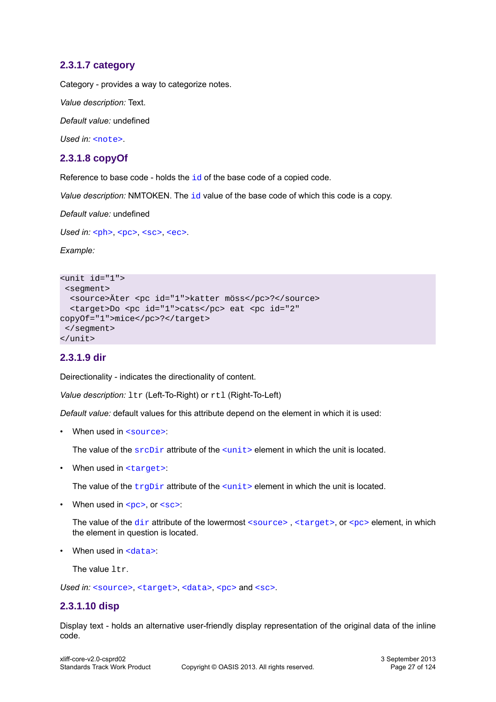#### <span id="page-26-0"></span>**2.3.1.7 category**

Category - provides a way to categorize notes.

*Value description:* Text.

*Default value:* undefined

*Used in:* [<note>](#page-16-1).

#### <span id="page-26-2"></span>**2.3.1.8 copyOf**

Reference to base code - holds the [id](#page-30-0) of the base code of a copied code.

*Value description:* NMTOKEN. The [id](#page-30-0) value of the base code of which this code is a copy.

*Default value:* undefined

Used in: [<ph>](#page-19-0), [<pc>](#page-19-1), [<sc>](#page-20-0), [<ec>](#page-21-0).

*Example:*

```
<unit id="1">
 <segment>
  <source>Äter <pc id="1">katter möss</pc>?</source>
  <target>Do <pc id="1">cats</pc> eat <pc id="2"
copyOf="1">mice</pc>?</target>
 </segment>
</unit>
```
#### <span id="page-26-1"></span>**2.3.1.9 dir**

Deirectionality - indicates the directionality of content.

*Value description:*  $ltr$  (Left-To-Right) or  $rtl$  (Right-To-Left)

*Default value:* default values for this attribute depend on the element in which it is used:

• When used in [<source>](#page-17-0):

The value of the  $\frac{\text{srcl}}{\text{cm}}$  attribute of the  $\frac{\text{cm}}{\text{cm}}$  element in which the unit is located.

• When used in [<target>](#page-17-1):

The value of the  $trgDir$  attribute of the  $\langle unit \rangle$  element in which the unit is located.

• When used in  $, or  $$ :$ 

The value of the [dir](#page-26-1) attribute of the lowermost  $\langle$ source>,  $\langle$ target>, or  $\langle$ pc> element, in which the element in question is located.

• When used in  $\langle data \rangle$ :

The value ltr.

Used in: [<source>](#page-17-0), [<target>](#page-17-1), [<data>](#page-16-3), [<pc>](#page-19-1) and [<sc>](#page-20-0).

#### <span id="page-26-3"></span>**2.3.1.10 disp**

Display text - holds an alternative user-friendly display representation of the original data of the inline code.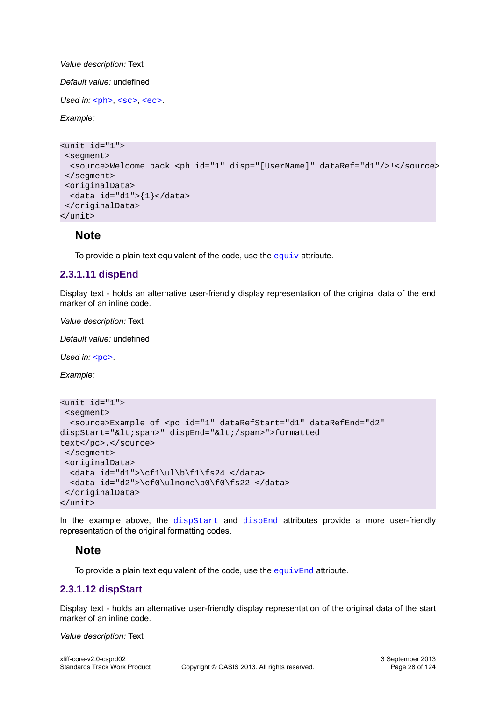*Value description:* Text

*Default value:* undefined

*Used in:* [<ph>](#page-19-0), [<sc>](#page-20-0), [<ec>](#page-21-0).

*Example:*

```
<unit id="1">
 <segment>
  <source>Welcome back <ph id="1" disp="[UserName]" dataRef="d1"/>!</source>
 </segment>
 <originalData>
 \frac{1}{d} <data id="d1">{1}</data>
 </originalData>
</unit>
```
#### **Note**

To provide a plain text [equiv](#page-28-0)alent of the code, use the  $equiv$  attribute.

#### <span id="page-27-0"></span>**2.3.1.11 dispEnd**

Display text - holds an alternative user-friendly display representation of the original data of the end marker of an inline code.

*Value description:* Text

*Default value:* undefined

*Used in:* [<pc>](#page-19-1).

*Example:*

```
<unit id="1">
 <segment>
  <source>Example of <pc id="1" dataRefStart="d1" dataRefEnd="d2"
dispStart="< span>" dispEnd="&lt; / span>">formatted
text</pc>.</source>
  </segment>
  <originalData>
   <data id="d1">\cf1\ul\b\f1\fs24 </data>
  <data id="d2">\cf0\ulnone\b0\f0\fs22 </data>
 </originalData>
</unit>
```
In the example above, the  $dis$  $Bat$  and  $dis$  $End$  attributes provide a more user-friendly representation of the original formatting codes.

#### **Note**

To provide a plain text equivalent of the code, use the  $\epsilon$  [equivEnd](#page-28-1) attribute.

#### <span id="page-27-1"></span>**2.3.1.12 dispStart**

Display text - holds an alternative user-friendly display representation of the original data of the start marker of an inline code.

*Value description:* Text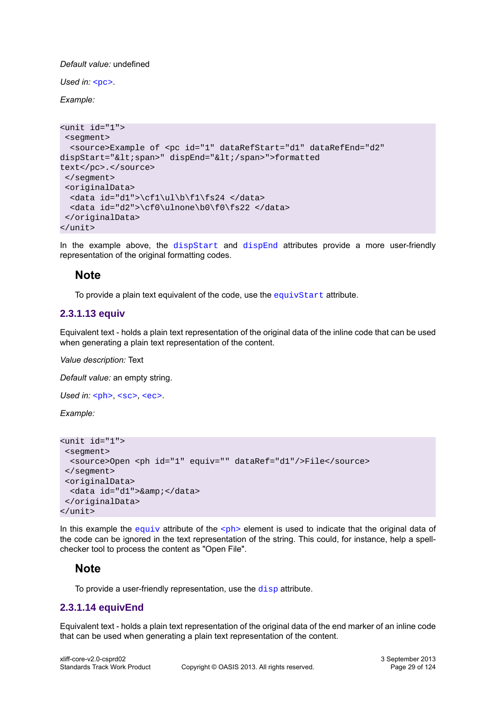#### *Default value:* undefined

*Used in:* [<pc>](#page-19-1).

*Example:*

```
<unit id="1">
 <segment>
  <source>Example of <pc id="1" dataRefStart="d1" dataRefEnd="d2"
dispStart="< span>" dispEnd="&lt; / span>">formatted
text</pc>.</source>
  </segment>
  <originalData>
 \cdotdata id="d1">\cf1\ul\b\f1\fs24 </data>
   <data id="d2">\cf0\ulnone\b0\f0\fs22 </data>
  </originalData>
</unit>
```
In the example above, the  $dis$  $B$  and  $dis$  $B$  attributes provide a more user-friendly representation of the original formatting codes.

#### **Note**

To provide a plain text equivalent of the code, use the [equivStart](#page-29-1) attribute.

#### <span id="page-28-0"></span>**2.3.1.13 equiv**

Equivalent text - holds a plain text representation of the original data of the inline code that can be used when generating a plain text representation of the content.

*Value description:* Text

*Default value:* an empty string.

Used in: [<ph>](#page-19-0), [<sc>](#page-20-0), [<ec>](#page-21-0).

*Example:*

```
<unit id="1">
 <segment>
  <source>Open <ph id="1" equiv="" dataRef="d1"/>File</source>
 </segment>
 <originalData>
   <data id="d1">&amp;</data>
 </originalData>
</unit>
```
In this example the [equiv](#page-28-0) attribute of the  $\langle$ ph> element is used to indicate that the original data of the code can be ignored in the text representation of the string. This could, for instance, help a spellchecker tool to process the content as "Open File".

#### **Note**

To provide a user-friendly representation, use the [disp](#page-26-3) attribute.

#### <span id="page-28-1"></span>**2.3.1.14 equivEnd**

Equivalent text - holds a plain text representation of the original data of the end marker of an inline code that can be used when generating a plain text representation of the content.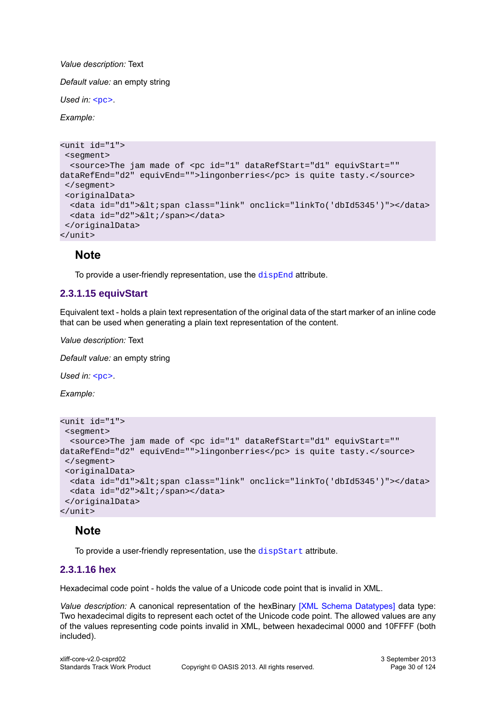*Value description:* Text

*Default value:* an empty string

*Used in:* [<pc>](#page-19-1).

*Example:*

```
<unit id="1">
  <segment>
  <source>The jam made of <pc id="1" dataRefStart="d1" equivStart=""
dataRefEnd="d2" equivEnd="">lingonberries</pc> is quite tasty.</source>
  </segment>
  <originalData>
  <data id="d1">&lt;span class="link" onclick="linkTo('dbId5345')"></data>
  <data id="d2">&lt;/span></data>
  </originalData>
</unit>
```
#### **Note**

To provide a user-friendly representation, use the [dispEnd](#page-27-0) attribute.

#### <span id="page-29-1"></span>**2.3.1.15 equivStart**

Equivalent text - holds a plain text representation of the original data of the start marker of an inline code that can be used when generating a plain text representation of the content.

*Value description:* Text

*Default value:* an empty string

*Used in:* [<pc>](#page-19-1).

*Example:*

```
<unit id="1">
 <segment>
  <source>The jam made of <pc id="1" dataRefStart="d1" equivStart=""
dataRefEnd="d2" equivEnd="">lingonberries</pc> is quite tasty.</source>
  </segment>
  <originalData>
  <data id="d1">&lt;span class="link" onclick="linkTo('dbId5345')"></data>
  <data id="d2">&lt;/span></data>
  </originalData>
</unit>
```
#### **Note**

To provide a user-friendly representation, use the [dispStart](#page-27-1) attribute.

#### <span id="page-29-0"></span>**2.3.1.16 hex**

Hexadecimal code point - holds the value of a Unicode code point that is invalid in XML.

*Value description:* A canonical representation of the hexBinary [\[XML Schema Datatypes\]](#page-9-3) data type: Two hexadecimal digits to represent each octet of the Unicode code point. The allowed values are any of the values representing code points invalid in XML, between hexadecimal 0000 and 10FFFF (both included).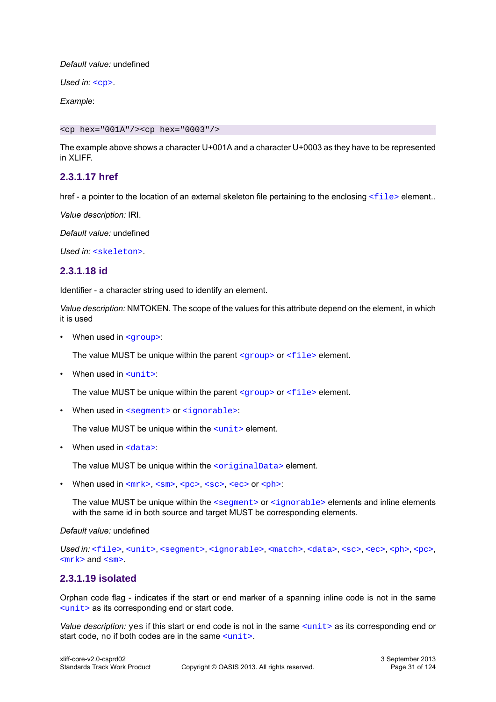#### *Default value:* undefined

Used in: [<cp>](#page-18-1).

*Example*:

<cp hex="001A"/><cp hex="0003"/>

The example above shows a character U+001A and a character U+0003 as they have to be represented in XI IFF.

#### <span id="page-30-1"></span>**2.3.1.17 href**

href - a pointer to the location of an external skeleton file pertaining to the enclosing  $\langle$ file> element..

*Value description:* IRI.

*Default value:* undefined

*Used in:* [<skeleton>](#page-13-1).

#### <span id="page-30-0"></span>**2.3.1.18 id**

Identifier - a character string used to identify an element.

*Value description:* NMTOKEN. The scope of the values for this attribute depend on the element, in which it is used

• When used in [<group>](#page-14-1):

The value MUST be unique within the parent  $\langle q_{\text{rough}} \rangle$  or  $\langle \text{file} \rangle$  element.

• When used in [<unit>](#page-14-0):

The value MUST be unique within the parent  $\langle\text{group}\rangle$  or  $\langle\text{file}\rangle$  element.

• When used in [<segment>](#page-15-0) or [<ignorable>](#page-15-1):

The value MUST be unique within the  $\langle$ unit> element.

• When used in  $\leq$ data>:

The value MUST be unique within the [<originalData>](#page-16-2) element.

• When used in  $\langle \frac{mrk}{s}, \langle \frac{sm}{s}, \langle \frac{sc}{s}, \langle \frac{sc}{s} \rangle \rangle$ 

The value MUST be unique within the  $\leq$  seqment > or  $\leq$  ignorable > elements and inline elements with the same id in both source and target MUST be corresponding elements.

#### *Default value:* undefined

Used in: [<file>](#page-13-0), [<unit>](#page-14-0), [<segment>](#page-15-0), [<ignorable>](#page-15-1), [<match>](#page-71-6), [<data>](#page-16-3), [<sc>](#page-20-0), [<ec>](#page-21-0), <en>, [<pc>](#page-19-1),  $<sub>mrk</sub> >$  and  $<sub>sm</sub> >$ .</sub></sub>

#### <span id="page-30-2"></span>**2.3.1.19 isolated**

Orphan code flag - indicates if the start or end marker of a spanning inline code is not in the same [<unit>](#page-14-0) as its corresponding end or start code.

*Value description:* yes if this start or end code is not in the same  $\langle$ unit> as its corresponding end or start code, no if both codes are in the same  $\langle$ unit>.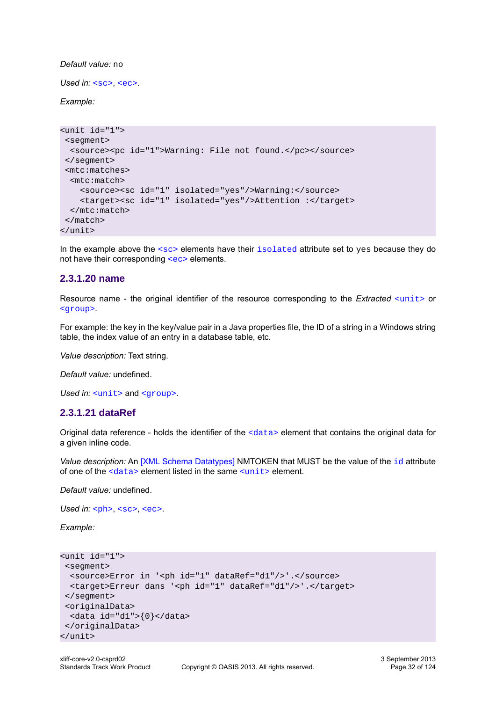*Default value:* no

Used in: [<sc>](#page-20-0), [<ec>](#page-21-0).

*Example:*

```
<unit id="1">
 <segment>
  <source><pc id="1">Warning: File not found.</pc></source>
 </segment>
 <mtc:matches>
  <mtc:match>
     <source><sc id="1" isolated="yes"/>Warning:</source>
     <target><sc id="1" isolated="yes"/>Attention :</target>
  </mtc:match>
 </match>
</unit>
```
In the example above the  $\langle \text{sc} \rangle$  elements have their [isolated](#page-30-2) attribute set to yes because they do not have their corresponding [<ec>](#page-21-0) elements.

#### <span id="page-31-0"></span>**2.3.1.20 name**

Resource name - the original identifier of the resource corresponding to the *Extracted* [<unit>](#page-14-0) or [<group>](#page-14-0).

For example: the key in the key/value pair in a Java properties file, the ID of a string in a Windows string table, the index value of an entry in a database table, etc.

*Value description:* Text string.

*Default value:* undefined.

Used in: [<unit>](#page-14-0) and [<group>](#page-14-0).

#### <span id="page-31-1"></span>**2.3.1.21 dataRef**

Original data reference - holds the identifier of the [<data>](#page-16-3) element that contains the original data for a given inline code.

*Value description:* An [\[XML Schema Datatypes\]](#page-9-3) NMTOKEN that MUST be the value of the [id](#page-30-0) attribute of one of the [<data>](#page-16-3) element listed in the same [<unit>](#page-14-0) element.

*Default value:* undefined.

Used in: [<ph>](#page-19-0), [<sc>](#page-20-0), [<ec>](#page-21-0).

*Example:*

```
<unit id="1">
 <segment>
  <source>Error in '<ph id="1" dataRef="d1"/>'.</source>
  <target>Erreur dans '<ph id="1" dataRef="d1"/>'.</target>
 </segment>
 <originalData>
 <data id="d1">{0}</data>
 </originalData>
</unit>
```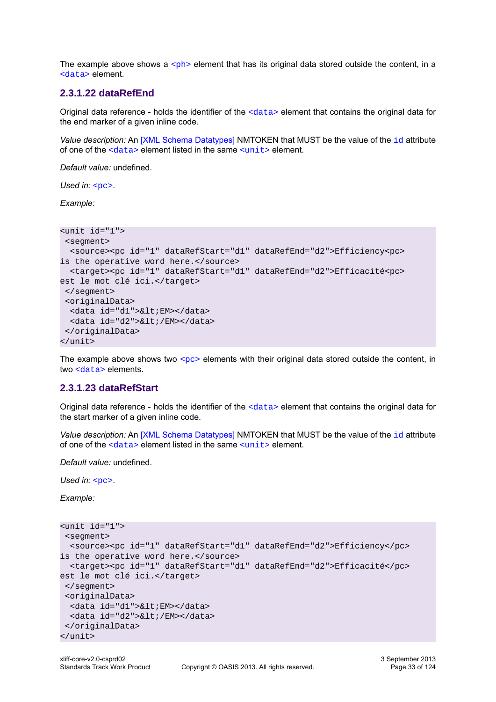The example above shows a  $\langle$ ph> element that has its original data stored outside the content, in a [<data>](#page-16-3) element.

#### <span id="page-32-0"></span>**2.3.1.22 dataRefEnd**

Original data reference - holds the identifier of the  $\langle data \rangle$  element that contains the original data for the end marker of a given inline code.

*Value description:* An [\[XML Schema Datatypes\]](#page-9-3) NMTOKEN that MUST be the value of the [id](#page-30-0) attribute of one of the  $\langle data \rangle$  element listed in the same  $\langle units \rangle$  element.

*Default value:* undefined.

*Used in:* [<pc>](#page-19-1).

*Example:*

```
<unit id="1">
 <segment>
  <source><pc id="1" dataRefStart="d1" dataRefEnd="d2">Efficiency<pc>
is the operative word here.</source>
  <target><pc id="1" dataRefStart="d1" dataRefEnd="d2">Efficacité<pc>
est le mot clé ici.</target>
  </segment>
  <originalData>
 <data id="d1">&lt;EM></data>
  <data id="d2">&lt;/EM></data>
  </originalData>
</unit>
```
The example above shows two  $<sub>PC</sub>$  elements with their original data stored outside the content, in</sub> two [<data>](#page-16-3) elements.

#### <span id="page-32-1"></span>**2.3.1.23 dataRefStart**

Original data reference - holds the identifier of the [<data>](#page-16-3) element that contains the original data for the start marker of a given inline code.

*Value description:* An [\[XML Schema Datatypes\]](#page-9-3) NMTOKEN that MUST be the value of the [id](#page-30-0) attribute of one of the  $\langle data \rangle$  element listed in the same  $\langle units \rangle$  element.

*Default value:* undefined.

*Used in:* [<pc>](#page-19-1).

*Example:*

```
<unit id="1">
 <segment>
  <source><pc id="1" dataRefStart="d1" dataRefEnd="d2">Efficiency</pc>
is the operative word here.</source>
  <target><pc id="1" dataRefStart="d1" dataRefEnd="d2">Efficacité</pc>
est le mot clé ici.</target>
 </segment>
 <originalData>
 <data id="d1">&lt;EM></data>
  <data id="d2">&lt;/EM></data>
 </originalData>
</unit>
```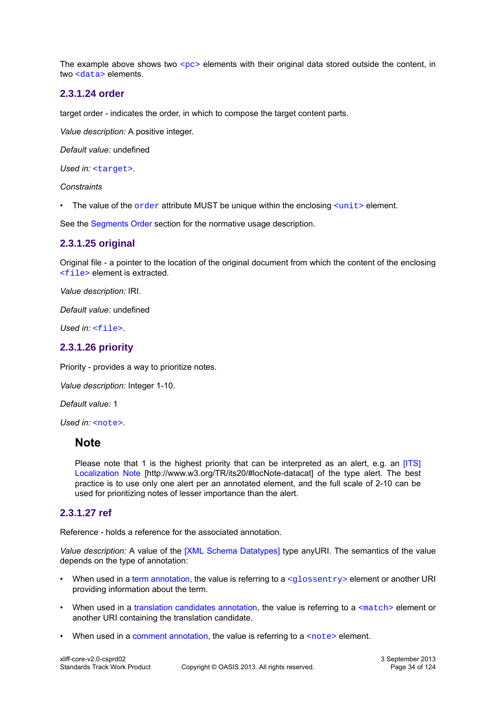The example above shows two  $p \sim$  elements with their original data stored outside the content, in two [<data>](#page-16-3) elements.

#### <span id="page-33-2"></span>**2.3.1.24 order**

target order - indicates the order, in which to compose the target content parts.

*Value description:* A positive integer.

*Default value:* undefined

*Used in:* [<target>](#page-17-1).

#### *Constraints*

• The value of the  $order$  attribute MUST be unique within the enclosing  $\langle unit \rangle$  element.

See the [Segments Order](#page-58-0) section for the normative usage description.

#### <span id="page-33-0"></span>**2.3.1.25 original**

Original file - a pointer to the location of the original document from which the content of the enclosing [<file>](#page-13-0) element is extracted.

*Value description:* IRI.

*Default value:* undefined

*Used in:* [<file>](#page-13-0).

#### <span id="page-33-1"></span>**2.3.1.26 priority**

Priority - provides a way to prioritize notes.

*Value description:* Integer 1-10.

*Default value:* 1

Used in: [<note>](#page-16-1).

#### **Note**

Please note that 1 is the highest priority that can be interpreted as an alert, e.g. an [\[ITS\]](#page-9-4) [Localization Note](http://www.w3.org/TR/its20/#locNote-datacat) [http://www.w3.org/TR/its20/#locNote-datacat] of the type alert. The best practice is to use only one alert per an annotated element, and the full scale of 2-10 can be used for prioritizing notes of lesser importance than the alert.

#### <span id="page-33-3"></span>**2.3.1.27 ref**

Reference - holds a reference for the associated annotation.

*Value description:* A value of the [\[XML Schema Datatypes\]](#page-9-3) type anyURI. The semantics of the value depends on the type of annotation:

- When used in a [term annotation,](#page-50-1) the value is referring to a <qlossentry> element or another URI providing information about the term.
- When used in a [translation candidates annotation,](#page-51-0) the value is referring to a  $\epsilon_{\text{match}}$  element or another URI containing the translation candidate.
- When used in a [comment annotation,](#page-51-1) the value is referring to a  $\epsilon_{\text{note}}$  element.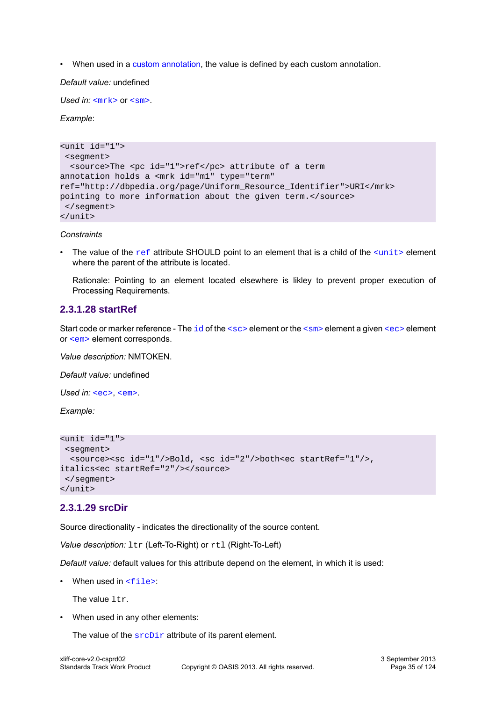• When used in a [custom annotation,](#page-52-0) the value is defined by each custom annotation.

#### *Default value:* undefined

*Used in:*  $\langle m r k \rangle$  or  $\langle s m \rangle$ .

#### *Example*:

```
<unit id="1">
 <segment>
  <source>The <pc id="1">ref</pc> attribute of a term 
annotation holds a <mrk id="m1" type="term" 
ref="http://dbpedia.org/page/Uniform_Resource_Identifier">URI</mrk>
pointing to more information about the given term.</source>
 </segment>
</unit>
```
*Constraints*

The value of the  $ref$  attribute SHOULD point to an element that is a child of the  $\langle$ unit> element where the parent of the attribute is located.

Rationale: Pointing to an element located elsewhere is likley to prevent proper execution of Processing Requirements.

#### <span id="page-34-1"></span>**2.3.1.28 startRef**

Start code or marker reference - The  $\pm d$  of the  $<$ sc> element or the  $<$ sm> element a given  $<$ ec> element or [<em>](#page-24-3) element corresponds.

*Value description:* NMTOKEN.

*Default value:* undefined

Used in: **[<ec>](#page-21-0), [<em>](#page-24-3)**.

*Example:*

```
<unit id="1">
 <segment>
  <source><sc id="1"/>Bold, <sc id="2"/>both<ec startRef="1"/>,
italics<ec startRef="2"/></source>
 </segment>
</unit>
```
#### <span id="page-34-0"></span>**2.3.1.29 srcDir**

Source directionality - indicates the directionality of the source content.

*Value description:*  $ltr$  (Left-To-Right) or  $rtl$  (Right-To-Left)

*Default value:* default values for this attribute depend on the element, in which it is used:

• When used in  $\leq f \leq 1$ 

The value  $1+r$ .

• When used in any other elements:

The value of the  $\frac{\text{arcDir}}{\text{arcl}}$  attribute of its parent element.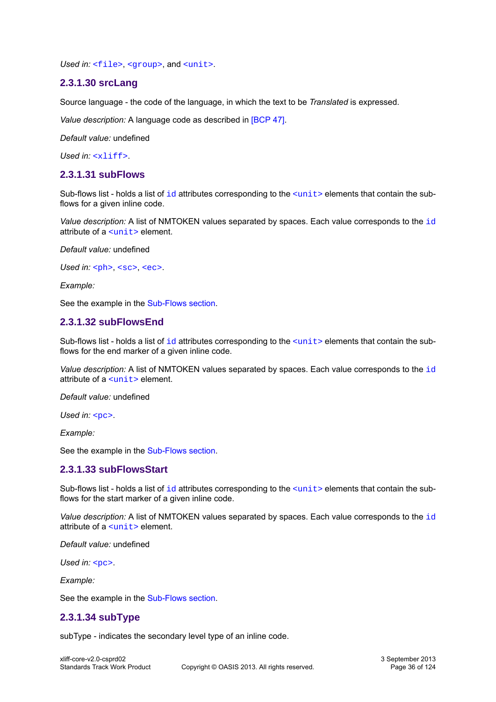Used in: [<file>](#page-13-0), [<group>](#page-14-1), and [<unit>](#page-14-0).

#### <span id="page-35-0"></span>**2.3.1.30 srcLang**

Source language - the code of the language, in which the text to be *Translated* is expressed.

*Value description:* A language code as described in [\[BCP 47\].](#page-9-5)

*Default value:* undefined

*Used in:* [<xliff>](#page-12-1).

#### <span id="page-35-1"></span>**2.3.1.31 subFlows**

Sub-flows list - holds a list of  $id$  attributes corresponding to the  $\langle unit \rangle$  elements that contain the subflows for a given inline code.

*Value description:* A list of NMTOKEN values separated by spaces. Each value corresponds to the [id](#page-30-0) attribute of a [<unit>](#page-14-0) element.

*Default value:* undefined

```
<ph><sc><ec>.
```
*Example:*

See the example in the [Sub-Flows section.](#page-53-0)

#### <span id="page-35-3"></span>**2.3.1.32 subFlowsEnd**

Sub-flows list - holds a list of  $id$  attributes corresponding to the  $\langle unit \rangle$  elements that contain the subflows for the end marker of a given inline code.

*Value description:* A list of NMTOKEN values separated by spaces. Each value corresponds to the [id](#page-30-0) attribute of a [<unit>](#page-14-0) element.

*Default value:* undefined

*Used in:* [<pc>](#page-19-1).

*Example:*

See the example in the [Sub-Flows section.](#page-53-0)

#### <span id="page-35-4"></span>**2.3.1.33 subFlowsStart**

Sub-flows list - holds a list of  $id$  attributes corresponding to the  $\langle unit \rangle$  elements that contain the subflows for the start marker of a given inline code.

*Value description:* A list of NMTOKEN values separated by spaces. Each value corresponds to the [id](#page-30-0) attribute of a [<unit>](#page-14-0) element.

*Default value:* undefined

*Used in:* [<pc>](#page-19-1).

*Example:*

See the example in the [Sub-Flows section.](#page-53-0)

#### <span id="page-35-2"></span>**2.3.1.34 subType**

subType - indicates the secondary level type of an inline code.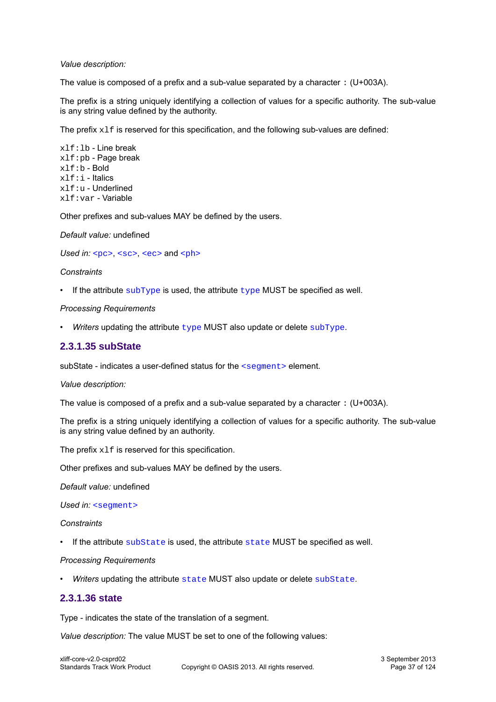### *Value description:*

The value is composed of a prefix and a sub-value separated by a character : (U+003A).

The prefix is a string uniquely identifying a collection of values for a specific authority. The sub-value is any string value defined by the authority.

The prefix  $x1f$  is reserved for this specification, and the following sub-values are defined:

xlf:lb - Line break xlf:pb - Page break xlf:b - Bold xlf:i - Italics xlf:u - Underlined xlf:var - Variable

Other prefixes and sub-values MAY be defined by the users.

*Default value:* undefined

*Used in:* [<pc>](#page-19-0), [<sc>](#page-20-0), [<ec>](#page-21-0) and [<ph>](#page-19-1)

### *Constraints*

• If the attribute  $subType$  is used, the attribute  $type$  MUST be specified as well.

### *Processing Requirements*

• *Writers* updating the attribute [type](#page-38-0) MUST also update or delete [subType](#page-35-0).

### <span id="page-36-0"></span>**2.3.1.35 subState**

subState - indicates a user-defined status for the [<segment>](#page-15-0) element.

#### *Value description:*

The value is composed of a prefix and a sub-value separated by a character : (U+003A).

The prefix is a string uniquely identifying a collection of values for a specific authority. The sub-value is any string value defined by an authority.

The prefix  $x1f$  is reserved for this specification.

Other prefixes and sub-values MAY be defined by the users.

*Default value:* undefined

Used in: [<segment>](#page-15-0)

*Constraints*

• If the attribute [subState](#page-36-0) is used, the attribute [state](#page-36-1) MUST be specified as well.

#### *Processing Requirements*

Writers updating the attribute [state](#page-36-1) MUST also update or delete [subState](#page-36-0).

### <span id="page-36-1"></span>**2.3.1.36 state**

Type - indicates the state of the translation of a segment.

*Value description:* The value MUST be set to one of the following values: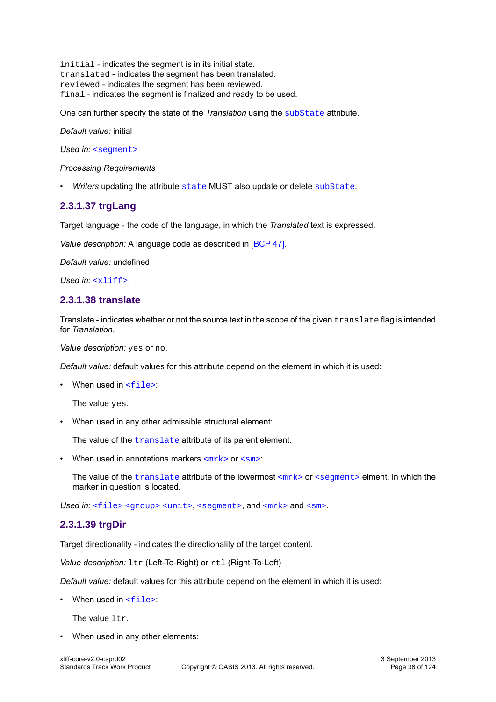initial - indicates the segment is in its initial state. translated - indicates the segment has been translated. reviewed - indicates the segment has been reviewed. final - indicates the segment is finalized and ready to be used.

One can further specify the state of the *Translation* using the [subState](#page-36-0) attribute.

*Default value:* initial

Used in: [<segment>](#page-15-0)

*Processing Requirements*

• *Writers* updating the attribute [state](#page-36-1) MUST also update or delete [subState](#page-36-0).

### **2.3.1.37 trgLang**

Target language - the code of the language, in which the *Translated* text is expressed.

*Value description:* A language code as described in [\[BCP 47\].](#page-9-0)

*Default value:* undefined

*Used in:* [<xliff>](#page-12-0).

### <span id="page-37-0"></span>**2.3.1.38 translate**

Translate - indicates whether or not the source text in the scope of the given translate flag is intended for *Translation*.

*Value description:* yes or no.

*Default value:* default values for this attribute depend on the element in which it is used:

• When used in  $\leq$  file>:

The value yes.

• When used in any other admissible structural element:

The value of the *[translate](#page-37-0)* attribute of its parent element.

• When used in annotations markers  $\langle m r k \rangle$  or  $\langle s m \rangle$ :

The value of the  $translate$  attribute of the lowermost  $\langle m \rangle$  or  $\langle segment \rangle$  elment, in which the marker in question is located.

Used in: [<file>](#page-13-0) [<group>](#page-14-0) [<unit>](#page-14-1), [<segment>](#page-15-0), and [<mrk>](#page-23-0) and [<sm>](#page-23-1).

### <span id="page-37-1"></span>**2.3.1.39 trgDir**

Target directionality - indicates the directionality of the target content.

*Value description:*  $ltr$  (Left-To-Right) or  $rtl$  (Right-To-Left)

*Default value:* default values for this attribute depend on the element in which it is used:

• When used in  $\leq$ file>

The value  $1tr.$ 

• When used in any other elements: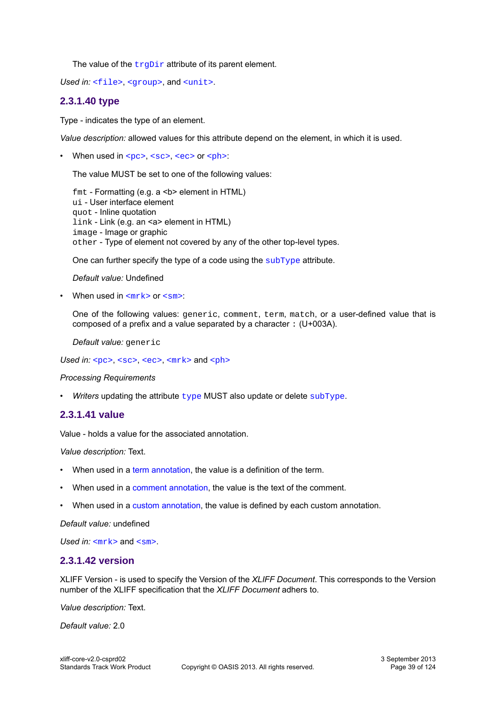The value of the  $trgDir$  attribute of its parent element.

Used in: [<file>](#page-13-0), [<group>](#page-14-0), and [<unit>](#page-14-1).

### <span id="page-38-0"></span>**2.3.1.40 type**

Type - indicates the type of an element.

*Value description:* allowed values for this attribute depend on the element, in which it is used.

• When used in  $<sub>pc</sub>$ ,  $<sub>sc</sub>$ ,  $<sub>ec</sub>$  or  $<sub>ph</sub>$ :</sub></sub></sub></sub>

The value MUST be set to one of the following values:

fmt - Formatting (e.g. a <b> element in HTML) ui - User interface element quot - Inline quotation link - Link (e.g. an <a> element in HTML) image - Image or graphic other - Type of element not covered by any of the other top-level types.

One can further specify the type of a code using the [subType](#page-35-0) attribute.

*Default value:* Undefined

• When used in  $\langle m r k \rangle$  or  $\langle s m \rangle$ :

One of the following values: generic, comment, term, match, or a user-defined value that is composed of a prefix and a value separated by a character : (U+003A).

*Default value:* generic

Used in: [<pc>](#page-19-0), [<sc>](#page-20-0), [<ec>](#page-21-0), [<mrk>](#page-23-0) and [<ph>](#page-19-1)

#### *Processing Requirements*

• *Writers* updating the attribute [type](#page-38-0) MUST also update or delete [subType](#page-35-0).

### <span id="page-38-1"></span>**2.3.1.41 value**

Value - holds a value for the associated annotation.

*Value description:* Text.

- When used in a [term annotation,](#page-50-0) the value is a definition of the term.
- When used in a [comment annotation,](#page-51-0) the value is the text of the comment.
- When used in a [custom annotation,](#page-52-0) the value is defined by each custom annotation.

*Default value:* undefined

*Used in:* [<mrk>](#page-23-0) and [<sm>](#page-23-1).

### **2.3.1.42 version**

XLIFF Version - is used to specify the Version of the *XLIFF Document*. This corresponds to the Version number of the XLIFF specification that the *XLIFF Document* adhers to.

*Value description:* Text.

*Default value:* 2.0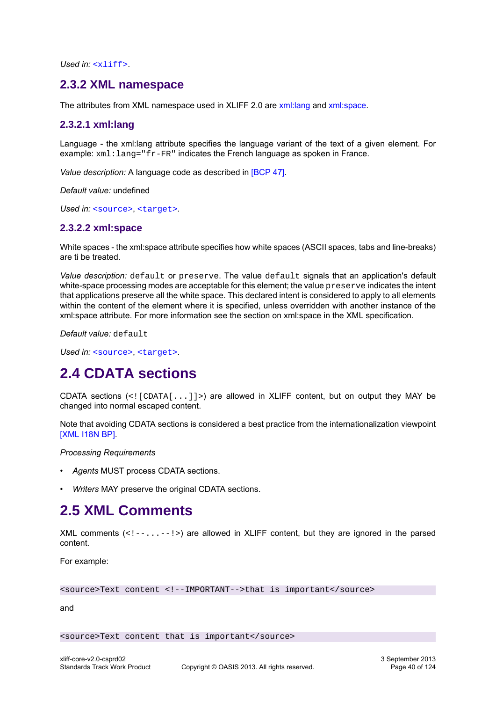*Used in:* [<xliff>](#page-12-0).

## **2.3.2 XML namespace**

The attributes from XML namespace used in XLIFF 2.0 are [xml:lang](#page-39-0) and [xml:space.](#page-39-1)

### <span id="page-39-0"></span>**2.3.2.1 xml:lang**

Language - the xml:lang attribute specifies the language variant of the text of a given element. For example: xml:lang="fr-FR" indicates the French language as spoken in France.

*Value description:* A language code as described in [\[BCP 47\].](#page-9-0)

*Default value:* undefined

<span id="page-39-1"></span>Used in: [<source>](#page-17-0), [<target>](#page-17-1).

### **2.3.2.2 xml:space**

White spaces - the xml:space attribute specifies how white spaces (ASCII spaces, tabs and line-breaks) are ti be treated.

*Value description:* default or preserve. The value default signals that an application's default white-space processing modes are acceptable for this element; the value preserve indicates the intent that applications preserve all the white space. This declared intent is considered to apply to all elements within the content of the element where it is specified, unless overridden with another instance of the xml:space attribute. For more information see the section on xml:space in the XML specification.

*Default value:* default

Used in: [<source>](#page-17-0), [<target>](#page-17-1).

# **2.4 CDATA sections**

CDATA sections  $\langle \langle \cdot | \cdot | \cdot \rangle$  are allowed in XLIFF content, but on output they MAY be changed into normal escaped content.

Note that avoiding CDATA sections is considered a best practice from the internationalization viewpoint [\[XML I18N BP\]](#page-9-1).

*Processing Requirements*

- *Agents* MUST process CDATA sections.
- *Writers* MAY preserve the original CDATA sections.

# **2.5 XML Comments**

XML comments  $(\langle \cdot \rangle - \langle \cdot \rangle - \langle \cdot \rangle)$  are allowed in XLIFF content, but they are ignored in the parsed content.

For example:

<source>Text content <!--IMPORTANT-->that is important</source>

and

<source>Text content that is important</source>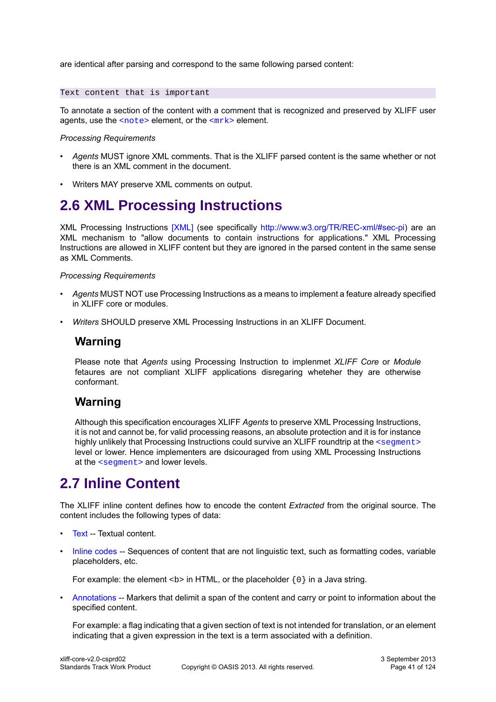are identical after parsing and correspond to the same following parsed content:

Text content that is important

To annotate a section of the content with a comment that is recognized and preserved by XLIFF user agents, use the  $<sub>note</sub>$  element, or the  $<sub>mrk</sub>$  element.</sub></sub>

#### *Processing Requirements*

- *Agents* MUST ignore XML comments. That is the XLIFF parsed content is the same whether or not there is an XML comment in the document.
- Writers MAY preserve XML comments on output.

# **2.6 XML Processing Instructions**

XML Processing Instructions [\[XML\]](#page-9-2) (see specifically [http://www.w3.org/TR/REC-xml/#sec-pi\)](http://www.w3.org/TR/REC-xml/#sec-pi) are an XML mechanism to "allow documents to contain instructions for applications." XML Processing Instructions are allowed in XLIFF content but they are ignored in the parsed content in the same sense as XML Comments.

#### *Processing Requirements*

- *Agents* MUST NOT use Processing Instructions as a means to implement a feature already specified in XLIFF core or modules.
- *Writers* SHOULD preserve XML Processing Instructions in an XLIFF Document.

## **Warning**

Please note that *Agents* using Processing Instruction to implenmet *XLIFF Core* or *Module* fetaures are not compliant XLIFF applications disregaring wheteher they are otherwise conformant.

# **Warning**

Although this specification encourages XLIFF *Agents* to preserve XML Processing Instructions, it is not and cannot be, for valid processing reasons, an absolute protection and it is for instance highly unlikely that Processing Instructions could survive an XLIFF roundtrip at the [<segment>](#page-15-0) level or lower. Hence implementers are dsicouraged from using XML Processing Instructions at the [<segment>](#page-15-0) and lower levels.

# **2.7 Inline Content**

The XLIFF inline content defines how to encode the content *Extracted* from the original source. The content includes the following types of data:

- [Text](#page-41-0) -- Textual content.
- [Inline codes](#page-41-1) -- Sequences of content that are not linguistic text, such as formatting codes, variable placeholders, etc.

For example: the element  $\langle b \rangle$  in HTML, or the placeholder  $\{0\}$  in a Java string.

• [Annotations](#page-50-1) -- Markers that delimit a span of the content and carry or point to information about the specified content.

For example: a flag indicating that a given section of text is not intended for translation, or an element indicating that a given expression in the text is a term associated with a definition.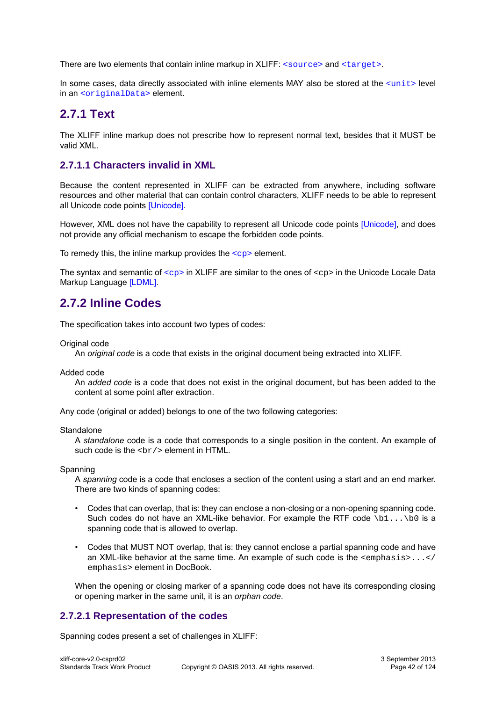There are two elements that contain inline markup in  $XLIFF:  and .$ 

In some cases, data directly associated with inline elements MAY also be stored at the  $\langle$ unit> level in an [<originalData>](#page-16-1) element.

## <span id="page-41-0"></span>**2.7.1 Text**

The XLIFF inline markup does not prescribe how to represent normal text, besides that it MUST be valid XML.

### **2.7.1.1 Characters invalid in XML**

Because the content represented in XLIFF can be extracted from anywhere, including software resources and other material that can contain control characters, XLIFF needs to be able to represent all Unicode code points [\[Unicode\]](#page-9-3).

However, XML does not have the capability to represent all Unicode code points [\[Unicode\],](#page-9-3) and does not provide any official mechanism to escape the forbidden code points.

To remedy this, the inline markup provides the  $\langle$  cp> element.

The syntax and semantic of  $\langle$ cp> in XLIFF are similar to the ones of  $\langle$ cp> in the Unicode Locale Data Markup Language [\[LDML\].](#page-9-4)

# <span id="page-41-1"></span>**2.7.2 Inline Codes**

The specification takes into account two types of codes:

Original code

An *original code* is a code that exists in the original document being extracted into XLIFF.

Added code

An *added code* is a code that does not exist in the original document, but has been added to the content at some point after extraction.

Any code (original or added) belongs to one of the two following categories:

**Standalone** 

A *standalone* code is a code that corresponds to a single position in the content. An example of such code is the  $\langle \text{Br}/\rangle$  element in HTML.

Spanning

A *spanning* code is a code that encloses a section of the content using a start and an end marker. There are two kinds of spanning codes:

- Codes that can overlap, that is: they can enclose a non-closing or a non-opening spanning code. Such codes do not have an XML-like behavior. For example the RTF code  $\bmod$  ...  $\bmod$  is a spanning code that is allowed to overlap.
- Codes that MUST NOT overlap, that is: they cannot enclose a partial spanning code and have an XML-like behavior at the same time. An example of such code is the <emphasis>...</ emphasis> element in DocBook.

When the opening or closing marker of a spanning code does not have its corresponding closing or opening marker in the same unit, it is an *orphan code*.

### **2.7.2.1 Representation of the codes**

Spanning codes present a set of challenges in XLIFF: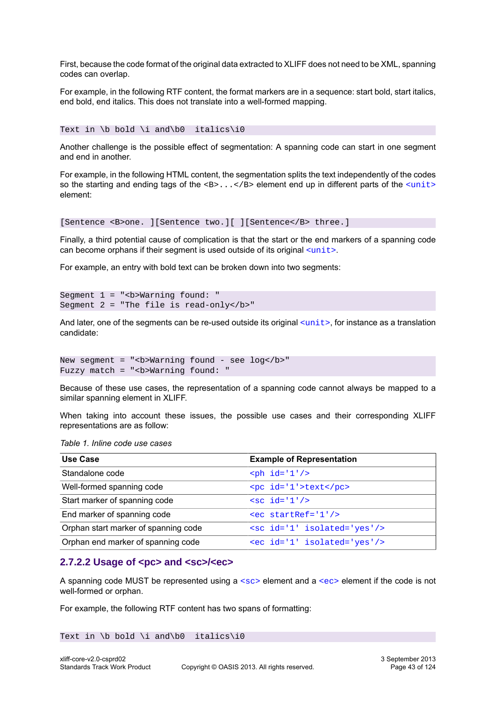First, because the code format of the original data extracted to XLIFF does not need to be XML, spanning codes can overlap.

For example, in the following RTF content, the format markers are in a sequence: start bold, start italics, end bold, end italics. This does not translate into a well-formed mapping.

Text in \b bold \i and\b0 italics\i0

Another challenge is the possible effect of segmentation: A spanning code can start in one segment and end in another.

For example, in the following HTML content, the segmentation splits the text independently of the codes so the starting and ending tags of the  $\langle B \rangle$ ... $\langle B \rangle$  element end up in different parts of the  $\langle \text{unit} \rangle$ element:

[Sentence <B>one. ][Sentence two.][ ][Sentence</B> three.]

Finally, a third potential cause of complication is that the start or the end markers of a spanning code can become orphans if their segment is used outside of its original  $\langle$ unit>.

For example, an entry with bold text can be broken down into two segments:

```
Segment 1 = "<b>Warning found: "
Segment 2 = "The file is read-only</b>"
```
And later, one of the segments can be re-used outside its original  $\langle$ unit>, for instance as a translation candidate:

```
New segment = "<b>Warning found - see log</b>"
Fuzzy match = "<b>Warning found: "
```
Because of these use cases, the representation of a spanning code cannot always be mapped to a similar spanning element in XLIFF.

When taking into account these issues, the possible use cases and their corresponding XLIFF representations are as follow:

|  |  | Table 1. Inline code use cases |
|--|--|--------------------------------|
|  |  |                                |

| Use Case                             | <b>Example of Representation</b> |
|--------------------------------------|----------------------------------|
| Standalone code                      | $aph$ id='1'/>                   |
| Well-formed spanning code            | <pc id="1">text</pc>             |
| Start marker of spanning code        | $\text{sc id} = 1'/2$            |
| End marker of spanning code          | $\epsilon$ ec startRef='1'/>     |
| Orphan start marker of spanning code | <sc id="1" isolated="yes"></sc>  |
| Orphan end marker of spanning code   | <ec id="1" isolated="yes"></ec>  |

#### <span id="page-42-0"></span>**2.7.2.2 Usage of <pc> and <sc>/<ec>**

A spanning code MUST be represented using a  $<sub>SC</sub>$  element and a  $<sub>CC</sub>$  element if the code is not</sub></sub> well-formed or orphan.

For example, the following RTF content has two spans of formatting:

Text in \b bold \i and\b0 italics\i0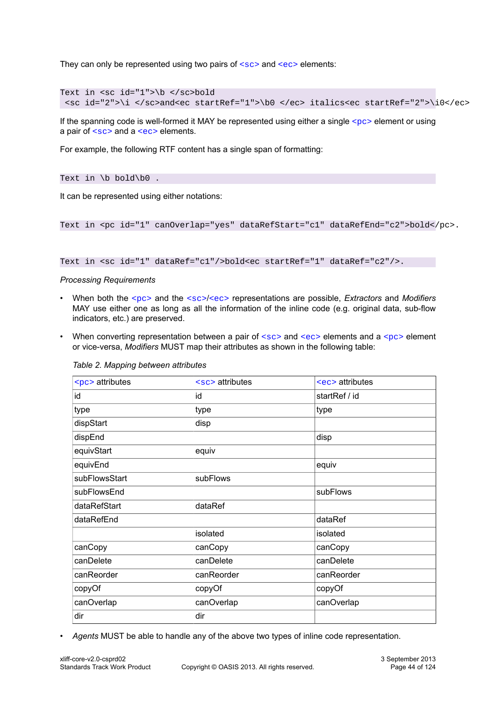They can only be represented using two pairs of  $\langle \sec \rangle$  and  $\langle \sec \rangle$  elements:

```
Text in <sc id="1">\b </sc>bold
 <sc id="2">\i </sc>and<ec startRef="1">\b0 </ec> italics<ec startRef="2">\i0</ec>
```
If the spanning code is well-formed it MAY be represented using either a single  $<sub>pc</sub>$  element or using</sub> a pair of  $\langle \text{sc} \rangle$  and a  $\langle \text{ec} \rangle$  elements.

For example, the following RTF content has a single span of formatting:

Text in  $\b{b}$  bold $\b{b}$ .

It can be represented using either notations:

```
Text in <pc id="1" canOverlap="yes" dataRefStart="c1" dataRefEnd="c2">bold</pc>.
```

```
Text in <sc id="1" dataRef="c1"/>bold<ec startRef="1" dataRef="c2"/>.
```
### *Processing Requirements*

- When both the [<pc>](#page-19-0) and the [<sc>](#page-20-0)/[<ec>](#page-21-0) representations are possible, *Extractors* and *Modifiers* MAY use either one as long as all the information of the inline code (e.g. original data, sub-flow indicators, etc.) are preserved.
- When converting representation between a pair of  $\langle \sec \rangle$  and  $\langle \sec \rangle$  elements and a  $\langle \sec \rangle$  element or vice-versa, *Modifiers* MUST map their attributes as shown in the following table:

| <pc> attributes</pc> | $sec$ attributes | $\epsilon$ ec> attributes |  |
|----------------------|------------------|---------------------------|--|
| id                   | id               | startRef / id             |  |
| type                 | type             | type                      |  |
| dispStart            | disp             |                           |  |
| dispEnd              |                  | disp                      |  |
| equivStart           | equiv            |                           |  |
| equivEnd             |                  | equiv                     |  |
| subFlowsStart        | subFlows         |                           |  |
| subFlowsEnd          |                  | subFlows                  |  |
| dataRefStart         | dataRef          |                           |  |
| dataRefEnd           |                  | dataRef                   |  |
|                      | isolated         | isolated                  |  |
| canCopy              | canCopy          | canCopy                   |  |
| canDelete            | canDelete        | canDelete                 |  |
| canReorder           | canReorder       | canReorder                |  |
| copyOf               | copyOf           | copyOf                    |  |
| canOverlap           | canOverlap       | canOverlap                |  |
| dir                  | dir              |                           |  |
|                      |                  |                           |  |

#### *Table 2. Mapping between attributes*

• *Agents* MUST be able to handle any of the above two types of inline code representation.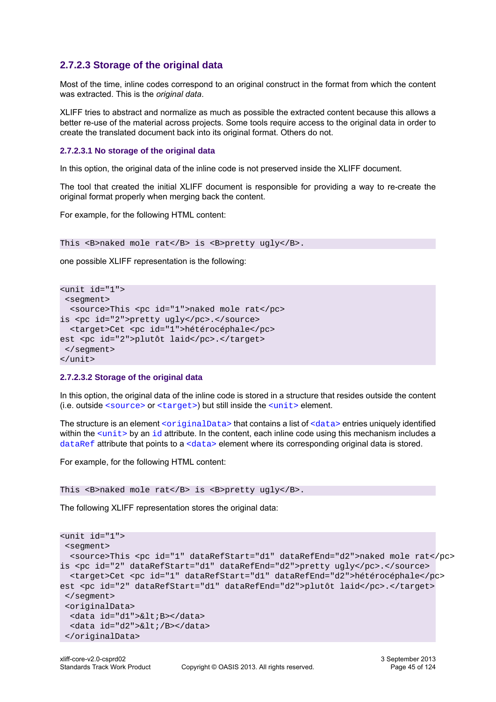### **2.7.2.3 Storage of the original data**

Most of the time, inline codes correspond to an original construct in the format from which the content was extracted. This is the *original data*.

XLIFF tries to abstract and normalize as much as possible the extracted content because this allows a better re-use of the material across projects. Some tools require access to the original data in order to create the translated document back into its original format. Others do not.

### **2.7.2.3.1 No storage of the original data**

In this option, the original data of the inline code is not preserved inside the XLIFF document.

The tool that created the initial XLIFF document is responsible for providing a way to re-create the original format properly when merging back the content.

For example, for the following HTML content:

This <B>naked mole rat</B> is <B>pretty ugly</B>.

one possible XLIFF representation is the following:

```
<unit id="1">
 <segment>
  <source>This <pc id="1">naked mole rat</pc>
is <pc id="2">pretty ugly</pc>.</source>
  <target>Cet <pc id="1">hétérocéphale</pc>
est <pc id="2">plutôt laid</pc>.</target>
 </segment>
</unit>
```
#### **2.7.2.3.2 Storage of the original data**

In this option, the original data of the inline code is stored in a structure that resides outside the content (i.e. outside [<source>](#page-17-0) or [<target>](#page-17-1)) but still inside the [<unit>](#page-14-1) element.

The structure is an element [<originalData>](#page-16-1) that contains a list of [<data>](#page-16-2) entries uniquely identified within the  $\le$ unit> by an [id](#page-30-0) attribute. In the content, each inline code using this mechanism includes a [dataRef](#page-31-0) attribute that points to a  $\langle \text{data} \rangle$  element where its corresponding original data is stored.

For example, for the following HTML content:

This <B>naked mole rat</B> is <B>pretty ugly</B>.

The following XLIFF representation stores the original data:

```
<unit id="1">
 <segment>
  <source>This <pc id="1" dataRefStart="d1" dataRefEnd="d2">naked mole rat</pc>
is <pc id="2" dataRefStart="d1" dataRefEnd="d2">pretty ugly</pc>.</source>
  <target>Cet <pc id="1" dataRefStart="d1" dataRefEnd="d2">hétérocéphale</pc>
est <pc id="2" dataRefStart="d1" dataRefEnd="d2">plutôt laid</pc>.</target>
 </segment>
  <originalData>
 <data id="d1">&lt;B></data>
 <data id="d2">&lt;/B></data>
 </originalData>
```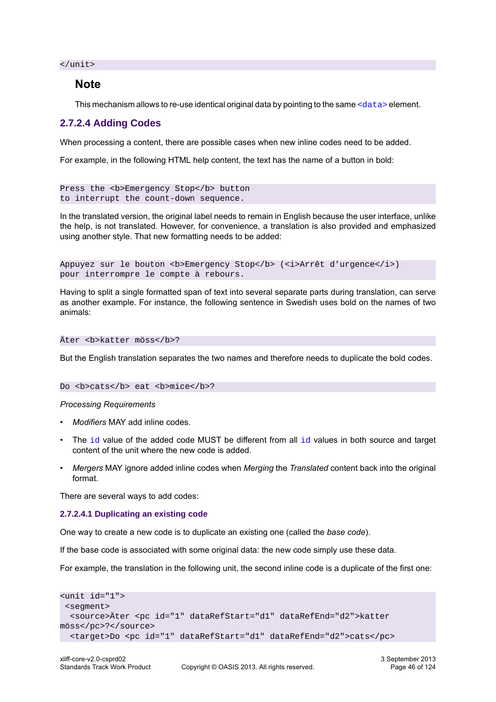</unit>

### **Note**

This mechanism allows to re-use identical original data by pointing to the same [<data>](#page-16-2) element.

### **2.7.2.4 Adding Codes**

When processing a content, there are possible cases when new inline codes need to be added.

For example, in the following HTML help content, the text has the name of a button in bold:

```
Press the <b>Emergency Stop</b> button
to interrupt the count-down sequence.
```
In the translated version, the original label needs to remain in English because the user interface, unlike the help, is not translated. However, for convenience, a translation is also provided and emphasized using another style. That new formatting needs to be added:

```
Appuyez sur le bouton <b>Emergency Stop</b> (<i>Arrêt d'urgence</i>)
pour interrompre le compte à rebours.
```
Having to split a single formatted span of text into several separate parts during translation, can serve as another example. For instance, the following sentence in Swedish uses bold on the names of two animals:

#### Äter <b>katter möss</b>?

But the English translation separates the two names and therefore needs to duplicate the bold codes.

#### Do *sb*>cats</b> eat *sb*>mice</b>?

#### *Processing Requirements*

- *Modifiers* MAY add inline codes.
- The  $id$  value of the added code MUST be different from all  $id$  values in both source and target content of the unit where the new code is added.
- *Mergers* MAY ignore added inline codes when *Merging* the *Translated* content back into the original format.

There are several ways to add codes:

#### <span id="page-45-0"></span>**2.7.2.4.1 Duplicating an existing code**

One way to create a new code is to duplicate an existing one (called the *base code*).

If the base code is associated with some original data: the new code simply use these data.

For example, the translation in the following unit, the second inline code is a duplicate of the first one:

```
<unit id="1">
  <segment>
   <source>Äter <pc id="1" dataRefStart="d1" dataRefEnd="d2">katter
möss</pc>?</source>
   <target>Do <pc id="1" dataRefStart="d1" dataRefEnd="d2">cats</pc>
```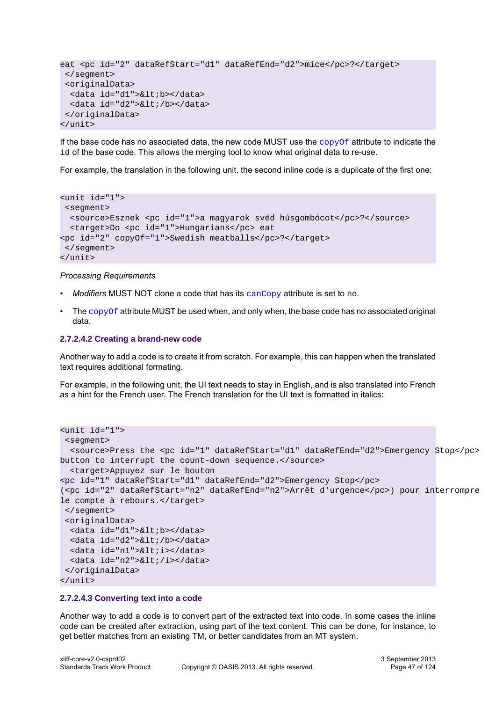```
eat <pc id="2" dataRefStart="d1" dataRefEnd="d2">mice</pc>?</target>
  </segment>
  <originalData>
  <data id="d1">&lt;b></data>
 <data id="d2">&lt;/b></data>
  </originalData>
</unit>
```
If the base code has no associated data, the new code MUST use the  $\sim$ opyOf attribute to indicate the id of the base code. This allows the merging tool to know what original data to re-use.

For example, the translation in the following unit, the second inline code is a duplicate of the first one:

```
<unit id="1">
 <segment>
  <source>Esznek <pc id="1">a magyarok svéd húsgombócot</pc>?</source>
  <target>Do <pc id="1">Hungarians</pc> eat 
<pc id="2" copyOf="1">Swedish meatballs</pc>?</target>
 </segment>
</unit>
```
#### *Processing Requirements*

- Modifiers MUST NOT clone a code that has its [canCopy](#page-24-0) attribute is set to no.
- The  $\mathsf{copyOf}$  $\mathsf{copyOf}$  $\mathsf{copyOf}$  attribute MUST be used when, and only when, the base code has no associated original data.

### **2.7.2.4.2 Creating a brand-new code**

Another way to add a code is to create it from scratch. For example, this can happen when the translated text requires additional formating.

For example, in the following unit, the UI text needs to stay in English, and is also translated into French as a hint for the French user. The French translation for the UI text is formatted in italics:

```
<unit id="1">
  <segment>
  <source>Press the <pc id="1" dataRefStart="d1" dataRefEnd="d2">Emergency Stop</pc>
button to interrupt the count-down sequence.</source>
  <target>Appuyez sur le bouton
<pc id="1" dataRefStart="d1" dataRefEnd="d2">Emergency Stop</pc>
(<pc id="2" dataRefStart="n2" dataRefEnd="n2">Arrêt d'urgence</pc>) pour interrompre
le compte à rebours.</target>
  </segment>
  <originalData>
  <data id="d1">&lt;b></data>
  <data id="d2">&lt;/b></data>
  <data id="n1">&lt;i></data>
  <data id="n2">&lt;/i></data>
  </originalData>
</unit>
```
#### **2.7.2.4.3 Converting text into a code**

Another way to add a code is to convert part of the extracted text into code. In some cases the inline code can be created after extraction, using part of the text content. This can be done, for instance, to get better matches from an existing TM, or better candidates from an MT system.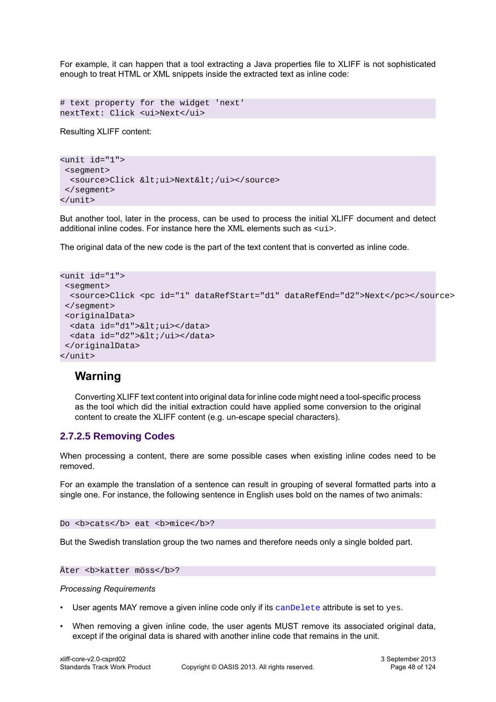For example, it can happen that a tool extracting a Java properties file to XLIFF is not sophisticated enough to treat HTML or XML snippets inside the extracted text as inline code:

```
# text property for the widget 'next'
nextText: Click <ui>Next</ui>
```
Resulting XLIFF content:

```
<unit id="1">
 <segment>
 <source>Click &lt;ui>Next&lt;/ui></source>
 </segment>
</unit>
```
But another tool, later in the process, can be used to process the initial XLIFF document and detect additional inline codes. For instance here the XML elements such as <ui>.

The original data of the new code is the part of the text content that is converted as inline code.

```
<unit id="1">
 <segment>
  <source>Click <pc id="1" dataRefStart="d1" dataRefEnd="d2">Next</pc></source>
 </segment>
 <originalData>
 <data id="d1">&lt;ui></data>
 <data id="d2">&lt;/ui></data>
 </originalData>
</unit>
```
# **Warning**

Converting XLIFF text content into original data for inline code might need a tool-specific process as the tool which did the initial extraction could have applied some conversion to the original content to create the XLIFF content (e.g. un-escape special characters).

### **2.7.2.5 Removing Codes**

When processing a content, there are some possible cases when existing inline codes need to be removed.

For an example the translation of a sentence can result in grouping of several formatted parts into a single one. For instance, the following sentence in English uses bold on the names of two animals:

Do <b>cats</b> eat <b>mice</b>?

But the Swedish translation group the two names and therefore needs only a single bolded part.

Äter <b>katter möss</b>?

#### *Processing Requirements*

- User agents MAY remove a given inline code only if its [canDelete](#page-24-1) attribute is set to yes.
- When removing a given inline code, the user agents MUST remove its associated original data, except if the original data is shared with another inline code that remains in the unit.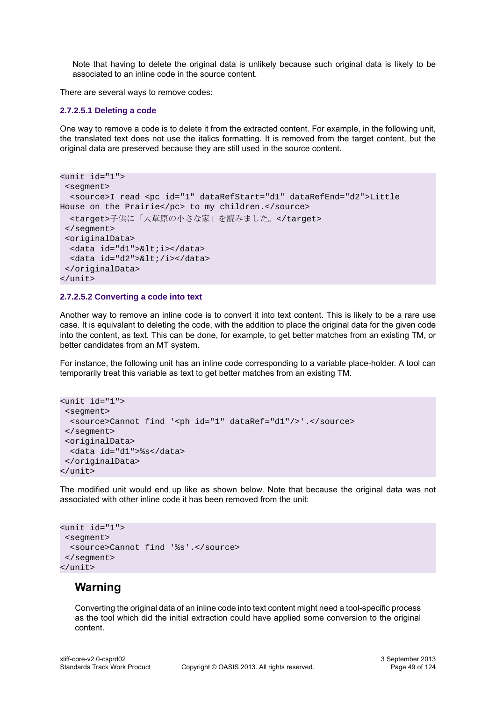Note that having to delete the original data is unlikely because such original data is likely to be associated to an inline code in the source content.

There are several ways to remove codes:

### **2.7.2.5.1 Deleting a code**

One way to remove a code is to delete it from the extracted content. For example, in the following unit, the translated text does not use the italics formatting. It is removed from the target content, but the original data are preserved because they are still used in the source content.

```
<unit id="1">
  <segment>
   <source>I read <pc id="1" dataRefStart="d1" dataRefEnd="d2">Little
House on the Prairie</pc> to my children.</source>
  <target>子供に「大草原の小さな家」を読みました。</target>
  </segment>
  <originalData>
   <data id="d1">&lt;i></data>
 <data id="d2">&lt;/i></data>
  </originalData>
</unit>
```
#### **2.7.2.5.2 Converting a code into text**

Another way to remove an inline code is to convert it into text content. This is likely to be a rare use case. It is equivalant to deleting the code, with the addition to place the original data for the given code into the content, as text. This can be done, for example, to get better matches from an existing TM, or better candidates from an MT system.

For instance, the following unit has an inline code corresponding to a variable place-holder. A tool can temporarily treat this variable as text to get better matches from an existing TM.

```
<unit id="1">
 <segment>
  <source>Cannot find '<ph id="1" dataRef="d1"/>'.</source>
 </segment>
 <originalData>
  <data id="d1">%s</data>
 </originalData>
</unit>
```
The modified unit would end up like as shown below. Note that because the original data was not associated with other inline code it has been removed from the unit:

```
<unit id="1">
 <segment>
   <source>Cannot find '%s'.</source>
 </segment>
</unit>
```
## **Warning**

Converting the original data of an inline code into text content might need a tool-specific process as the tool which did the initial extraction could have applied some conversion to the original content.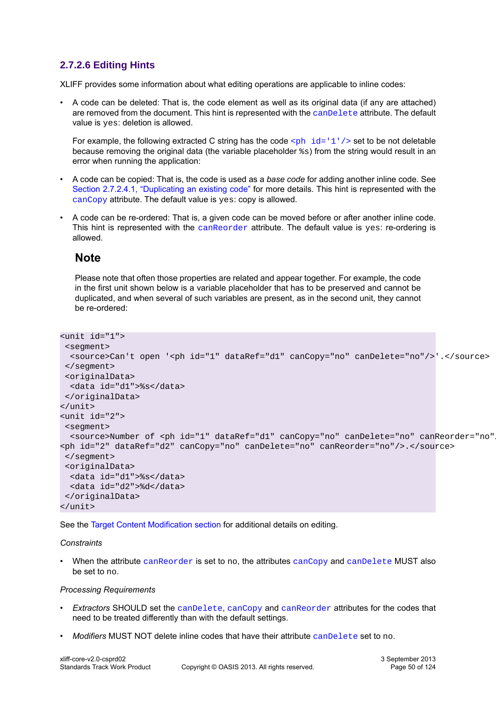### <span id="page-49-0"></span>**2.7.2.6 Editing Hints**

XLIFF provides some information about what editing operations are applicable to inline codes:

• A code can be deleted: That is, the code element as well as its original data (if any are attached) are removed from the document. This hint is represented with the [canDelete](#page-24-1) attribute. The default value is yes: deletion is allowed.

For example, the following extracted C string has the code  $\langle \text{ph } i d = 1 \rangle$  /  $>$  set to be not deletable because removing the original data (the variable placeholder %s) from the string would result in an error when running the application:

- A code can be copied: That is, the code is used as a *base code* for adding another inline code. See [Section 2.7.2.4.1, "Duplicating an existing code"](#page-45-0) for more details. This hint is represented with the [canCopy](#page-24-0) attribute. The default value is yes: copy is allowed.
- A code can be re-ordered: That is, a given code can be moved before or after another inline code. This hint is represented with the [canReorder](#page-25-0) attribute. The default value is yes: re-ordering is allowed.

## **Note**

Please note that often those properties are related and appear together. For example, the code in the first unit shown below is a variable placeholder that has to be preserved and cannot be duplicated, and when several of such variables are present, as in the second unit, they cannot be re-ordered:

```
<unit id="1">
  <segment>
  <source>Can't open '<ph id="1" dataRef="d1" canCopy="no" canDelete="no"/>'.</source>
  </segment>
  <originalData>
  <data id="d1">%s</data>
 </originalData>
</unit>
<unit id="2">
 <segment>
  <source>Number of <ph id="1" dataRef="d1" canCopy="no" canDelete="no" canReorder="no"/>: 
<ph id="2" dataRef="d2" canCopy="no" canDelete="no" canReorder="no"/>.</source>
 </segment>
 <originalData>
  <data id="d1">%s</data>
   <data id="d2">%d</data>
 </originalData>
</unit>
```
See the [Target Content Modification section](#page-54-0) for additional details on editing.

### *Constraints*

When the attribute [canReorder](#page-25-0) is set to no, the attributes [canCopy](#page-24-0) and [canDelete](#page-24-1) MUST also be set to no.

#### *Processing Requirements*

- *Extractors* SHOULD set the [canDelete](#page-24-1), [canCopy](#page-24-0) and [canReorder](#page-25-0) attributes for the codes that need to be treated differently than with the default settings.
- *Modifiers* MUST NOT delete inline codes that have their attribute [canDelete](#page-24-1) set to no.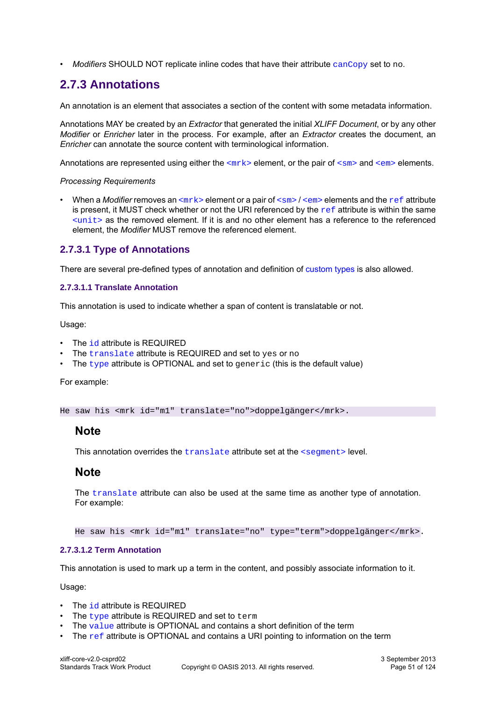• *Modifiers* SHOULD NOT replicate inline codes that have their attribute [canCopy](#page-24-0) set to no.

# <span id="page-50-1"></span>**2.7.3 Annotations**

An annotation is an element that associates a section of the content with some metadata information.

Annotations MAY be created by an *Extractor* that generated the initial *XLIFF Document*, or by any other *Modifier* or *Enricher* later in the process. For example, after an *Extractor* creates the document, an *Enricher* can annotate the source content with terminological information.

Annotations are represented using either the  $\langle m \rangle$ - element, or the pair of  $\langle s \rangle$  and  $\langle e \rangle$ - elements.

### *Processing Requirements*

• When a *Modifier* removes an <mr k> element or a pair of [<sm>](#page-23-1) / [<em>](#page-24-2) elements and the [ref](#page-33-0) attribute is present, it MUST check whether or not the URI [ref](#page-33-0)erenced by the  $r \in \mathbf{f}$  attribute is within the same [<unit>](#page-14-1) as the removed element. If it is and no other element has a reference to the referenced element, the *Modifier* MUST remove the referenced element.

### **2.7.3.1 Type of Annotations**

There are several pre-defined types of annotation and definition of [custom types](#page-52-0) is also allowed.

### **2.7.3.1.1 Translate Annotation**

This annotation is used to indicate whether a span of content is translatable or not.

Usage:

- The [id](#page-30-0) attribute is REQUIRED
- The [translate](#page-37-0) attribute is REQUIRED and set to yes or no
- The [type](#page-38-0) attribute is OPTIONAL and set to generic (this is the default value)

For example:

He saw his <mrk id="m1" translate="no">doppelgänger</mrk>.

### **Note**

This annotation overrides the [translate](#page-37-0) attribute set at the [<segment>](#page-15-0) level.

### **Note**

The [translate](#page-37-0) attribute can also be used at the same time as another type of annotation. For example:

He saw his <mrk id="m1" translate="no" type="term">doppelgänger</mrk>.

### <span id="page-50-0"></span>**2.7.3.1.2 Term Annotation**

This annotation is used to mark up a term in the content, and possibly associate information to it.

Usage:

- The [id](#page-30-0) attribute is REQUIRED
- $\cdot$  The [type](#page-38-0) attribute is REQUIRED and set to term
- The  $value$  attribute is OPTIONAL and contains a short definition of the term
- The  $ref$  attribute is OPTIONAL and contains a URI pointing to information on the term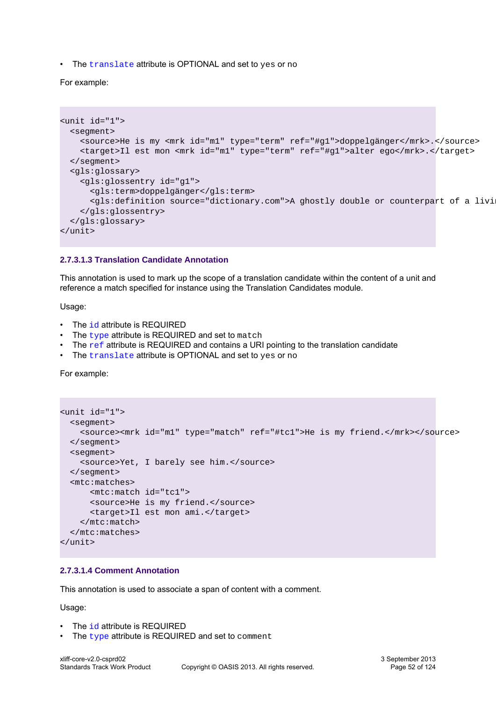• The [translate](#page-37-0) attribute is OPTIONAL and set to yes or no

For example:

```
<unit id="1">
  <segment>
     <source>He is my <mrk id="m1" type="term" ref="#g1">doppelgänger</mrk>.</source>
     <target>Il est mon <mrk id="m1" type="term" ref="#g1">alter ego</mrk>.</target>
  </segment>
  <gls:glossary>
     <gls:glossentry id="g1">
       <gls:term>doppelgänger</gls:term>
       <gls:definition source="dictionary.com">A ghostly double or counterpart of a living person.</gls:definition>
     </gls:glossentry>
  </gls:glossary>
</unit>
```
### **2.7.3.1.3 Translation Candidate Annotation**

This annotation is used to mark up the scope of a translation candidate within the content of a unit and reference a match specified for instance using the Translation Candidates module.

Usage:

- The [id](#page-30-0) attribute is REQUIRED
- The [type](#page-38-0) attribute is REQUIRED and set to match
- The [ref](#page-33-0) attribute is REQUIRED and contains a URI pointing to the translation candidate
- The [translate](#page-37-0) attribute is OPTIONAL and set to yes or no

For example:

```
<unit id="1">
  <segment>
     <source><mrk id="m1" type="match" ref="#tc1">He is my friend.</mrk></source>
   </segment>
   <segment>
     <source>Yet, I barely see him.</source>
   </segment>
   <mtc:matches>
       <mtc:match id="tc1">
       <source>He is my friend.</source>
       <target>Il est mon ami.</target>
     </mtc:match>
   </mtc:matches>
</unit>
```
#### <span id="page-51-0"></span>**2.7.3.1.4 Comment Annotation**

This annotation is used to associate a span of content with a comment.

Usage:

- The [id](#page-30-0) attribute is REQUIRED
- The [type](#page-38-0) attribute is REQUIRED and set to comment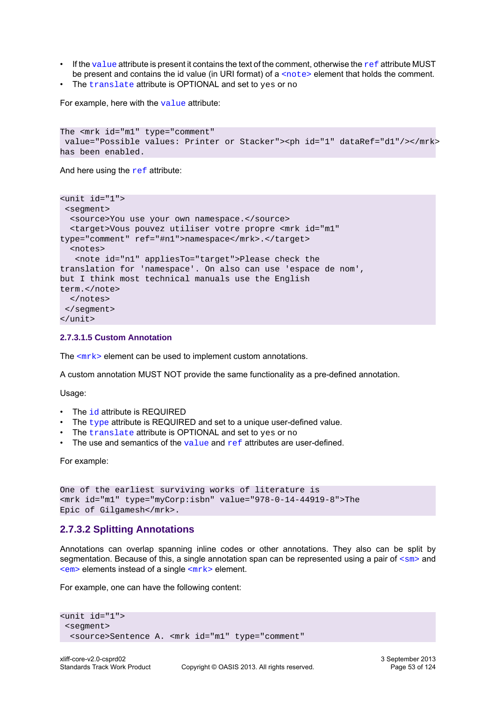- If the [value](#page-38-1) attribute is present it contains the text of the comment, otherwise the  $\text{ref}$  $\text{ref}$  $\text{ref}$  attribute MUST be present and contains the id value (in URI format) of a [<note>](#page-16-0) element that holds the comment.
- The [translate](#page-37-0) attribute is OPTIONAL and set to yes or no

For example, here with the [value](#page-38-1) attribute:

```
The <mrk id="m1" type="comment"
value="Possible values: Printer or Stacker"><ph id="1" dataRef="d1"/></mrk>
has been enabled.
```
And here using the  $ref$  attribute:

```
<unit id="1">
  <segment>
   <source>You use your own namespace.</source>
   <target>Vous pouvez utiliser votre propre <mrk id="m1"
type="comment" ref="#n1">namespace</mrk>.</target>
   <notes>
    <note id="n1" appliesTo="target">Please check the 
translation for 'namespace'. On also can use 'espace de nom',
but I think most technical manuals use the English
term.</note>
  </notes>
 </segment>
</unit>
```
#### <span id="page-52-0"></span>**2.7.3.1.5 Custom Annotation**

The  $\langle m r k \rangle$  element can be used to implement custom annotations.

A custom annotation MUST NOT provide the same functionality as a pre-defined annotation.

Usage:

- The [id](#page-30-0) attribute is REQUIRED
- The  $type$  attribute is REQUIRED and set to a unique user-defined value.
- The [translate](#page-37-0) attribute is OPTIONAL and set to yes or no
- The use and semantics of the  $value$  and  $ref$  attributes are user-defined.

For example:

```
One of the earliest surviving works of literature is
<mrk id="m1" type="myCorp:isbn" value="978-0-14-44919-8">The 
Epic of Gilgamesh</mrk>.
```
### **2.7.3.2 Splitting Annotations**

Annotations can overlap spanning inline codes or other annotations. They also can be split by segmentation. Because of this, a single annotation span can be represented using a pair of  $\langle sm \rangle$  and  $\leq$  elements instead of a single  $\leq$  m $rk$  > element.

For example, one can have the following content:

```
<unit id="1">
 <segment>
   <source>Sentence A. <mrk id="m1" type="comment"
```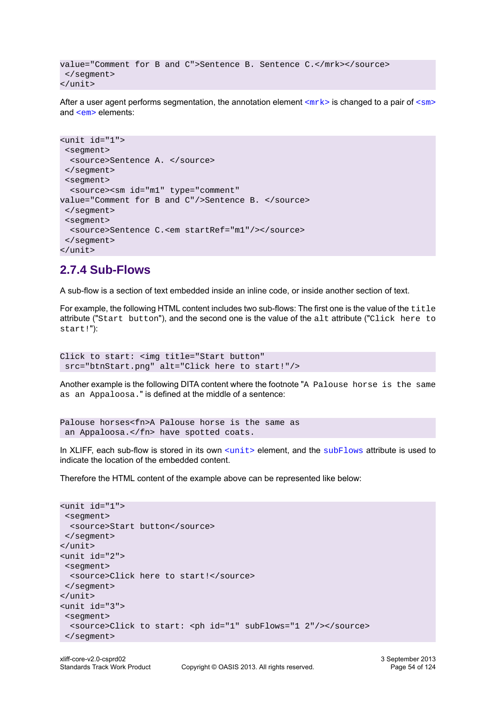```
value="Comment for B and C">Sentence B. Sentence C.</mrk></source>
  </segment>
</unit>
```
After a user agent performs segmentation, the annotation element  $\langle m \rangle$  is changed to a pair of  $\langle sm \rangle$ and [<em>](#page-24-2) elements:

```
<unit id="1">
 <segment>
  <source>Sentence A. </source>
 </segment>
 <segment>
   <source><sm id="m1" type="comment" 
value="Comment for B and C"/>Sentence B. </source>
 </segment>
 <segment>
  <source>Sentence C.<em startRef="m1"/></source>
 </segment>
</unit>
```
## **2.7.4 Sub-Flows**

A sub-flow is a section of text embedded inside an inline code, or inside another section of text.

For example, the following HTML content includes two sub-flows: The first one is the value of the title attribute ("Start button"), and the second one is the value of the alt attribute ("Click here to start!"):

```
Click to start: <img title="Start button"
 src="btnStart.png" alt="Click here to start!"/>
```
Another example is the following DITA content where the footnote "A Palouse horse is the same as an Appaloosa." is defined at the middle of a sentence:

```
Palouse horses<fn>A Palouse horse is the same as
 an Appaloosa.</fn> have spotted coats.
```
In XLIFF, each sub-flow is stored in its own [<unit>](#page-14-1) element, and the [subFlows](#page-35-1) attribute is used to indicate the location of the embedded content.

Therefore the HTML content of the example above can be represented like below:

```
<unit id="1">
 <segment>
  <source>Start button</source>
 </segment>
</unit>
<unit id="2">
 <segment>
  <source>Click here to start!</source>
 </segment>
</unit>
<unit id="3">
 <segment>
   <source>Click to start: <ph id="1" subFlows="1 2"/></source>
 </segment>
```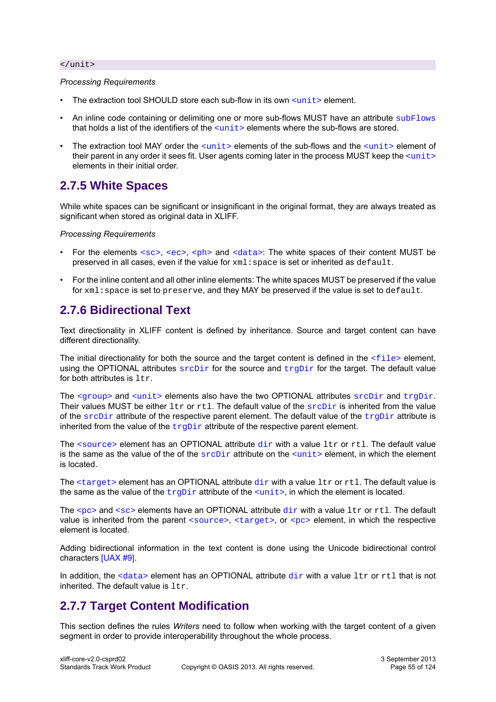#### </unit>

#### *Processing Requirements*

- The extraction tool SHOULD store each sub-flow in its own  $\leq$ unit  $\geq$  element.
- An inline code containing or delimiting one or more sub-flows MUST have an attribute [subFlows](#page-35-1) that holds a list of the identifiers of the  $\langle \text{unit} \rangle$  elements where the sub-flows are stored.
- The extraction tool MAY order the  $\langle \text{unit} \rangle$  elements of the sub-flows and the  $\langle \text{unit} \rangle$  element of their parent in any order it sees fit. User agents coming later in the process MUST keep the  $\langle$ unit $\rangle$ elements in their initial order.

# **2.7.5 White Spaces**

While white spaces can be significant or insignificant in the original format, they are always treated as significant when stored as original data in XLIFF.

*Processing Requirements*

- For the elements  $\langle \sec \rangle$ ,  $\langle \sec \rangle$ ,  $\langle \cosh \rangle$  and  $\langle \cot \omega \rangle$ . The white spaces of their content MUST be preserved in all cases, even if the value for  $xml:space$  is set or inherited as  $default$ .
- For the inline content and all other inline elements: The white spaces MUST be preserved if the value for xml: space is set to preserve, and they MAY be preserved if the value is set to default.

# **2.7.6 Bidirectional Text**

Text directionality in XLIFF content is defined by inheritance. Source and target content can have different directionality.

The initial directionality for both the source and the target content is defined in the  $\le$ file> element, using the OPTIONAL attributes  $\frac{\text{srcl}}{\text{cm}}$  for the source and  $\frac{\text{tr}}{\text{cm}}$  for the target. The default value for both attributes is  $ltr$ .

The  $\langle\text{qroup}\rangle$  and  $\langle\text{unit}\rangle$  elements also have the two OPTIONAL attributes  $\text{srcDir}$  $\text{srcDir}$  $\text{srcDir}$  and  $\text{trapir}$ . Their values MUST be either  $ltr$  or  $rtl$ . The default value of the  $srcDir$  is inherited from the value of the  $\frac{\text{srcDir}}{\text{d}t}$  $\frac{\text{srcDir}}{\text{d}t}$  $\frac{\text{srcDir}}{\text{d}t}$  attribute of the respective parent element. The default value of the  $\frac{\text{trcDir}}{\text{d}t}$  attribute is inherited from the value of the  $trgDir$  attribute of the respective parent element.

The  $\leq$ source> element has an OPTIONAL attribute  $\text{dir}$  $\text{dir}$  $\text{dir}$  with a value ltr or rtl. The default value is the same as the value of the of the  $srcDir$  attribute on the  $sunit >$  element, in which the element is located.

The  $\langle$ target> element has an OPTIONAL attribute  $\text{dir}$  $\text{dir}$  $\text{dir}$  with a value  $\text{itr}$  or  $\text{rt}$ . The default value is the same as the value of the  $\text{trapir}$  attribute of the  $\text{cunit}$ , in which the element is located.

The  $<sub>SPC</sub>$  and  $<sub>SSC</sub>$  elements have an OPTIONAL attribute  $dir$  with a value  $1tr$  or  $rt1$ . The default</sub></sub> value is inherited from the parent [<source>](#page-17-0), [<target>](#page-17-1), or [<pc>](#page-19-0) element, in which the respective element is located.

Adding bidirectional information in the text content is done using the Unicode bidirectional control characters [\[UAX #9\]](#page-9-5).

In addition, the  $\langle$ data> element has an OPTIONAL attribute  $\text{dir}$  $\text{dir}$  $\text{dir}$  with a value  $\text{Itr}$  or  $\text{rt1}$  that is not inherited. The default value is  $1 \text{tr}$ .

# <span id="page-54-0"></span>**2.7.7 Target Content Modification**

This section defines the rules *Writers* need to follow when working with the target content of a given segment in order to provide interoperability throughout the whole process.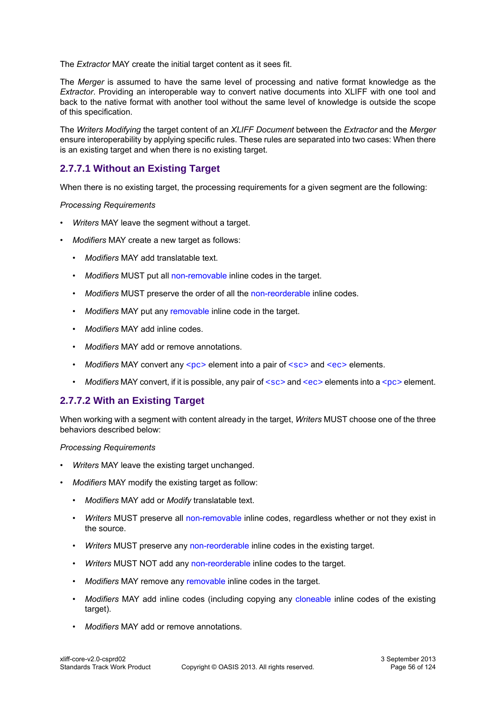The *Extractor* MAY create the initial target content as it sees fit.

The *Merger* is assumed to have the same level of processing and native format knowledge as the *Extractor*. Providing an interoperable way to convert native documents into XLIFF with one tool and back to the native format with another tool without the same level of knowledge is outside the scope of this specification.

The *Writers Modifying* the target content of an *XLIFF Document* between the *Extractor* and the *Merger* ensure interoperability by applying specific rules. These rules are separated into two cases: When there is an existing target and when there is no existing target.

### **2.7.7.1 Without an Existing Target**

When there is no existing target, the processing requirements for a given segment are the following:

### *Processing Requirements*

- *Writers* MAY leave the segment without a target.
- *Modifiers* MAY create a new target as follows:
	- *Modifiers* MAY add translatable text.
	- *Modifiers* MUST put all [non-removable](#page-49-0) inline codes in the target.
	- *Modifiers* MUST preserve the order of all the [non-reorderable](#page-49-0) inline codes.
	- *Modifiers* MAY put any [removable](#page-49-0) inline code in the target.
	- *Modifiers* MAY add inline codes.
	- *Modifiers* MAY add or remove annotations.
	- *Modifiers* MAY convert any  $<sub>PC</sub>$  element into a pair of  $<sub>SC</sub>$  and  $<sub>ec</sub>$  elements.</sub></sub></sub>
	- *Modifiers* MAY convert, if it is possible, any pair of  $\langle \sec \rangle$  and  $\langle \sec \rangle$  elements into a  $\langle \sec \rangle$  element.

### **2.7.7.2 With an Existing Target**

When working with a segment with content already in the target, *Writers* MUST choose one of the three behaviors described below:

#### *Processing Requirements*

- *Writers* MAY leave the existing target unchanged.
- *Modifiers* MAY modify the existing target as follow:
	- *Modifiers* MAY add or *Modify* translatable text.
	- *Writers* MUST preserve all [non-removable](#page-49-0) inline codes, regardless whether or not they exist in the source.
	- *Writers* MUST preserve any [non-reorderable](#page-49-0) inline codes in the existing target.
	- *Writers* MUST NOT add any [non-reorderable](#page-49-0) inline codes to the target.
	- *Modifiers* MAY remove any [removable](#page-49-0) inline codes in the target.
	- *Modifiers* MAY add inline codes (including copying any [cloneable](#page-49-0) inline codes of the existing target).
	- *Modifiers* MAY add or remove annotations.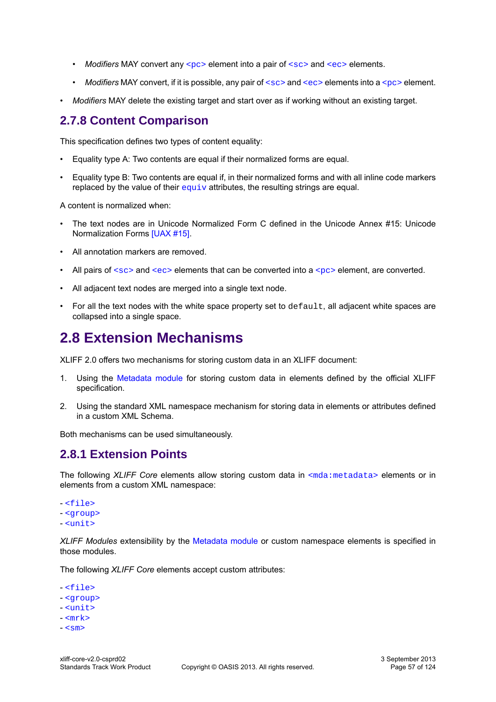- *Modifiers* MAY convert any  $<sub>pc</sub>$  element into a pair of  $<sub>sc</sub>$  and  $<sub>ec</sub>$  elements.</sub></sub></sub>
- *Modifiers* MAY convert, if it is possible, any pair of  $<$ sc> and  $<$ ec> elements into a  $<$ pc> element.
- *Modifiers* MAY delete the existing target and start over as if working without an existing target.

# **2.7.8 Content Comparison**

This specification defines two types of content equality:

- Equality type A: Two contents are equal if their normalized forms are equal.
- Equality type B: Two contents are equal if, in their normalized forms and with all inline code markers replaced by the value of their  $equiv$  attributes, the resulting strings are equal.

A content is normalized when:

- The text nodes are in Unicode Normalized Form C defined in the Unicode Annex #15: Unicode Normalization Forms [\[UAX #15\].](#page-9-6)
- All annotation markers are removed.
- All pairs of  $<sub>SC</sub>$  and  $<sub>ec</sub>$  elements that can be converted into a  $<sub>PC</sub>$  element, are converted.</sub></sub></sub>
- All adjacent text nodes are merged into a single text node.
- For all the text nodes with the white space property set to  $\det \det A$  all adjacent white spaces are collapsed into a single space.

# <span id="page-56-0"></span>**2.8 Extension Mechanisms**

XLIFF 2.0 offers two mechanisms for storing custom data in an XLIFF document:

- 1. Using the [Metadata module](#page-85-0) for storing custom data in elements defined by the official XLIFF specification.
- 2. Using the standard XML namespace mechanism for storing data in elements or attributes defined in a custom XML Schema.

Both mechanisms can be used simultaneously.

## **2.8.1 Extension Points**

The following *XLIFF Core* elements allow storing custom data in [<mda:metadata>](#page-85-1) elements or in elements from a custom XML namespace:

- [<file>](#page-13-0) - [<group>](#page-14-0) - [<unit>](#page-14-1)

*XLIFF Modules* extensibility by the [Metadata module](#page-85-0) or custom namespace elements is specified in those modules.

The following *XLIFF Core* elements accept custom attributes:

- [<file>](#page-13-0)
- [<group>](#page-14-0)
- [<unit>](#page-14-1)
- $-$  cmrks
- $\leq$  cm  $\geq$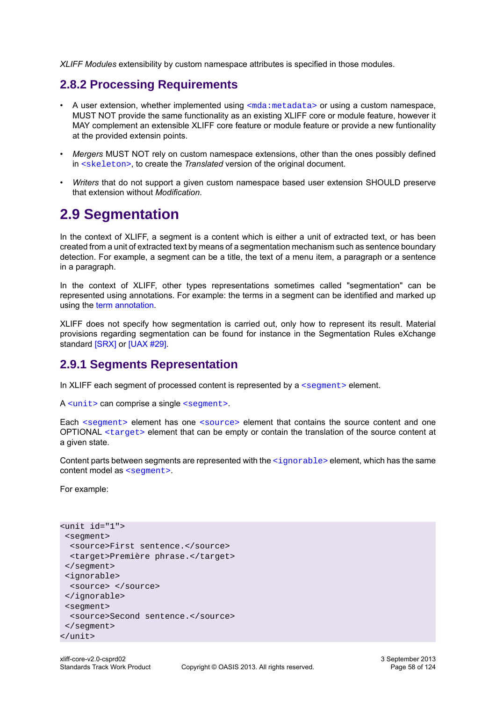*XLIFF Modules* extensibility by custom namespace attributes is specified in those modules.

## **2.8.2 Processing Requirements**

- A user extension, whether implemented using  $\leq$ mda:metadata> or using a custom namespace, MUST NOT provide the same functionality as an existing XLIFF core or module feature, however it MAY complement an extensible XLIFF core feature or module feature or provide a new funtionality at the provided extensin points.
- *Mergers* MUST NOT rely on custom namespace extensions, other than the ones possibly defined in [<skeleton>](#page-13-1), to create the *Translated* version of the original document.
- *Writers* that do not support a given custom namespace based user extension SHOULD preserve that extension without *Modification*.

# **2.9 Segmentation**

In the context of XLIFF, a segment is a content which is either a unit of extracted text, or has been created from a unit of extracted text by means of a segmentation mechanism such as sentence boundary detection. For example, a segment can be a title, the text of a menu item, a paragraph or a sentence in a paragraph.

In the context of XLIFF, other types representations sometimes called "segmentation" can be represented using annotations. For example: the terms in a segment can be identified and marked up using the [term annotation.](#page-50-0)

XLIFF does not specify how segmentation is carried out, only how to represent its result. Material provisions regarding segmentation can be found for instance in the Segmentation Rules eXchange standard [\[SRX\]](#page-9-7) or [\[UAX #29\].](#page-9-8)

## **2.9.1 Segments Representation**

In XLIFF each segment of processed content is represented by a  $\leq$  segment> element.

A [<unit>](#page-14-1) can comprise a single [<segment>](#page-15-0).

Each [<segment>](#page-15-0) element has one [<source>](#page-17-0) element that contains the source content and one OPTIONAL [<target>](#page-17-1) element that can be empty or contain the translation of the source content at a given state.

Content parts between segments are represented with the  $\langle$ ignorable> element, which has the same content model as [<segment>](#page-15-0).

For example:

```
<unit id="1">
  <segment>
  <source>First sentence.</source>
   <target>Première phrase.</target>
 </segment>
  <ignorable>
  <source> </source>
  </ignorable>
 <segment>
  <source>Second sentence.</source>
 </segment>
</unit>
```
3 September 2013 Page 58 of 124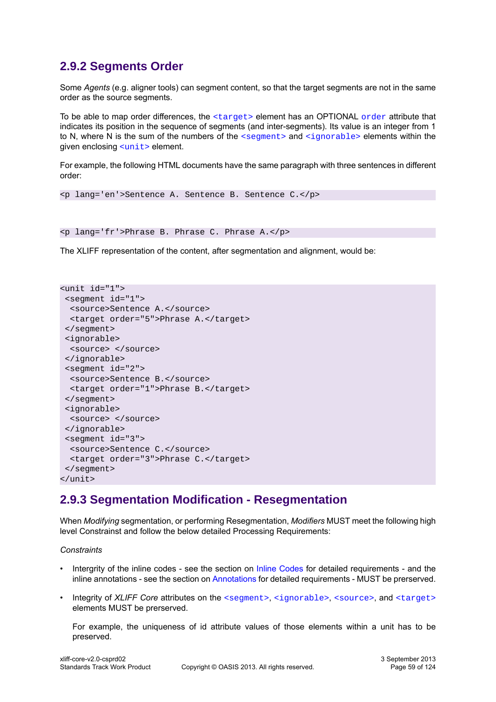# **2.9.2 Segments Order**

Some *Agents* (e.g. aligner tools) can segment content, so that the target segments are not in the same order as the source segments.

To be able to map [order](#page-33-1) differences, the  $\langle \text{target} \rangle$  element has an OPTIONAL order attribute that indicates its position in the sequence of segments (and inter-segments). Its value is an integer from 1 to N, where N is the sum of the numbers of the  $\leq$  segment and  $\leq$  ignorable  $\geq$  elements within the given enclosing [<unit>](#page-14-1) element.

For example, the following HTML documents have the same paragraph with three sentences in different order:

```
<p lang='en'>Sentence A. Sentence B. Sentence C.</p>
```

```
<p lang='fr'>Phrase B. Phrase C. Phrase A.</p>
```
The XLIFF representation of the content, after segmentation and alignment, would be:

```
<unit id="1">
  <segment id="1">
   <source>Sentence A.</source>
   <target order="5">Phrase A.</target>
 </segment>
 <ignorable>
  <source> </source>
  </ignorable>
  <segment id="2">
   <source>Sentence B.</source>
   <target order="1">Phrase B.</target>
 </segment>
 <ignorable>
  <source> </source>
 </ignorable>
  <segment id="3">
   <source>Sentence C.</source>
   <target order="3">Phrase C.</target>
 </segment>
</unit>
```
## **2.9.3 Segmentation Modification - Resegmentation**

When *Modifying* segmentation, or performing Resegmentation, *Modifiers* MUST meet the following high level Constrainst and follow the below detailed Processing Requirements:

*Constraints*

- Intergrity of the inline codes see the section on [Inline Codes](#page-41-1) for detailed requirements and the inline annotations - see the section on [Annotations](#page-50-1) for detailed requirements - MUST be prerserved.
- Integrity of *XLIFF Core* attributes on the [<segment>](#page-15-0), [<ignorable>](#page-15-1), [<source>](#page-17-0), and [<target>](#page-17-1) elements MUST be prerserved.

For example, the uniqueness of id attribute values of those elements within a unit has to be preserved.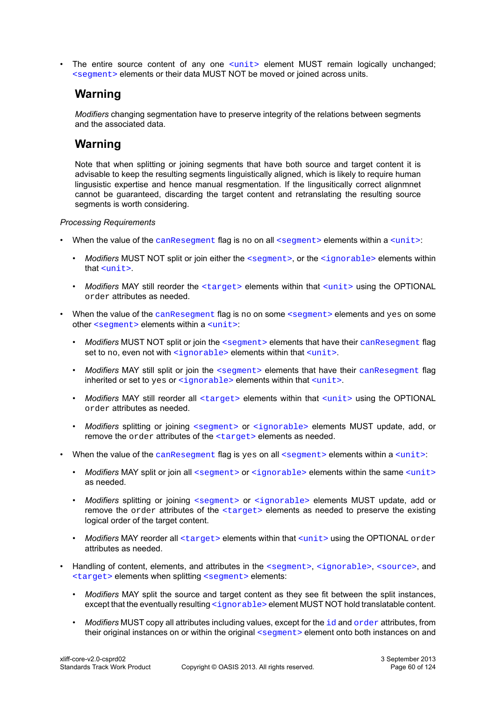The entire source content of any one [<unit>](#page-14-1) element MUST remain logically unchanged; [<segment>](#page-15-0) elements or their data MUST NOT be moved or joined across units.

# **Warning**

*Modifiers* changing segmentation have to preserve integrity of the relations between segments and the associated data.

## **Warning**

Note that when splitting or joining segments that have both source and target content it is advisable to keep the resulting segments linguistically aligned, which is likely to require human lingusistic expertise and hence manual resgmentation. If the lingusitically correct alignmnet cannot be guaranteed, discarding the target content and retranslating the resulting source segments is worth considering.

### *Processing Requirements*

- When the value of the [canResegment](#page-25-1) flag is no on all [<segment>](#page-15-0) elements within a [<unit>](#page-14-1):
	- *Modifiers* MUST NOT split or join either the [<segment>](#page-15-0), or the [<ignorable>](#page-15-1) elements within that [<unit>](#page-14-1).
	- Modifiers MAY still reorder the [<target>](#page-17-1) elements within that [<unit>](#page-14-1) using the OPTIONAL order attributes as needed.
- When the value of the [canResegment](#page-25-1) flag is no on some [<segment>](#page-15-0) elements and yes on some other [<segment>](#page-15-0) elements within a [<unit>](#page-14-1):
	- *Modifiers* MUST NOT split or join the [<segment>](#page-15-0) elements that have their [canResegment](#page-25-1) flag set to no, even not with [<ignorable>](#page-15-1) elements within that [<unit>](#page-14-1).
	- *Modifiers* MAY still split or join the [<segment>](#page-15-0) elements that have their [canResegment](#page-25-1) flag inherited or set to yes or [<ignorable>](#page-15-1) elements within that [<unit>](#page-14-1).
	- *Modifiers MAY still reorder all* [<target>](#page-17-1) elements within that [<unit>](#page-14-1) using the OPTIONAL order attributes as needed.
	- *Modifiers* splitting or joining [<segment>](#page-15-0) or [<ignorable>](#page-15-1) elements MUST update, add, or remove the order attributes of the [<target>](#page-17-1) elements as needed.
- When the value of the [canResegment](#page-25-1) flag is yes on all  $\leq$  segment  $\geq$  elements within a  $\leq$ unit  $\geq$ :
	- *Modifiers* MAY split or join all [<segment>](#page-15-0) or [<ignorable>](#page-15-1) elements within the same [<unit>](#page-14-1) as needed.
	- *Modifiers* splitting or joining [<segment>](#page-15-0) or [<ignorable>](#page-15-1) elements MUST update, add or remove the order attributes of the [<target>](#page-17-1) elements as needed to preserve the existing logical order of the target content.
	- *Modifiers* MAY reorder all [<target>](#page-17-1) elements within that [<unit>](#page-14-1) using the OPTIONAL order attributes as needed.
- Handling of content, elements, and attributes in the [<segment>](#page-15-0), [<ignorable>](#page-15-1), [<source>](#page-17-0), and [<target>](#page-17-1) elements when splitting [<segment>](#page-15-0) elements:
	- *Modifiers* MAY split the source and target content as they see fit between the split instances, except that the eventually resulting [<ignorable>](#page-15-1) element MUST NOT hold translatable content.
	- *Modifiers* MUST copy all attributes including values, except for the [id](#page-30-0) and [order](#page-33-1) attributes, from their original instances on or within the original [<segment>](#page-15-0) element onto both instances on and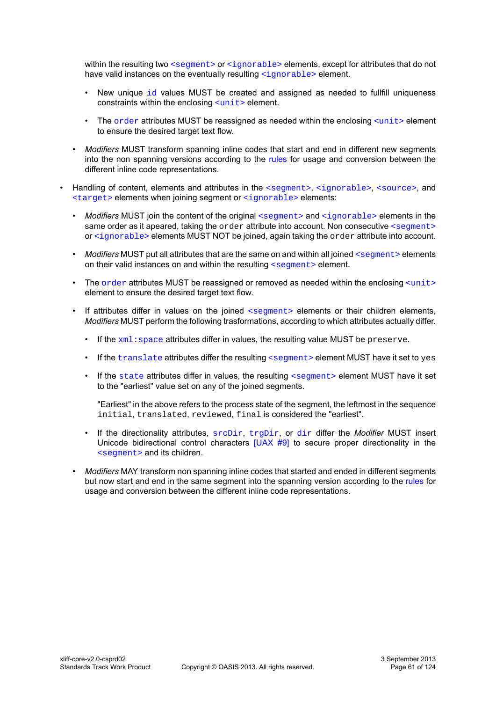within the resulting two [<segment>](#page-15-0) or [<ignorable>](#page-15-1) elements, except for attributes that do not have valid instances on the eventually resulting  $\langle$ iqnorable> element.

- New unique  $id$  values MUST be created and assigned as needed to fullfill uniqueness constraints within the enclosing [<unit>](#page-14-1) element.
- The  $\alpha$  attributes MUST be reassigned as needed within the enclosing  $\alpha$ unit  $>$  element to ensure the desired target text flow.
- *Modifiers* MUST transform spanning inline codes that start and end in different new segments into the non spanning versions according to the [rules](#page-42-0) for usage and conversion between the different inline code representations.
- Handling of content, elements and attributes in the [<segment>](#page-15-0), [<ignorable>](#page-15-1), [<source>](#page-17-0), and  $\langle$  target> elements when joining segment or  $\langle$  ignorable> elements:
	- *Modifiers* MUST join the content of the original  $\leq$  segments and  $\leq$  ignorables elements in the same order as it apeared, taking the order attribute into account. Non consecutive [<segment>](#page-15-0) or [<ignorable>](#page-15-1) elements MUST NOT be joined, again taking the order attribute into account.
	- *Modifiers* MUST put all attributes that are the same on and within all joined [<segment>](#page-15-0) elements on their valid instances on and within the resulting [<segment>](#page-15-0) element.
	- The  $\sigma$ rder attributes MUST be reassigned or removed as needed within the enclosing  $\sigma$ element to ensure the desired target text flow.
	- If attributes differ in values on the joined  $\leq$  segment  $\geq$  elements or their children elements, *Modifiers* MUST perform the following trasformations, according to which attributes actually differ.
		- If the  $xml$ : space attributes differ in values, the resulting value MUST be preserve.
		- $\bullet$  If the [translate](#page-37-0) attributes differ the resulting [<segment>](#page-15-0) element MUST have it set to yes
		- If the [state](#page-36-1) attributes differ in values, the resulting [<segment>](#page-15-0) element MUST have it set to the "earliest" value set on any of the joined segments.

"Earliest" in the above refers to the process state of the segment, the leftmost in the sequence initial, translated, reviewed, final is considered the "earliest".

- If the directionality attributes, [srcDir](#page-34-0), [trgDir](#page-37-1), or [dir](#page-26-1) differ the *Modifier* MUST insert Unicode bidirectional control characters [\[UAX #9\]](#page-9-5) to secure proper directionality in the [<segment>](#page-15-0) and its children.
- *Modifiers* MAY transform non spanning inline codes that started and ended in different segments but now start and end in the same segment into the spanning version according to the [rules](#page-42-0) for usage and conversion between the different inline code representations.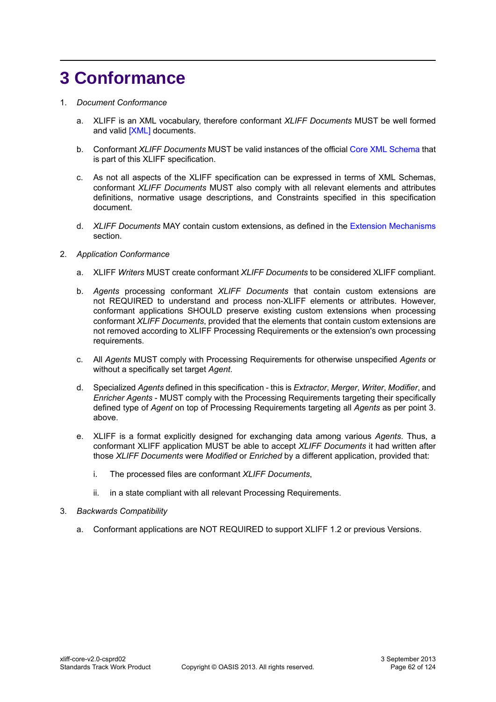# **3 Conformance**

### 1. *Document Conformance*

- a. XLIFF is an XML vocabulary, therefore conformant *XLIFF Documents* MUST be well formed and valid [\[XML\]](#page-9-2) documents.
- b. Conformant *XLIFF Documents* MUST be valid instances of the official [Core XML Schema](#page-62-0) that is part of this XLIFF specification.
- c. As not all aspects of the XLIFF specification can be expressed in terms of XML Schemas, conformant *XLIFF Documents* MUST also comply with all relevant elements and attributes definitions, normative usage descriptions, and Constraints specified in this specification document.
- d. *XLIFF Documents* MAY contain custom extensions, as defined in the [Extension Mechanisms](#page-56-0) section.

### 2. *Application Conformance*

- a. XLIFF *Writers* MUST create conformant *XLIFF Documents* to be considered XLIFF compliant.
- b. *Agents* processing conformant *XLIFF Documents* that contain custom extensions are not REQUIRED to understand and process non-XLIFF elements or attributes. However, conformant applications SHOULD preserve existing custom extensions when processing conformant *XLIFF Documents*, provided that the elements that contain custom extensions are not removed according to XLIFF Processing Requirements or the extension's own processing requirements.
- c. All *Agents* MUST comply with Processing Requirements for otherwise unspecified *Agents* or without a specifically set target *Agent*.
- d. Specialized *Agents* defined in this specification this is *Extractor*, *Merger*, *Writer*, *Modifier*, and *Enricher Agents* - MUST comply with the Processing Requirements targeting their specifically defined type of *Agent* on top of Processing Requirements targeting all *Agents* as per point 3. above.
- e. XLIFF is a format explicitly designed for exchanging data among various *Agents*. Thus, a conformant XLIFF application MUST be able to accept *XLIFF Documents* it had written after those *XLIFF Documents* were *Modified* or *Enriched* by a different application, provided that:
	- i. The processed files are conformant *XLIFF Documents*,
	- ii. in a state compliant with all relevant Processing Requirements.
- 3. *Backwards Compatibility*
	- a. Conformant applications are NOT REQUIRED to support XLIFF 1.2 or previous Versions.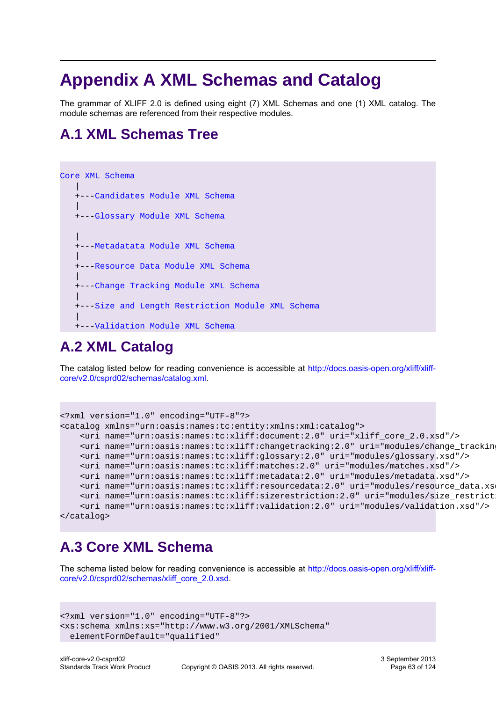# **Appendix A XML Schemas and Catalog**

The grammar of XLIFF 2.0 is defined using eight (7) XML Schemas and one (1) XML catalog. The module schemas are referenced from their respective modules.

# **A.1 XML Schemas Tree**



# **A.2 XML Catalog**

The catalog listed below for reading convenience is accessible at [http://docs.oasis-open.org/xliff/xliff](http://docs.oasis-open.org/xliff/xliff-core/v2.0/csprd02/schemas/catalog.xml)[core/v2.0/csprd02/schemas/catalog.xml.](http://docs.oasis-open.org/xliff/xliff-core/v2.0/csprd02/schemas/catalog.xml)

```
<?xml version="1.0" encoding="UTF-8"?>
<catalog xmlns="urn:oasis:names:tc:entity:xmlns:xml:catalog">
     <uri name="urn:oasis:names:tc:xliff:document:2.0" uri="xliff_core_2.0.xsd"/>
     <uri name="urn:oasis:names:tc:xliff:changetracking:2.0" uri="modules/change_tracking.xsd"/>
     <uri name="urn:oasis:names:tc:xliff:glossary:2.0" uri="modules/glossary.xsd"/>
     <uri name="urn:oasis:names:tc:xliff:matches:2.0" uri="modules/matches.xsd"/>
     <uri name="urn:oasis:names:tc:xliff:metadata:2.0" uri="modules/metadata.xsd"/>
     <uri name="urn:oasis:names:tc:xliff:resourcedata:2.0" uri="modules/resource_data.xsd"/>
     <uri name="urn:oasis:names:tc:xliff:sizerestriction:2.0" uri="modules/size_restriction.xsd"/>
     <uri name="urn:oasis:names:tc:xliff:validation:2.0" uri="modules/validation.xsd"/>
</catalog>
```
# <span id="page-62-0"></span>**A.3 Core XML Schema**

The schema listed below for reading convenience is accessible at [http://docs.oasis-open.org/xliff/xliff](http://docs.oasis-open.org/xliff/xliff-core/v2.0/csprd02/schemas/xliff_core_2.0.xsd)[core/v2.0/csprd02/schemas/xliff\\_core\\_2.0.xsd.](http://docs.oasis-open.org/xliff/xliff-core/v2.0/csprd02/schemas/xliff_core_2.0.xsd)

```
<?xml version="1.0" encoding="UTF-8"?>
<xs:schema xmlns:xs="http://www.w3.org/2001/XMLSchema" 
  elementFormDefault="qualified"
```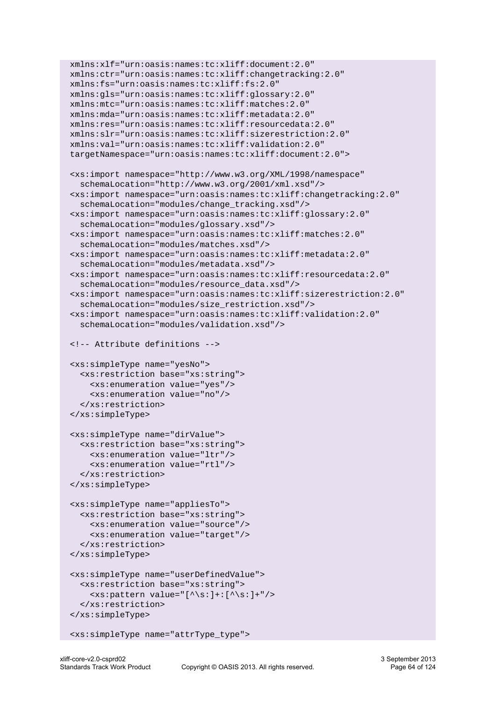```
 xmlns:xlf="urn:oasis:names:tc:xliff:document:2.0"
 xmlns:ctr="urn:oasis:names:tc:xliff:changetracking:2.0"
 xmlns:fs="urn:oasis:names:tc:xliff:fs:2.0"
 xmlns:gls="urn:oasis:names:tc:xliff:glossary:2.0"
 xmlns:mtc="urn:oasis:names:tc:xliff:matches:2.0"
 xmlns:mda="urn:oasis:names:tc:xliff:metadata:2.0"
 xmlns:res="urn:oasis:names:tc:xliff:resourcedata:2.0"
 xmlns:slr="urn:oasis:names:tc:xliff:sizerestriction:2.0" 
 xmlns:val="urn:oasis:names:tc:xliff:validation:2.0"
 targetNamespace="urn:oasis:names:tc:xliff:document:2.0">
 <xs:import namespace="http://www.w3.org/XML/1998/namespace"
   schemaLocation="http://www.w3.org/2001/xml.xsd"/>
 <xs:import namespace="urn:oasis:names:tc:xliff:changetracking:2.0"
   schemaLocation="modules/change_tracking.xsd"/>
 <xs:import namespace="urn:oasis:names:tc:xliff:glossary:2.0"
   schemaLocation="modules/glossary.xsd"/>
 <xs:import namespace="urn:oasis:names:tc:xliff:matches:2.0"
   schemaLocation="modules/matches.xsd"/>
 <xs:import namespace="urn:oasis:names:tc:xliff:metadata:2.0"
   schemaLocation="modules/metadata.xsd"/>
 <xs:import namespace="urn:oasis:names:tc:xliff:resourcedata:2.0"
   schemaLocation="modules/resource_data.xsd"/>
 <xs:import namespace="urn:oasis:names:tc:xliff:sizerestriction:2.0"
   schemaLocation="modules/size_restriction.xsd"/>
 <xs:import namespace="urn:oasis:names:tc:xliff:validation:2.0"
   schemaLocation="modules/validation.xsd"/>
 <!-- Attribute definitions -->
 <xs:simpleType name="yesNo">
   <xs:restriction base="xs:string">
     <xs:enumeration value="yes"/>
     <xs:enumeration value="no"/>
   </xs:restriction>
 </xs:simpleType>
 <xs:simpleType name="dirValue">
   <xs:restriction base="xs:string">
     <xs:enumeration value="ltr"/>
     <xs:enumeration value="rtl"/>
   </xs:restriction>
 </xs:simpleType>
 <xs:simpleType name="appliesTo">
   <xs:restriction base="xs:string">
     <xs:enumeration value="source"/>
     <xs:enumeration value="target"/>
   </xs:restriction>
 </xs:simpleType>
 <xs:simpleType name="userDefinedValue">
   <xs:restriction base="xs:string">
     <xs:pattern value="[^\s:]+:[^\s:]+"/>
   </xs:restriction>
 </xs:simpleType>
```

```
 <xs:simpleType name="attrType_type">
```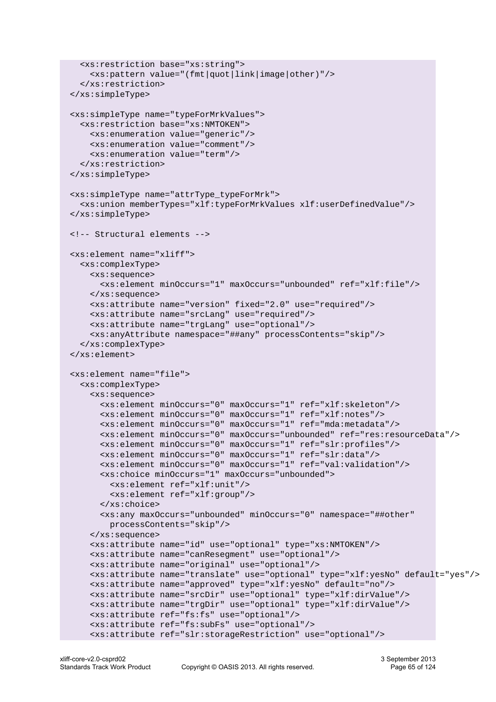```
 <xs:restriction base="xs:string">
     <xs:pattern value="(fmt|quot|link|image|other)"/>
   </xs:restriction>
 </xs:simpleType>
 <xs:simpleType name="typeForMrkValues">
   <xs:restriction base="xs:NMTOKEN">
     <xs:enumeration value="generic"/>
     <xs:enumeration value="comment"/>
     <xs:enumeration value="term"/>
   </xs:restriction>
 </xs:simpleType> 
 <xs:simpleType name="attrType_typeForMrk">
   <xs:union memberTypes="xlf:typeForMrkValues xlf:userDefinedValue"/>
 </xs:simpleType>
 <!-- Structural elements -->
 <xs:element name="xliff">
   <xs:complexType>
     <xs:sequence>
       <xs:element minOccurs="1" maxOccurs="unbounded" ref="xlf:file"/>
     </xs:sequence>
     <xs:attribute name="version" fixed="2.0" use="required"/>
     <xs:attribute name="srcLang" use="required"/>
     <xs:attribute name="trgLang" use="optional"/>
     <xs:anyAttribute namespace="##any" processContents="skip"/>
   </xs:complexType>
 </xs:element>
 <xs:element name="file">
   <xs:complexType>
     <xs:sequence>
       <xs:element minOccurs="0" maxOccurs="1" ref="xlf:skeleton"/>
       <xs:element minOccurs="0" maxOccurs="1" ref="xlf:notes"/>
       <xs:element minOccurs="0" maxOccurs="1" ref="mda:metadata"/>
       <xs:element minOccurs="0" maxOccurs="unbounded" ref="res:resourceData"/>
       <xs:element minOccurs="0" maxOccurs="1" ref="slr:profiles"/>
       <xs:element minOccurs="0" maxOccurs="1" ref="slr:data"/>
       <xs:element minOccurs="0" maxOccurs="1" ref="val:validation"/>
       <xs:choice minOccurs="1" maxOccurs="unbounded">
         <xs:element ref="xlf:unit"/>
         <xs:element ref="xlf:group"/>
       </xs:choice>
       <xs:any maxOccurs="unbounded" minOccurs="0" namespace="##other" 
         processContents="skip"/>
     </xs:sequence>
     <xs:attribute name="id" use="optional" type="xs:NMTOKEN"/>
     <xs:attribute name="canResegment" use="optional"/>
     <xs:attribute name="original" use="optional"/>
     <xs:attribute name="translate" use="optional" type="xlf:yesNo" default="yes"/>
     <xs:attribute name="approved" type="xlf:yesNo" default="no"/>
     <xs:attribute name="srcDir" use="optional" type="xlf:dirValue"/>
     <xs:attribute name="trgDir" use="optional" type="xlf:dirValue"/>
     <xs:attribute ref="fs:fs" use="optional"/>
     <xs:attribute ref="fs:subFs" use="optional"/>
     <xs:attribute ref="slr:storageRestriction" use="optional"/>
```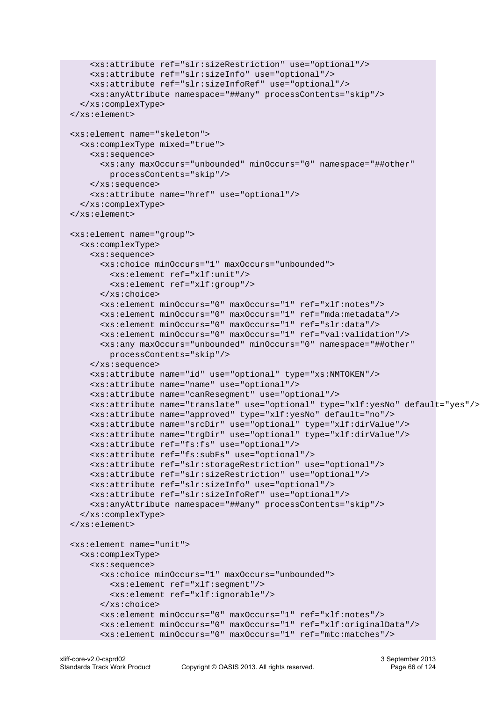```
 <xs:attribute ref="slr:sizeRestriction" use="optional"/>
     <xs:attribute ref="slr:sizeInfo" use="optional"/>
     <xs:attribute ref="slr:sizeInfoRef" use="optional"/>
     <xs:anyAttribute namespace="##any" processContents="skip"/>
   </xs:complexType>
 </xs:element>
 <xs:element name="skeleton">
   <xs:complexType mixed="true">
     <xs:sequence>
       <xs:any maxOccurs="unbounded" minOccurs="0" namespace="##other" 
         processContents="skip"/>
     </xs:sequence>
     <xs:attribute name="href" use="optional"/>
   </xs:complexType>
 </xs:element>
 <xs:element name="group">
   <xs:complexType>
     <xs:sequence>
       <xs:choice minOccurs="1" maxOccurs="unbounded">
         <xs:element ref="xlf:unit"/>
         <xs:element ref="xlf:group"/>
       </xs:choice>
       <xs:element minOccurs="0" maxOccurs="1" ref="xlf:notes"/>
       <xs:element minOccurs="0" maxOccurs="1" ref="mda:metadata"/>
       <xs:element minOccurs="0" maxOccurs="1" ref="slr:data"/>
       <xs:element minOccurs="0" maxOccurs="1" ref="val:validation"/>
       <xs:any maxOccurs="unbounded" minOccurs="0" namespace="##other" 
         processContents="skip"/>
     </xs:sequence>
     <xs:attribute name="id" use="optional" type="xs:NMTOKEN"/>
     <xs:attribute name="name" use="optional"/>
     <xs:attribute name="canResegment" use="optional"/>
     <xs:attribute name="translate" use="optional" type="xlf:yesNo" default="yes"/>
     <xs:attribute name="approved" type="xlf:yesNo" default="no"/>
     <xs:attribute name="srcDir" use="optional" type="xlf:dirValue"/>
     <xs:attribute name="trgDir" use="optional" type="xlf:dirValue"/>
     <xs:attribute ref="fs:fs" use="optional"/>
     <xs:attribute ref="fs:subFs" use="optional"/>
     <xs:attribute ref="slr:storageRestriction" use="optional"/>
     <xs:attribute ref="slr:sizeRestriction" use="optional"/>
     <xs:attribute ref="slr:sizeInfo" use="optional"/>
     <xs:attribute ref="slr:sizeInfoRef" use="optional"/>
     <xs:anyAttribute namespace="##any" processContents="skip"/>
   </xs:complexType>
 </xs:element>
 <xs:element name="unit">
   <xs:complexType>
     <xs:sequence>
       <xs:choice minOccurs="1" maxOccurs="unbounded">
         <xs:element ref="xlf:segment"/>
         <xs:element ref="xlf:ignorable"/>
       </xs:choice>
       <xs:element minOccurs="0" maxOccurs="1" ref="xlf:notes"/>
       <xs:element minOccurs="0" maxOccurs="1" ref="xlf:originalData"/>
       <xs:element minOccurs="0" maxOccurs="1" ref="mtc:matches"/>
```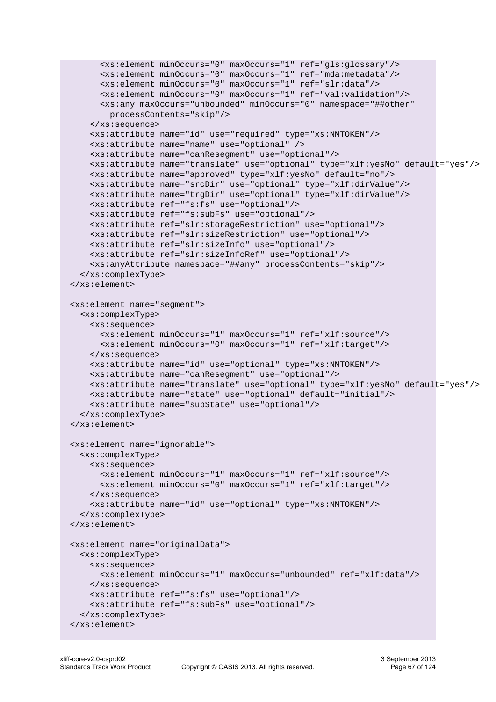```
 <xs:element minOccurs="0" maxOccurs="1" ref="gls:glossary"/>
       <xs:element minOccurs="0" maxOccurs="1" ref="mda:metadata"/>
       <xs:element minOccurs="0" maxOccurs="1" ref="slr:data"/>
       <xs:element minOccurs="0" maxOccurs="1" ref="val:validation"/>
       <xs:any maxOccurs="unbounded" minOccurs="0" namespace="##other" 
         processContents="skip"/>
     </xs:sequence>
     <xs:attribute name="id" use="required" type="xs:NMTOKEN"/>
     <xs:attribute name="name" use="optional" />
     <xs:attribute name="canResegment" use="optional"/>
     <xs:attribute name="translate" use="optional" type="xlf:yesNo" default="yes"/>
     <xs:attribute name="approved" type="xlf:yesNo" default="no"/>
     <xs:attribute name="srcDir" use="optional" type="xlf:dirValue"/>
     <xs:attribute name="trgDir" use="optional" type="xlf:dirValue"/>
     <xs:attribute ref="fs:fs" use="optional"/>
     <xs:attribute ref="fs:subFs" use="optional"/>
     <xs:attribute ref="slr:storageRestriction" use="optional"/>
     <xs:attribute ref="slr:sizeRestriction" use="optional"/>
     <xs:attribute ref="slr:sizeInfo" use="optional"/>
     <xs:attribute ref="slr:sizeInfoRef" use="optional"/>
     <xs:anyAttribute namespace="##any" processContents="skip"/>
   </xs:complexType>
 </xs:element>
 <xs:element name="segment">
   <xs:complexType>
     <xs:sequence>
       <xs:element minOccurs="1" maxOccurs="1" ref="xlf:source"/>
       <xs:element minOccurs="0" maxOccurs="1" ref="xlf:target"/>
     </xs:sequence>
     <xs:attribute name="id" use="optional" type="xs:NMTOKEN"/>
     <xs:attribute name="canResegment" use="optional"/>
     <xs:attribute name="translate" use="optional" type="xlf:yesNo" default="yes"/>
     <xs:attribute name="state" use="optional" default="initial"/>
     <xs:attribute name="subState" use="optional"/>
   </xs:complexType>
 </xs:element>
 <xs:element name="ignorable">
   <xs:complexType>
     <xs:sequence>
       <xs:element minOccurs="1" maxOccurs="1" ref="xlf:source"/>
       <xs:element minOccurs="0" maxOccurs="1" ref="xlf:target"/>
     </xs:sequence>
     <xs:attribute name="id" use="optional" type="xs:NMTOKEN"/>
   </xs:complexType>
 </xs:element>
 <xs:element name="originalData">
   <xs:complexType>
     <xs:sequence>
       <xs:element minOccurs="1" maxOccurs="unbounded" ref="xlf:data"/>
     </xs:sequence>
     <xs:attribute ref="fs:fs" use="optional"/>
     <xs:attribute ref="fs:subFs" use="optional"/>
   </xs:complexType>
 </xs:element>
```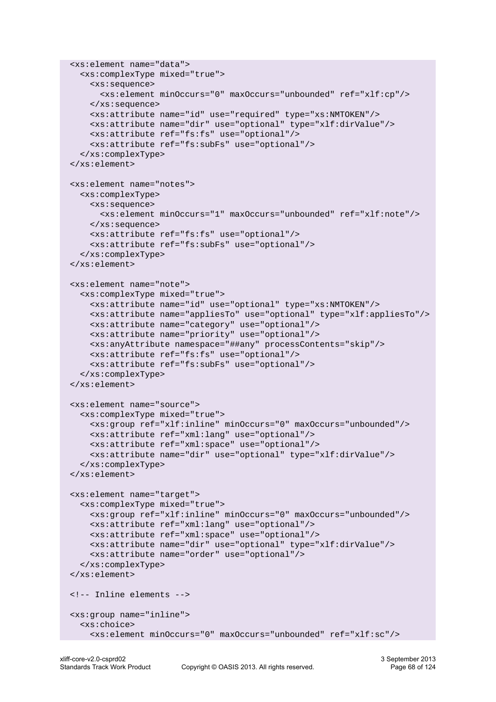```
 <xs:element name="data">
   <xs:complexType mixed="true">
     <xs:sequence>
       <xs:element minOccurs="0" maxOccurs="unbounded" ref="xlf:cp"/>
     </xs:sequence>
     <xs:attribute name="id" use="required" type="xs:NMTOKEN"/>
     <xs:attribute name="dir" use="optional" type="xlf:dirValue"/>
     <xs:attribute ref="fs:fs" use="optional"/>
     <xs:attribute ref="fs:subFs" use="optional"/>
   </xs:complexType>
 </xs:element>
 <xs:element name="notes">
   <xs:complexType>
     <xs:sequence>
       <xs:element minOccurs="1" maxOccurs="unbounded" ref="xlf:note"/>
     </xs:sequence>
     <xs:attribute ref="fs:fs" use="optional"/>
     <xs:attribute ref="fs:subFs" use="optional"/>
   </xs:complexType>
 </xs:element>
 <xs:element name="note">
   <xs:complexType mixed="true">
     <xs:attribute name="id" use="optional" type="xs:NMTOKEN"/>
     <xs:attribute name="appliesTo" use="optional" type="xlf:appliesTo"/>
     <xs:attribute name="category" use="optional"/>
     <xs:attribute name="priority" use="optional"/>
     <xs:anyAttribute namespace="##any" processContents="skip"/>
     <xs:attribute ref="fs:fs" use="optional"/>
     <xs:attribute ref="fs:subFs" use="optional"/>
   </xs:complexType>
 </xs:element>
 <xs:element name="source">
   <xs:complexType mixed="true">
     <xs:group ref="xlf:inline" minOccurs="0" maxOccurs="unbounded"/>
     <xs:attribute ref="xml:lang" use="optional"/>
     <xs:attribute ref="xml:space" use="optional"/>
     <xs:attribute name="dir" use="optional" type="xlf:dirValue"/>
   </xs:complexType>
 </xs:element>
 <xs:element name="target">
   <xs:complexType mixed="true">
     <xs:group ref="xlf:inline" minOccurs="0" maxOccurs="unbounded"/>
     <xs:attribute ref="xml:lang" use="optional"/>
     <xs:attribute ref="xml:space" use="optional"/>
     <xs:attribute name="dir" use="optional" type="xlf:dirValue"/>
     <xs:attribute name="order" use="optional"/>
   </xs:complexType>
 </xs:element>
 <!-- Inline elements -->
 <xs:group name="inline">
   <xs:choice>
     <xs:element minOccurs="0" maxOccurs="unbounded" ref="xlf:sc"/>
```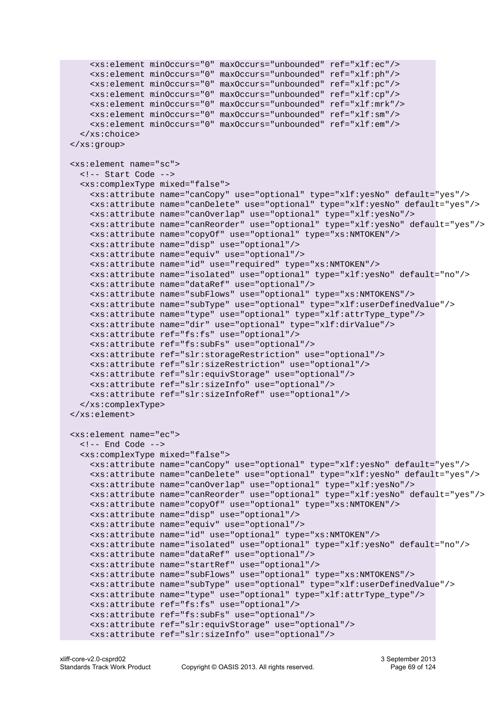```
 <xs:element minOccurs="0" maxOccurs="unbounded" ref="xlf:ec"/> 
     <xs:element minOccurs="0" maxOccurs="unbounded" ref="xlf:ph"/>
     <xs:element minOccurs="0" maxOccurs="unbounded" ref="xlf:pc"/>
     <xs:element minOccurs="0" maxOccurs="unbounded" ref="xlf:cp"/>
     <xs:element minOccurs="0" maxOccurs="unbounded" ref="xlf:mrk"/>
     <xs:element minOccurs="0" maxOccurs="unbounded" ref="xlf:sm"/>
     <xs:element minOccurs="0" maxOccurs="unbounded" ref="xlf:em"/>
   </xs:choice> 
 </xs:group>
 <xs:element name="sc">
  <!-- Start Code -->
   <xs:complexType mixed="false">
     <xs:attribute name="canCopy" use="optional" type="xlf:yesNo" default="yes"/>
     <xs:attribute name="canDelete" use="optional" type="xlf:yesNo" default="yes"/>
     <xs:attribute name="canOverlap" use="optional" type="xlf:yesNo"/>
     <xs:attribute name="canReorder" use="optional" type="xlf:yesNo" default="yes"/>
     <xs:attribute name="copyOf" use="optional" type="xs:NMTOKEN"/>
     <xs:attribute name="disp" use="optional"/>
     <xs:attribute name="equiv" use="optional"/>
     <xs:attribute name="id" use="required" type="xs:NMTOKEN"/>
     <xs:attribute name="isolated" use="optional" type="xlf:yesNo" default="no"/>
     <xs:attribute name="dataRef" use="optional"/>
     <xs:attribute name="subFlows" use="optional" type="xs:NMTOKENS"/>
     <xs:attribute name="subType" use="optional" type="xlf:userDefinedValue"/>
     <xs:attribute name="type" use="optional" type="xlf:attrType_type"/>
     <xs:attribute name="dir" use="optional" type="xlf:dirValue"/>
     <xs:attribute ref="fs:fs" use="optional"/>
     <xs:attribute ref="fs:subFs" use="optional"/>
     <xs:attribute ref="slr:storageRestriction" use="optional"/>
     <xs:attribute ref="slr:sizeRestriction" use="optional"/>
     <xs:attribute ref="slr:equivStorage" use="optional"/>
     <xs:attribute ref="slr:sizeInfo" use="optional"/>
     <xs:attribute ref="slr:sizeInfoRef" use="optional"/>
   </xs:complexType> 
 </xs:element>
 <xs:element name="ec">
  \leq !-- End Code -->
   <xs:complexType mixed="false">
     <xs:attribute name="canCopy" use="optional" type="xlf:yesNo" default="yes"/>
     <xs:attribute name="canDelete" use="optional" type="xlf:yesNo" default="yes"/>
     <xs:attribute name="canOverlap" use="optional" type="xlf:yesNo"/>
     <xs:attribute name="canReorder" use="optional" type="xlf:yesNo" default="yes"/>
     <xs:attribute name="copyOf" use="optional" type="xs:NMTOKEN"/>
     <xs:attribute name="disp" use="optional"/>
     <xs:attribute name="equiv" use="optional"/>
     <xs:attribute name="id" use="optional" type="xs:NMTOKEN"/>
     <xs:attribute name="isolated" use="optional" type="xlf:yesNo" default="no"/>
     <xs:attribute name="dataRef" use="optional"/>
     <xs:attribute name="startRef" use="optional"/>
     <xs:attribute name="subFlows" use="optional" type="xs:NMTOKENS"/>
     <xs:attribute name="subType" use="optional" type="xlf:userDefinedValue"/>
     <xs:attribute name="type" use="optional" type="xlf:attrType_type"/>
     <xs:attribute ref="fs:fs" use="optional"/>
     <xs:attribute ref="fs:subFs" use="optional"/>
     <xs:attribute ref="slr:equivStorage" use="optional"/>
     <xs:attribute ref="slr:sizeInfo" use="optional"/>
```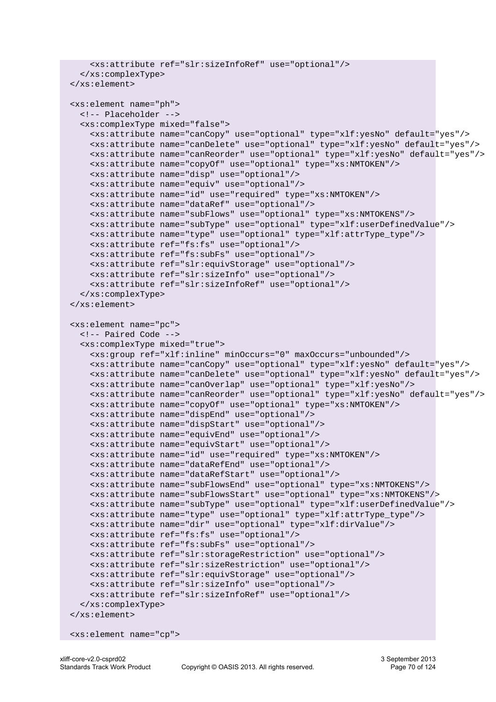```
 <xs:attribute ref="slr:sizeInfoRef" use="optional"/>
   </xs:complexType> 
 </xs:element>
 <xs:element name="ph">
  <!-- Placeholder -->
   <xs:complexType mixed="false">
     <xs:attribute name="canCopy" use="optional" type="xlf:yesNo" default="yes"/>
     <xs:attribute name="canDelete" use="optional" type="xlf:yesNo" default="yes"/>
     <xs:attribute name="canReorder" use="optional" type="xlf:yesNo" default="yes"/>
     <xs:attribute name="copyOf" use="optional" type="xs:NMTOKEN"/>
     <xs:attribute name="disp" use="optional"/>
     <xs:attribute name="equiv" use="optional"/>
     <xs:attribute name="id" use="required" type="xs:NMTOKEN"/>
     <xs:attribute name="dataRef" use="optional"/>
     <xs:attribute name="subFlows" use="optional" type="xs:NMTOKENS"/>
     <xs:attribute name="subType" use="optional" type="xlf:userDefinedValue"/>
     <xs:attribute name="type" use="optional" type="xlf:attrType_type"/>
     <xs:attribute ref="fs:fs" use="optional"/>
     <xs:attribute ref="fs:subFs" use="optional"/>
     <xs:attribute ref="slr:equivStorage" use="optional"/>
     <xs:attribute ref="slr:sizeInfo" use="optional"/>
     <xs:attribute ref="slr:sizeInfoRef" use="optional"/>
   </xs:complexType> 
 </xs:element>
 <xs:element name="pc">
   <!-- Paired Code -->
   <xs:complexType mixed="true">
     <xs:group ref="xlf:inline" minOccurs="0" maxOccurs="unbounded"/>
     <xs:attribute name="canCopy" use="optional" type="xlf:yesNo" default="yes"/>
     <xs:attribute name="canDelete" use="optional" type="xlf:yesNo" default="yes"/>
     <xs:attribute name="canOverlap" use="optional" type="xlf:yesNo"/>
     <xs:attribute name="canReorder" use="optional" type="xlf:yesNo" default="yes"/>
     <xs:attribute name="copyOf" use="optional" type="xs:NMTOKEN"/>
     <xs:attribute name="dispEnd" use="optional"/>
     <xs:attribute name="dispStart" use="optional"/>
     <xs:attribute name="equivEnd" use="optional"/>
     <xs:attribute name="equivStart" use="optional"/>
     <xs:attribute name="id" use="required" type="xs:NMTOKEN"/>
     <xs:attribute name="dataRefEnd" use="optional"/>
     <xs:attribute name="dataRefStart" use="optional"/>
     <xs:attribute name="subFlowsEnd" use="optional" type="xs:NMTOKENS"/>
     <xs:attribute name="subFlowsStart" use="optional" type="xs:NMTOKENS"/>
     <xs:attribute name="subType" use="optional" type="xlf:userDefinedValue"/>
     <xs:attribute name="type" use="optional" type="xlf:attrType_type"/>
     <xs:attribute name="dir" use="optional" type="xlf:dirValue"/>
     <xs:attribute ref="fs:fs" use="optional"/>
     <xs:attribute ref="fs:subFs" use="optional"/>
     <xs:attribute ref="slr:storageRestriction" use="optional"/>
     <xs:attribute ref="slr:sizeRestriction" use="optional"/>
     <xs:attribute ref="slr:equivStorage" use="optional"/>
     <xs:attribute ref="slr:sizeInfo" use="optional"/>
     <xs:attribute ref="slr:sizeInfoRef" use="optional"/>
   </xs:complexType> 
 </xs:element>
```

```
 <xs:element name="cp">
```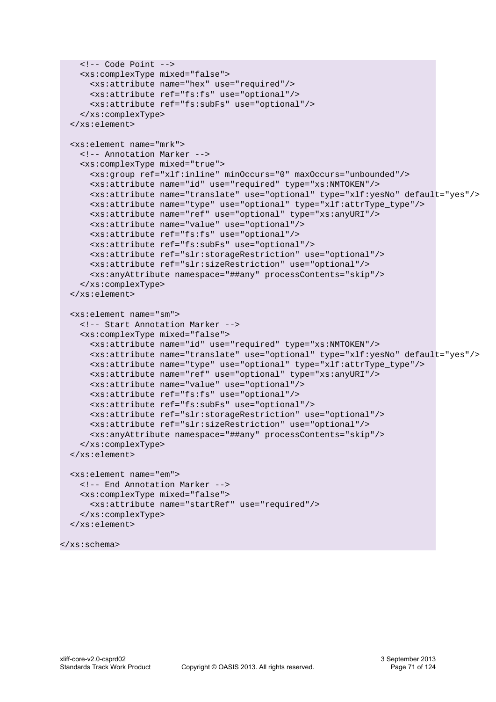```
\langle!-- Code Point -->
   <xs:complexType mixed="false">
     <xs:attribute name="hex" use="required"/>
     <xs:attribute ref="fs:fs" use="optional"/>
     <xs:attribute ref="fs:subFs" use="optional"/>
   </xs:complexType> 
 </xs:element>
 <xs:element name="mrk">
  <!-- Annotation Marker -->
  <xs:complexType mixed="true">
     <xs:group ref="xlf:inline" minOccurs="0" maxOccurs="unbounded"/>
     <xs:attribute name="id" use="required" type="xs:NMTOKEN"/>
     <xs:attribute name="translate" use="optional" type="xlf:yesNo" default="yes"/>
     <xs:attribute name="type" use="optional" type="xlf:attrType_type"/>
     <xs:attribute name="ref" use="optional" type="xs:anyURI"/>
     <xs:attribute name="value" use="optional"/>
     <xs:attribute ref="fs:fs" use="optional"/>
     <xs:attribute ref="fs:subFs" use="optional"/>
     <xs:attribute ref="slr:storageRestriction" use="optional"/>
     <xs:attribute ref="slr:sizeRestriction" use="optional"/>
     <xs:anyAttribute namespace="##any" processContents="skip"/>
   </xs:complexType> 
 </xs:element>
 <xs:element name="sm">
  <!-- Start Annotation Marker -->
  <xs:complexType mixed="false">
     <xs:attribute name="id" use="required" type="xs:NMTOKEN"/>
     <xs:attribute name="translate" use="optional" type="xlf:yesNo" default="yes"/>
     <xs:attribute name="type" use="optional" type="xlf:attrType_type"/>
     <xs:attribute name="ref" use="optional" type="xs:anyURI"/>
     <xs:attribute name="value" use="optional"/>
     <xs:attribute ref="fs:fs" use="optional"/>
     <xs:attribute ref="fs:subFs" use="optional"/>
     <xs:attribute ref="slr:storageRestriction" use="optional"/>
     <xs:attribute ref="slr:sizeRestriction" use="optional"/>
     <xs:anyAttribute namespace="##any" processContents="skip"/>
   </xs:complexType> 
 </xs:element>
 <xs:element name="em">
  <!-- End Annotation Marker -->
  <xs:complexType mixed="false">
     <xs:attribute name="startRef" use="required"/>
   </xs:complexType> 
 </xs:element>
```

```
</xs:schema>
```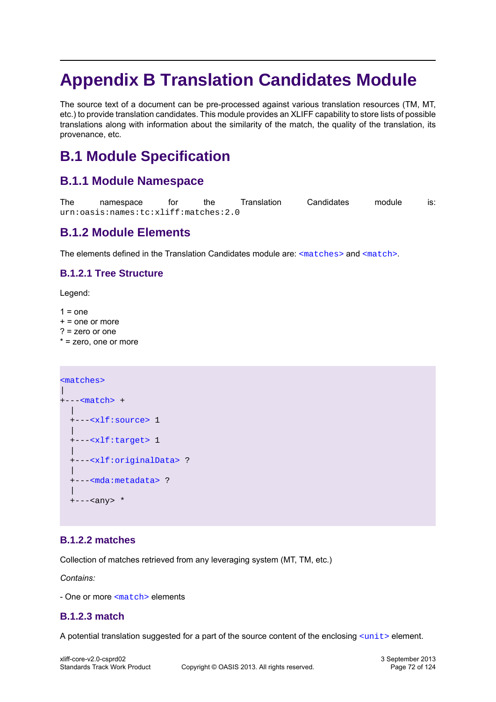# **Appendix B Translation Candidates Module**

The source text of a document can be pre-processed against various translation resources (TM, MT, etc.) to provide translation candidates. This module provides an XLIFF capability to store lists of possible translations along with information about the similarity of the match, the quality of the translation, its provenance, etc.

# **B.1 Module Specification**

# **B.1.1 Module Namespace**

```
The namespace for the Translation Candidates module is:
urn:oasis:names:tc:xliff:matches:2.0
```
# **B.1.2 Module Elements**

The elements defined in the Translation Candidates module are: [<matches>](#page-71-0) and [<match>](#page-71-1).

### **B.1.2.1 Tree Structure**

Legend:

 $1 = one$ 

- $+$  = one or more
- ? = zero or one
- \* = zero, one or more

```
<matches>
\overline{\phantom{a}}+---<match> +
   |
   +---<xlf:source> 1
\blacksquare +---<xlf:target> 1
 |
   +---<xlf:originalData> ?
 |
   +---<mda:metadata> ?
 |
   +---<any> *
```
### <span id="page-71-0"></span>**B.1.2.2 matches**

Collection of matches retrieved from any leveraging system (MT, TM, etc.)

*Contains:*

- One or more [<match>](#page-71-1) elements

### <span id="page-71-1"></span>**B.1.2.3 match**

A potential translation suggested for a part of the source content of the enclosing  $\langle$ unit> element.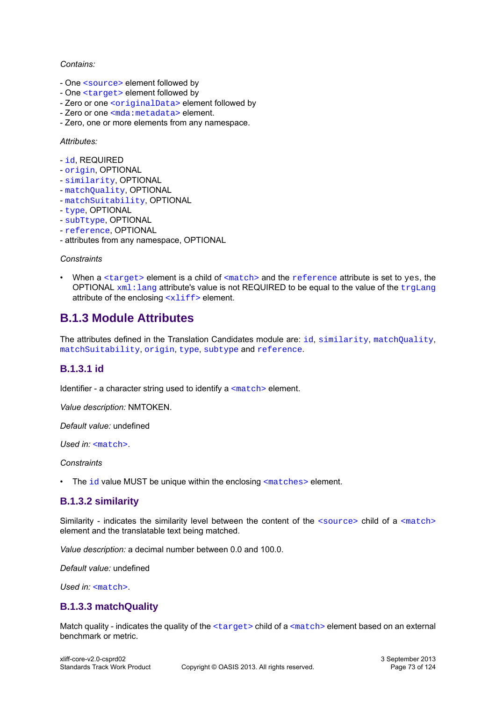#### *Contains:*

- One [<source>](#page-17-0) element followed by
- One [<target>](#page-17-1) element followed by
- Zero or one [<originalData>](#page-16-0) element followed by
- Zero or one [<mda:metadata>](#page-85-0) element.
- Zero, one or more elements from any namespace.

#### *Attributes:*

- [id](#page-72-0), REQUIRED
- [origin](#page-73-0), OPTIONAL
- [similarity](#page-72-1), OPTIONAL
- [matchQuality](#page-72-2), OPTIONAL
- [matchSuitability](#page-73-1), OPTIONAL
- [type](#page-73-2), OPTIONAL
- [subTtype](#page-74-0), OPTIONAL
- [reference](#page-75-0), OPTIONAL
- attributes from any namespace, OPTIONAL

#### *Constraints*

• When a  $\langle$  target> element is a child of  $\langle$ match> and the [reference](#page-75-0) attribute is set to yes, the OPTIONAL  $xml:$ lang attribute's value is not REQUIRED to be equal to the value of the [trgLang](#page-37-0) attribute of the enclosing  $\langle \times 1 \text{ if } f \rangle$  element.

# **B.1.3 Module Attributes**

The attributes defined in the Translation Cand[id](#page-72-0)ates module are: id, [similarity](#page-72-1), [matchQuality](#page-72-1), [matchSuitability](#page-72-1), [origin](#page-73-0), [type](#page-73-2), [subtype](#page-74-0) and [reference](#page-75-0).

## <span id="page-72-0"></span>**B.1.3.1 id**

Identifier - a character string used to identify a [<match>](#page-71-0) element.

*Value description:* NMTOKEN.

*Default value:* undefined

*Used in:* [<match>](#page-71-0).

*Constraints*

• The  $id$  value MUST be unique within the enclosing  $\epsilon_{\text{matches}}$  element.

## <span id="page-72-1"></span>**B.1.3.2 similarity**

Similarity - indicates the similarity level between the content of the [<source>](#page-17-0) child of a [<match>](#page-71-0) element and the translatable text being matched.

*Value description:* a decimal number between 0.0 and 100.0.

*Default value:* undefined

Used in: [<match>](#page-71-0).

## <span id="page-72-2"></span>**B.1.3.3 matchQuality**

Match quality - indicates the quality of the  $\langle \text{target} \rangle$  child of a  $\langle \text{match} \rangle$  element based on an external benchmark or metric.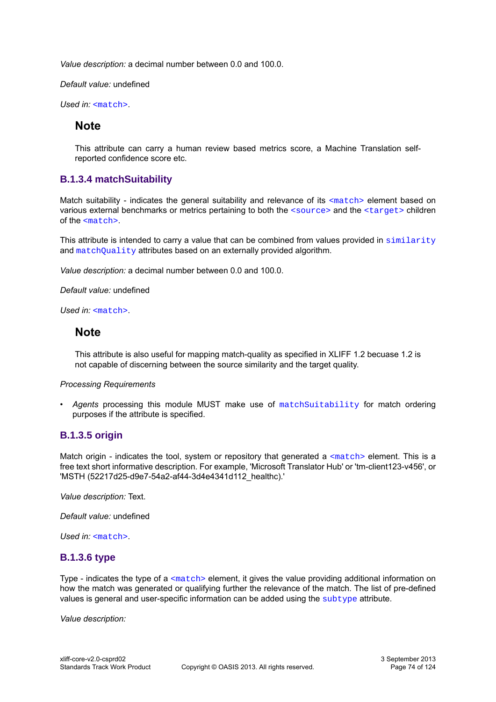*Value description:* a decimal number between 0.0 and 100.0.

*Default value:* undefined

Used in: [<match>](#page-71-0).

## **Note**

This attribute can carry a human review based metrics score, a Machine Translation selfreported confidence score etc.

## <span id="page-73-1"></span>**B.1.3.4 matchSuitability**

Match suitability - indicates the general suitability and relevance of its [<match>](#page-71-0) element based on various external benchmarks or metrics pertaining to both the [<source>](#page-17-0) and the [<target>](#page-17-1) children of the [<match>](#page-71-0).

This attribute is intended to carry a value that can be combined from values provided in [similarity](#page-72-1) and [matchQuality](#page-72-2) attributes based on an externally provided algorithm.

*Value description:* a decimal number between 0.0 and 100.0.

*Default value:* undefined

*Used in:* [<match>](#page-71-0).

## **Note**

This attribute is also useful for mapping match-quality as specified in XLIFF 1.2 becuase 1.2 is not capable of discerning between the source similarity and the target quality.

#### *Processing Requirements*

• *Agents* processing this module MUST make use of [matchSuitability](#page-73-1) for match ordering purposes if the attribute is specified.

## <span id="page-73-0"></span>**B.1.3.5 origin**

Match origin - indicates the tool, system or repository that generated a  $\alpha$   $\alpha$  element. This is a free text short informative description. For example, 'Microsoft Translator Hub' or 'tm-client123-v456', or 'MSTH (52217d25-d9e7-54a2-af44-3d4e4341d112\_healthc).'

*Value description:* Text.

*Default value:* undefined

<span id="page-73-2"></span>*Used in:* [<match>](#page-71-0).

## **B.1.3.6 type**

Type - indicates the type of a  $\frac{1}{2}$  element, it gives the value providing additional information on how the match was generated or qualifying further the relevance of the match. The list of pre-defined values is general and user-specific information can be added using the [subtype](#page-74-0) attribute.

*Value description:*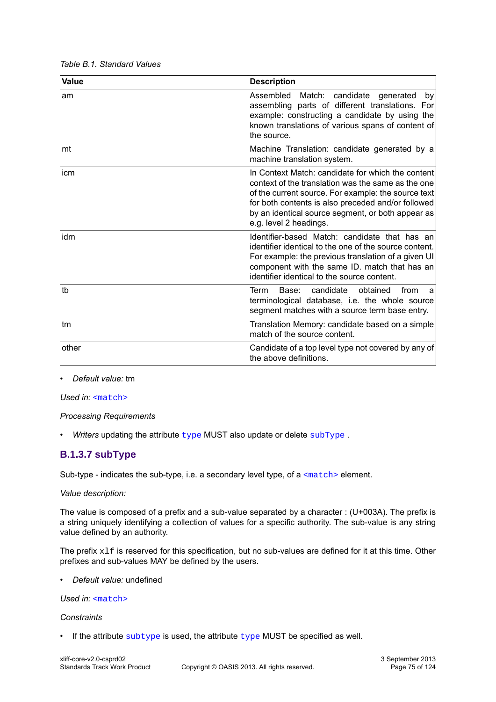| Value | <b>Description</b>                                                                                                                                                                                                                                                                                  |
|-------|-----------------------------------------------------------------------------------------------------------------------------------------------------------------------------------------------------------------------------------------------------------------------------------------------------|
| am    | Assembled<br>Match: candidate generated<br>by<br>assembling parts of different translations. For<br>example: constructing a candidate by using the<br>known translations of various spans of content of<br>the source.                                                                              |
| mt    | Machine Translation: candidate generated by a<br>machine translation system.                                                                                                                                                                                                                        |
| icm   | In Context Match: candidate for which the content<br>context of the translation was the same as the one<br>of the current source. For example: the source text<br>for both contents is also preceded and/or followed<br>by an identical source segment, or both appear as<br>e.g. level 2 headings. |
| idm   | Identifier-based Match: candidate that has an<br>identifier identical to the one of the source content.<br>For example: the previous translation of a given UI<br>component with the same ID. match that has an<br>identifier identical to the source content.                                      |
| tb    | candidate<br>Term<br>obtained<br>from<br>Base:<br>a<br>terminological database, i.e. the whole source<br>segment matches with a source term base entry.                                                                                                                                             |
| tm    | Translation Memory: candidate based on a simple<br>match of the source content.                                                                                                                                                                                                                     |
| other | Candidate of a top level type not covered by any of<br>the above definitions.                                                                                                                                                                                                                       |

#### *Table B.1. Standard Values*

• *Default value:* tm

*Used in:* [<match>](#page-71-0)

*Processing Requirements*

• *Writers* updating the attribute [type](#page-73-2) MUST also update or delete [subType](#page-74-0) .

## <span id="page-74-0"></span>**B.1.3.7 subType**

Sub-type - indicates the sub-type, i.e. a secondary level type, of a [<match>](#page-71-0) element.

#### *Value description:*

The value is composed of a prefix and a sub-value separated by a character : (U+003A). The prefix is a string uniquely identifying a collection of values for a specific authority. The sub-value is any string value defined by an authority.

The prefix  $x1f$  is reserved for this specification, but no sub-values are defined for it at this time. Other prefixes and sub-values MAY be defined by the users.

• *Default value:* undefined

### *Used in:*  $\langle \text{match} \rangle$

#### *Constraints*

 $\cdot$  If the attribute [subtype](#page-74-0) is used, the attribute [type](#page-73-2) MUST be specified as well.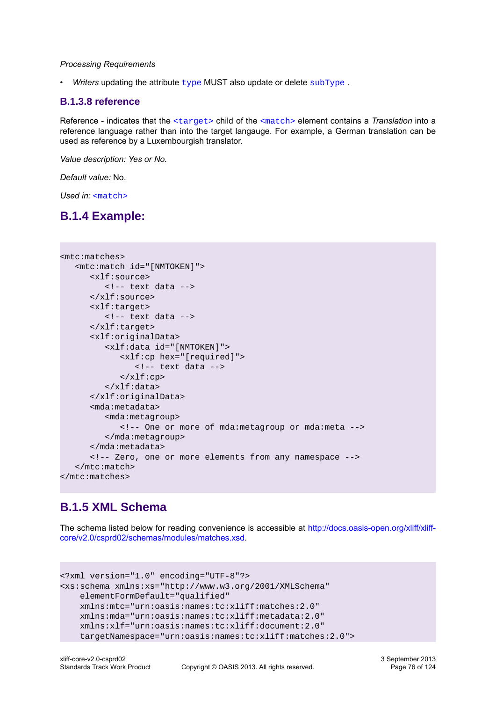#### *Processing Requirements*

• *Writers* updating the attribute  $type$  MUST also update or delete [subType](#page-74-0).

## <span id="page-75-0"></span>**B.1.3.8 reference**

Reference - indicates that the [<target>](#page-17-1) child of the [<match>](#page-71-0) element contains a *Translation* into a reference language rather than into the target langauge. For example, a German translation can be used as reference by a Luxembourgish translator.

*Value description: Yes or No.*

*Default value:* No.

*Used in:* [<match>](#page-71-0)

# **B.1.4 Example:**

```
<mtc:matches>
    <mtc:match id="[NMTOKEN]">
       <xlf:source>
          <!-- text data -->
       </xlf:source>
       <xlf:target>
          <!-- text data -->
       </xlf:target>
       <xlf:originalData>
          <xlf:data id="[NMTOKEN]">
             <xlf:cp hex="[required]">
                <!-- text data -->
             </xlf:cp>
          </xlf:data>
       </xlf:originalData>
       <mda:metadata>
          <mda:metagroup>
             <!-- One or more of mda:metagroup or mda:meta -->
          </mda:metagroup>
       </mda:metadata>
       <!-- Zero, one or more elements from any namespace -->
    </mtc:match>
</mtc:matches>
```
# **B.1.5 XML Schema**

The schema listed below for reading convenience is accessible at [http://docs.oasis-open.org/xliff/xliff](http://docs.oasis-open.org/xliff/xliff-core/v2.0/csprd02/schemas/modules/matches.xsd)[core/v2.0/csprd02/schemas/modules/matches.xsd.](http://docs.oasis-open.org/xliff/xliff-core/v2.0/csprd02/schemas/modules/matches.xsd)

```
<?xml version="1.0" encoding="UTF-8"?>
<xs:schema xmlns:xs="http://www.w3.org/2001/XMLSchema" 
    elementFormDefault="qualified"
    xmlns:mtc="urn:oasis:names:tc:xliff:matches:2.0"
    xmlns:mda="urn:oasis:names:tc:xliff:metadata:2.0"
    xmlns:xlf="urn:oasis:names:tc:xliff:document:2.0"
     targetNamespace="urn:oasis:names:tc:xliff:matches:2.0">
```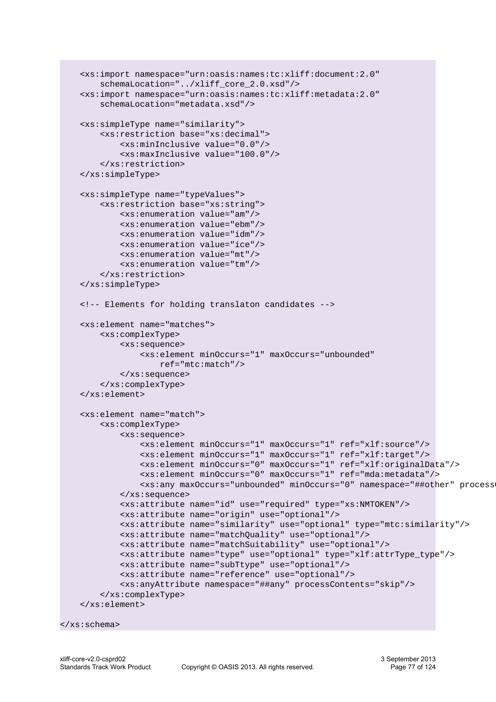```
 <xs:import namespace="urn:oasis:names:tc:xliff:document:2.0"
     schemaLocation="../xliff_core_2.0.xsd"/>
 <xs:import namespace="urn:oasis:names:tc:xliff:metadata:2.0"
     schemaLocation="metadata.xsd"/>
 <xs:simpleType name="similarity">
     <xs:restriction base="xs:decimal">
         <xs:minInclusive value="0.0"/>
         <xs:maxInclusive value="100.0"/>
     </xs:restriction>
 </xs:simpleType>
 <xs:simpleType name="typeValues">
     <xs:restriction base="xs:string">
         <xs:enumeration value="am"/>
         <xs:enumeration value="ebm"/>
         <xs:enumeration value="idm"/>
         <xs:enumeration value="ice"/>
         <xs:enumeration value="mt"/>
         <xs:enumeration value="tm"/>
     </xs:restriction>
 </xs:simpleType>
 <!-- Elements for holding translaton candidates -->
 <xs:element name="matches">
     <xs:complexType>
         <xs:sequence>
             <xs:element minOccurs="1" maxOccurs="unbounded" 
                 ref="mtc:match"/>
         </xs:sequence>
     </xs:complexType>
 </xs:element>
 <xs:element name="match">
     <xs:complexType>
         <xs:sequence>
             <xs:element minOccurs="1" maxOccurs="1" ref="xlf:source"/>
             <xs:element minOccurs="1" maxOccurs="1" ref="xlf:target"/>
             <xs:element minOccurs="0" maxOccurs="1" ref="xlf:originalData"/>
             <xs:element minOccurs="0" maxOccurs="1" ref="mda:metadata"/>
             <xs:any maxOccurs="unbounded" minOccurs="0" namespace="##other" processContents="skip"/>
         </xs:sequence>
         <xs:attribute name="id" use="required" type="xs:NMTOKEN"/>
         <xs:attribute name="origin" use="optional"/>
         <xs:attribute name="similarity" use="optional" type="mtc:similarity"/>
         <xs:attribute name="matchQuality" use="optional"/>
         <xs:attribute name="matchSuitability" use="optional"/>
         <xs:attribute name="type" use="optional" type="xlf:attrType_type"/>
         <xs:attribute name="subTtype" use="optional"/>
         <xs:attribute name="reference" use="optional"/>
         <xs:anyAttribute namespace="##any" processContents="skip"/>
     </xs:complexType>
 </xs:element>
```

```
</xs:schema>
```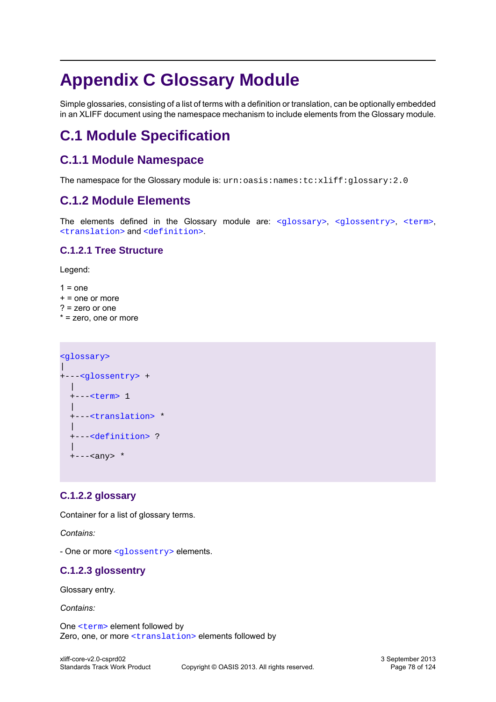# **Appendix C Glossary Module**

Simple glossaries, consisting of a list of terms with a definition or translation, can be optionally embedded in an XLIFF document using the namespace mechanism to include elements from the Glossary module.

# **C.1 Module Specification**

# **C.1.1 Module Namespace**

The namespace for the Glossary module is:  $urn:oasis:name:tc: xlift: glossary:2.0$ 

# **C.1.2 Module Elements**

The elements defined in the Glossary module are: [<glossary>](#page-77-0), [<glossentry>](#page-77-1), [<term>](#page-78-0), [<translation>](#page-78-1) and [<definition>](#page-78-2).

## **C.1.2.1 Tree Structure**

Legend:

- $1 = one$
- $+$  = one or more
- ? = zero or one
- \* = zero, one or more

```
<glossary>
\blacksquare+---<glossentry> +
  |
  +---<term> 1
 |
  +---<translation> *
 |
  +---<definition> ?
 |
  +---<any> *
```
## <span id="page-77-0"></span>**C.1.2.2 glossary**

Container for a list of glossary terms.

*Contains:*

- One or more [<glossentry>](#page-77-1) elements.

## <span id="page-77-1"></span>**C.1.2.3 glossentry**

Glossary entry.

*Contains:*

One [<term>](#page-78-0) element followed by Zero, one, or more [<translation>](#page-78-1) elements followed by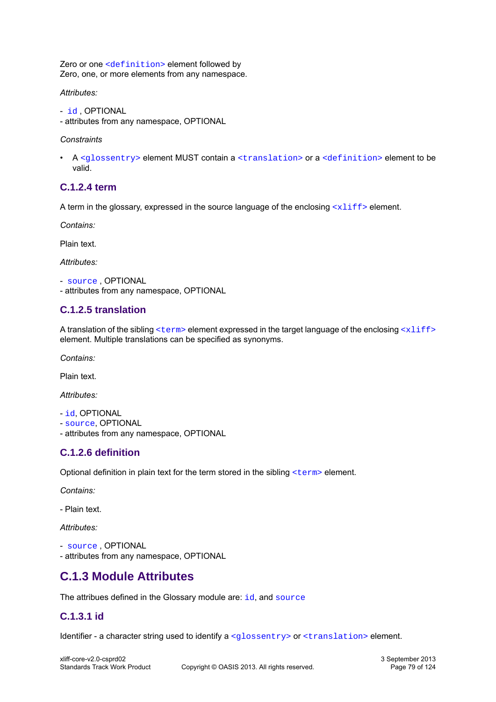Zero or one [<definition>](#page-78-2) element followed by Zero, one, or more elements from any namespace.

*Attributes:*

- [id](#page-78-3) , OPTIONAL
- attributes from any namespace, OPTIONAL

#### *Constraints*

• A [<glossentry>](#page-77-1) element MUST contain a [<translation>](#page-78-1) or a [<definition>](#page-78-2) element to be valid.

## <span id="page-78-0"></span>**C.1.2.4 term**

A term in the glossary, expressed in the source language of the enclosing  $\langle \times 1 \text{if } f \rangle$  element.

*Contains:*

Plain text.

*Attributes:*

```
- source , OPTIONAL
- attributes from any namespace, OPTIONAL
```
## <span id="page-78-1"></span>**C.1.2.5 translation**

A translation of the sibling  $\langle \text{term} \rangle$  element expressed in the target language of the enclosing  $\langle \text{xlift} \rangle$ element. Multiple translations can be specified as synonyms.

*Contains:*

Plain text.

*Attributes:*

```
- id, OPTIONAL
```
- [source](#page-79-0), OPTIONAL
- attributes from any namespace, OPTIONAL

## <span id="page-78-2"></span>**C.1.2.6 definition**

Optional definition in plain text for the term stored in the sibling [<term>](#page-78-0) element.

*Contains:*

- Plain text.

*Attributes:*

```
- source , OPTIONAL
- attributes from any namespace, OPTIONAL
```
# **C.1.3 Module Attributes**

The attribues defined in the Glossary module are: [id](#page-78-3), and [source](#page-79-0)

## <span id="page-78-3"></span>**C.1.3.1 id**

Identifier - a character string used to identify a <qlossentry> or [<translation>](#page-78-1) element.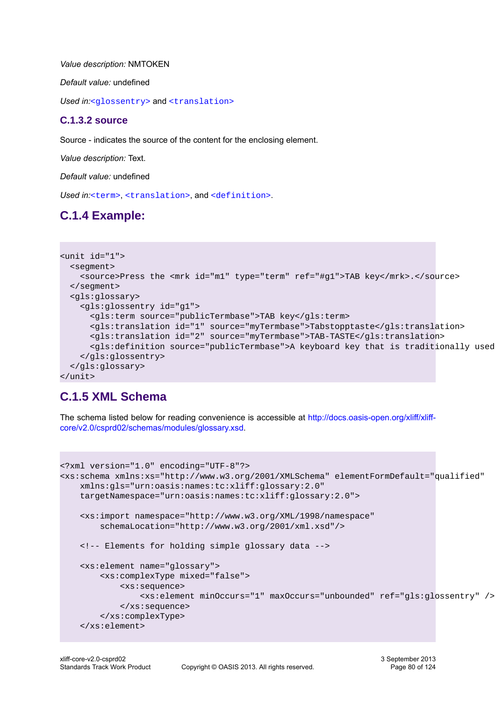*Value description:* NMTOKEN

*Default value:* undefined

Used in:[<glossentry>](#page-77-1) and [<translation>](#page-78-1)

### <span id="page-79-0"></span>**C.1.3.2 source**

Source - indicates the source of the content for the enclosing element.

*Value description:* Text.

*Default value:* undefined

Used in:[<term>](#page-78-0), [<translation>](#page-78-1), and [<definition>](#page-78-2).

# **C.1.4 Example:**

```
<unit id="1">
  <segment>
     <source>Press the <mrk id="m1" type="term" ref="#g1">TAB key</mrk>.</source>
  </segment>
  <gls:glossary>
     <gls:glossentry id="g1">
       <gls:term source="publicTermbase">TAB key</gls:term>
       <gls:translation id="1" source="myTermbase">Tabstopptaste</gls:translation>
       <gls:translation id="2" source="myTermbase">TAB-TASTE</gls:translation>
      <gls:definition source="publicTermbase">A keyboard key that is traditionally used
     </gls:glossentry>
   </gls:glossary> 
</unit>
```
## **C.1.5 XML Schema**

The schema listed below for reading convenience is accessible at [http://docs.oasis-open.org/xliff/xliff](http://docs.oasis-open.org/xliff/xliff-core/v2.0/csprd02/schemas/modules/glossary.xsd)[core/v2.0/csprd02/schemas/modules/glossary.xsd](http://docs.oasis-open.org/xliff/xliff-core/v2.0/csprd02/schemas/modules/glossary.xsd).

```
<?xml version="1.0" encoding="UTF-8"?>
<xs:schema xmlns:xs="http://www.w3.org/2001/XMLSchema" elementFormDefault="qualified"
     xmlns:gls="urn:oasis:names:tc:xliff:glossary:2.0"
     targetNamespace="urn:oasis:names:tc:xliff:glossary:2.0">
     <xs:import namespace="http://www.w3.org/XML/1998/namespace"
         schemaLocation="http://www.w3.org/2001/xml.xsd"/>
     <!-- Elements for holding simple glossary data -->
     <xs:element name="glossary">
         <xs:complexType mixed="false">
             <xs:sequence>
                 <xs:element minOccurs="1" maxOccurs="unbounded" ref="gls:glossentry" />
             </xs:sequence>
         </xs:complexType>
     </xs:element>
```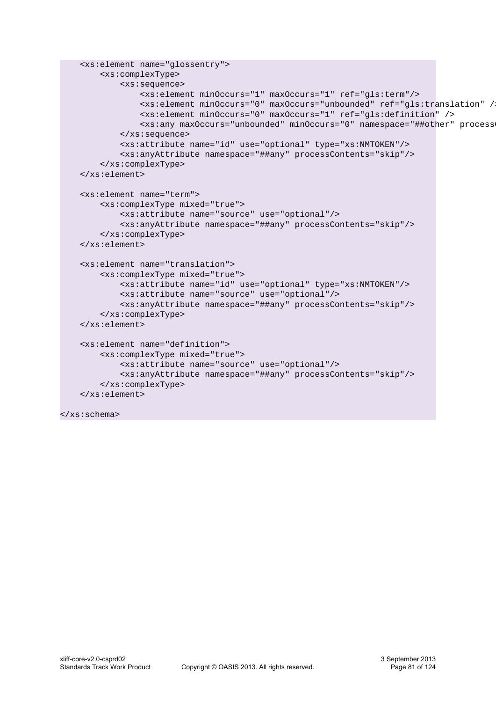```
 <xs:element name="glossentry">
     <xs:complexType>
         <xs:sequence>
             <xs:element minOccurs="1" maxOccurs="1" ref="gls:term"/>
             <xs:element minOccurs="0" maxOccurs="unbounded" ref="gls:translation" />
             <xs:element minOccurs="0" maxOccurs="1" ref="gls:definition" />
             <xs:any maxOccurs="unbounded" minOccurs="0" namespace="##other" processContents="skip"/>
         </xs:sequence>
         <xs:attribute name="id" use="optional" type="xs:NMTOKEN"/>
         <xs:anyAttribute namespace="##any" processContents="skip"/>
     </xs:complexType>
 </xs:element>
 <xs:element name="term">
     <xs:complexType mixed="true">
         <xs:attribute name="source" use="optional"/>
         <xs:anyAttribute namespace="##any" processContents="skip"/>
     </xs:complexType>
 </xs:element>
 <xs:element name="translation">
     <xs:complexType mixed="true">
         <xs:attribute name="id" use="optional" type="xs:NMTOKEN"/>
         <xs:attribute name="source" use="optional"/>
         <xs:anyAttribute namespace="##any" processContents="skip"/>
     </xs:complexType>
 </xs:element>
 <xs:element name="definition">
     <xs:complexType mixed="true">
         <xs:attribute name="source" use="optional"/>
         <xs:anyAttribute namespace="##any" processContents="skip"/>
     </xs:complexType>
 </xs:element>
```

```
</xs:schema>
```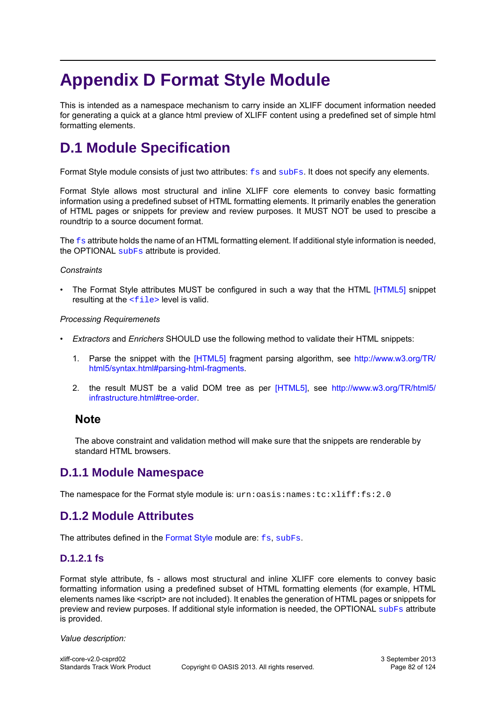# **Appendix D Format Style Module**

This is intended as a namespace mechanism to carry inside an XLIFF document information needed for generating a quick at a glance html preview of XLIFF content using a predefined set of simple html formatting elements.

# <span id="page-81-1"></span>**D.1 Module Specification**

Format Style module consists of just two attributes:  $fs$  and [subFs](#page-84-0). It does not specify any elements.

Format Style allows most structural and inline XLIFF core elements to convey basic formatting information using a predefined subset of HTML formatting elements. It primarily enables the generation of HTML pages or snippets for preview and review purposes. It MUST NOT be used to prescibe a roundtrip to a source document format.

The  $f_s$  attribute holds the name of an HTML formatting element. If additional style information is needed, the OPTIONAL [subFs](#page-84-0) attribute is provided.

#### *Constraints*

The Format Style attributes MUST be configured in such a way that the HTML [\[HTML5\]](#page-9-0) snippet resulting at the  $\leq$  file > level is valid.

#### *Processing Requiremenets*

- *Extractors* and *Enrichers* SHOULD use the following method to validate their HTML snippets:
	- 1. Parse the snippet with the [\[HTML5\]](#page-9-0) fragment parsing algorithm, see [http://www.w3.org/TR/](http://www.w3.org/TR/html5/syntax.html#parsing-html-fragments) [html5/syntax.html#parsing-html-fragments](http://www.w3.org/TR/html5/syntax.html#parsing-html-fragments).
	- 2. the result MUST be a valid DOM tree as per [\[HTML5\],](#page-9-0) see [http://www.w3.org/TR/html5/](http://www.w3.org/TR/html5/infrastructure.html#tree-order) [infrastructure.html#tree-order](http://www.w3.org/TR/html5/infrastructure.html#tree-order).

## **Note**

The above constraint and validation method will make sure that the snippets are renderable by standard HTML browsers.

## **D.1.1 Module Namespace**

The namespace for the Format style module is: urn: oasis: names: tc: xliff: fs: 2.0

# **D.1.2 Module Attributes**

<span id="page-81-0"></span>The attributes defined in the [Format Style](#page-81-1) module are: [fs](#page-81-0), [subFs](#page-84-0).

## **D.1.2.1 fs**

Format style attribute, fs - allows most structural and inline XLIFF core elements to convey basic formatting information using a predefined subset of HTML formatting elements (for example, HTML elements names like <script> are not included). It enables the generation of HTML pages or snippets for preview and review purposes. If additional style information is needed, the OPTIONAL [subFs](#page-84-0) attribute is provided.

*Value description:*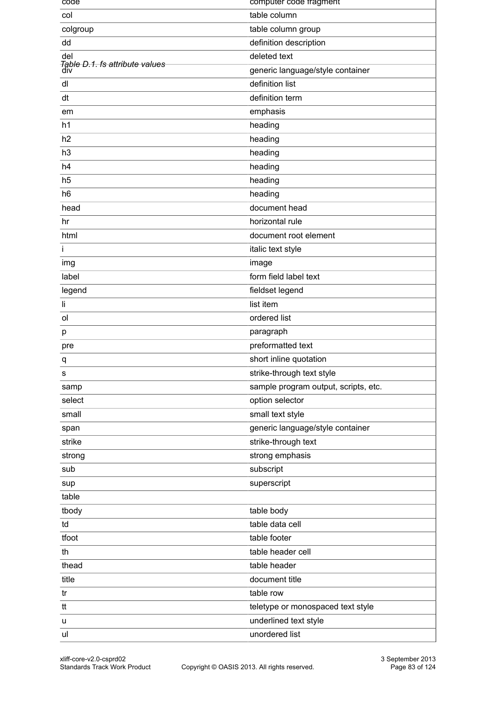| code                                             | computer code tragment               |
|--------------------------------------------------|--------------------------------------|
| col                                              | table column                         |
| colgroup                                         | table column group                   |
| dd                                               | definition description               |
| del                                              | deleted text                         |
| <del>Table D.1. fs attribute values</del><br>div | generic language/style container     |
| dl                                               | definition list                      |
| dt                                               | definition term                      |
| em                                               | emphasis                             |
| h1                                               | heading                              |
| h2                                               | heading                              |
| h3                                               | heading                              |
| h4                                               | heading                              |
| h <sub>5</sub>                                   | heading                              |
| h <sub>6</sub>                                   | heading                              |
| head                                             | document head                        |
| hr                                               | horizontal rule                      |
| html                                             | document root element                |
| Ť                                                | italic text style                    |
| img                                              | image                                |
| label                                            | form field label text                |
| legend                                           | fieldset legend                      |
| li                                               | list item                            |
| ol                                               | ordered list                         |
| p                                                | paragraph                            |
| pre                                              | preformatted text                    |
| q                                                | short inline quotation               |
| S                                                | strike-through text style            |
| samp                                             | sample program output, scripts, etc. |
| select                                           | option selector                      |
| small                                            | small text style                     |
| span                                             | generic language/style container     |
| strike                                           | strike-through text                  |
| strong                                           | strong emphasis                      |
| sub                                              | subscript                            |
| sup                                              | superscript                          |
| table                                            |                                      |
| tbody                                            | table body                           |
| td                                               | table data cell                      |
| tfoot                                            | table footer                         |
| th                                               | table header cell                    |
| thead                                            | table header                         |
| title                                            | document title                       |
| tr                                               | table row                            |
| tt                                               | teletype or monospaced text style    |
| u                                                | underlined text style                |
| ul                                               | unordered list                       |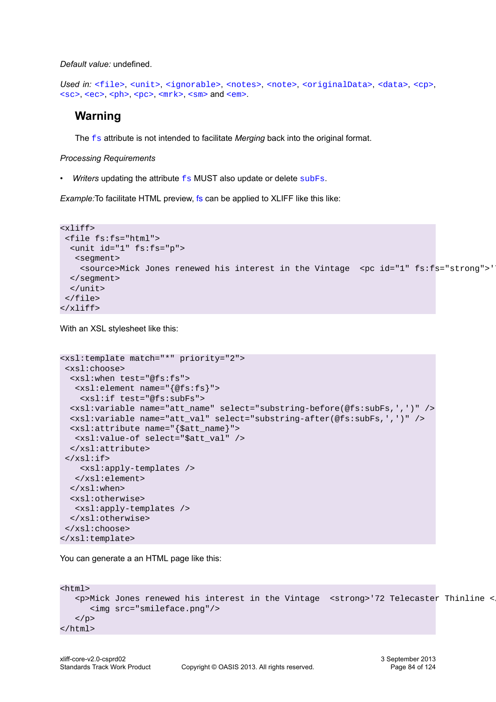*Default value:* undefined.

```
<file><unit><ignorable><notes><note><originalData><data><cp>,
<sc>, <ec>, <ph>, <pc>, <m<k>, <sm> and <em>.
```
## **Warning**

The f<sub>s</sub> attribute is not intended to facilitate *Merging* back into the original format.

*Processing Requirements*

*Writers* updating the attribute  $f_s$  MUST also update or delete [subFs](#page-84-0).

*Example:*To facilitate HTML preview, [fs](#page-81-0) can be applied to XLIFF like this like:

```
<xliff>
  <file fs:fs="html"> 
   <unit id="1" fs:fs="p">
   <segment>
    <source>Mick Jones renewed his interest in the Vintage <pc id="1" fs:fs="strong">'
   </segment>
   </unit>
 </file>
</xliff>
```
With an XSL stylesheet like this:

```
<xsl:template match="*" priority="2">
  <xsl:choose>
   <xsl:when test="@fs:fs">
    <xsl:element name="{@fs:fs}">
     <xsl:if test="@fs:subFs">
   <xsl:variable name="att_name" select="substring-before(@fs:subFs,',')" />
   <xsl:variable name="att_val" select="substring-after(@fs:subFs,',')" />
   <xsl:attribute name="{$att_name}">
    <xsl:value-of select="$att_val" />
   </xsl:attribute>
 \langle xsl:if>
     <xsl:apply-templates />
   </xsl:element>
   </xsl:when>
   <xsl:otherwise>
   <xsl:apply-templates /> 
   </xsl:otherwise> 
 </xsl:choose>
</xsl:template>
```
You can generate a an HTML page like this:

```
<html>
   <p>Mick Jones renewed his interest in the Vintage <strong>'72 Telecaster Thinline <
       <img src="smileface.png"/>
   \langle/p>
</html>
```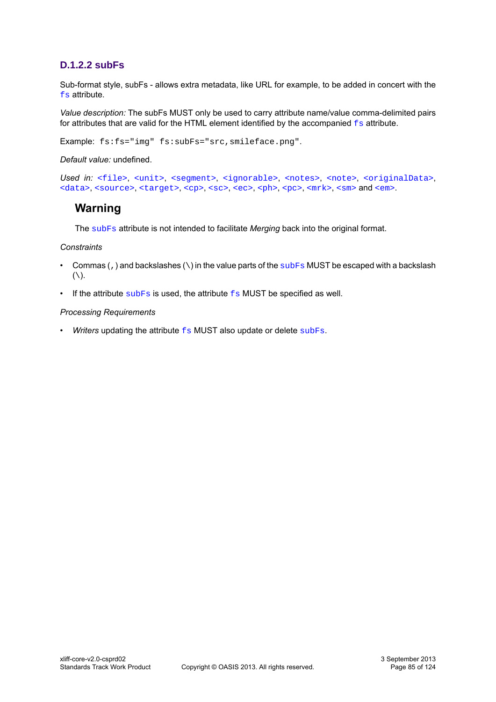## <span id="page-84-0"></span>**D.1.2.2 subFs**

Sub-format style, subFs - allows extra metadata, like URL for example, to be added in concert with the [fs](#page-81-0) attribute.

*Value description:* The subFs MUST only be used to carry attribute name/value comma-delimited pairs for attributes that are valid for the HTML element identified by the accompanied  $f_s$  attribute.

Example: fs:fs="img" fs:subFs="src,smileface.png".

*Default value:* undefined.

```
<file><unit><ignorable><notes><note><originalData>,
<data><source><target><cp><sc><ph><pc><mrk><sm><em>.
```
# **Warning**

The [subFs](#page-84-0) attribute is not intended to facilitate *Merging* back into the original format.

#### *Constraints*

- Commas (, ) and backslashes  $(\cdot)$  in the value parts of the  $\frac{\text{subFs}}{\text{MUST}}$  $\frac{\text{subFs}}{\text{MUST}}$  $\frac{\text{subFs}}{\text{MUST}}$  be escaped with a backslash  $(\setminus).$
- If the attribute  $subFs$  is used, the attribute  $fs$  MUST be specified as well.

#### *Processing Requirements*

• *Writers* updating the attribute  $f_s$  MUST also update or delete [subFs](#page-84-0).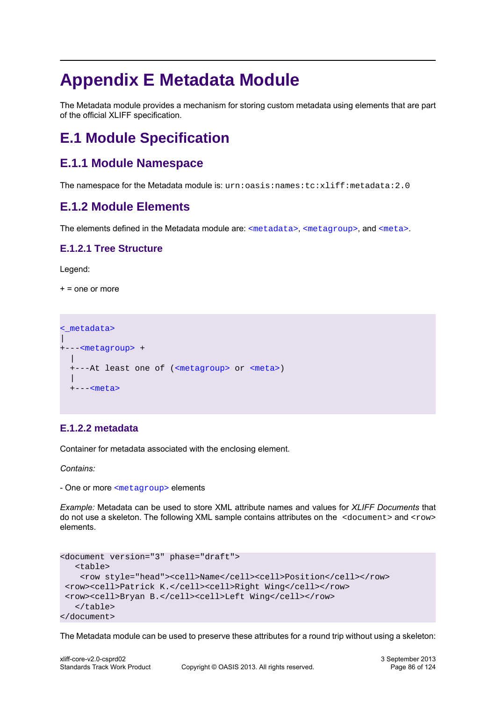# **Appendix E Metadata Module**

The Metadata module provides a mechanism for storing custom metadata using elements that are part of the official XLIFF specification.

# **E.1 Module Specification**

# **E.1.1 Module Namespace**

The namespace for the Metadata module is: urn:oasis:names:tc:xliff:metadata:2.0

# **E.1.2 Module Elements**

The elements defined in the Metadata module are: [<metadata>](#page-85-0), [<metagroup>](#page-87-0), and [<meta>](#page-87-1).

## **E.1.2.1 Tree Structure**

Legend:

 $+$  = one or more

```
<_metadata>
\overline{\phantom{a}}+---<metagroup> +
 |
   +---At least one of (<metagroup> or <meta>)
 |
   +---<meta>
```
## <span id="page-85-0"></span>**E.1.2.2 metadata**

Container for metadata associated with the enclosing element.

*Contains:*

- One or more [<metagroup>](#page-87-0) elements

*Example:* Metadata can be used to store XML attribute names and values for *XLIFF Documents* that do not use a skeleton. The following XML sample contains attributes on the <document> and <row> elements.

```
<document version="3" phase="draft">
    <table>
     <row style="head"><cell>Name</cell><cell>Position</cell></row>
 <row><cell>Patrick K.</cell><cell>Right Wing</cell></row>
  <row><cell>Bryan B.</cell><cell>Left Wing</cell></row>
    </table>
</document>
```
The Metadata module can be used to preserve these attributes for a round trip without using a skeleton: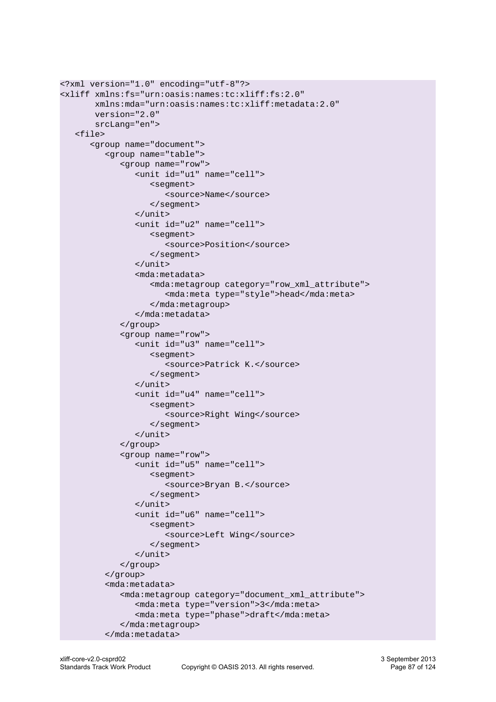```
<?xml version="1.0" encoding="utf-8"?>
<xliff xmlns:fs="urn:oasis:names:tc:xliff:fs:2.0"
        xmlns:mda="urn:oasis:names:tc:xliff:metadata:2.0"
        version="2.0"
        srcLang="en">
    <file>
       <group name="document">
          <group name="table">
              <group name="row">
                 <unit id="u1" name="cell">
                    <segment>
                        <source>Name</source>
                    </segment>
                 </unit>
                 <unit id="u2" name="cell">
                    <segment>
                       <source>Position</source>
                    </segment>
                 </unit>
                 <mda:metadata>
                    <mda:metagroup category="row_xml_attribute">
                        <mda:meta type="style">head</mda:meta>
                    </mda:metagroup>
                 </mda:metadata>
              </group>
              <group name="row">
                 <unit id="u3" name="cell">
                    <segment>
                        <source>Patrick K.</source>
                    </segment>
                \langle/unit>
                 <unit id="u4" name="cell">
                    <segment>
                       <source>Right Wing</source>
                    </segment>
                 </unit>
              </group>
              <group name="row">
                 <unit id="u5" name="cell">
                    <segment>
                        <source>Bryan B.</source>
                    </segment>
                \langle/unit>
                 <unit id="u6" name="cell">
                    <segment>
                       <source>Left Wing</source>
                    </segment>
                 </unit>
              </group>
          </group>
          <mda:metadata>
              <mda:metagroup category="document_xml_attribute">
                 <mda:meta type="version">3</mda:meta>
                 <mda:meta type="phase">draft</mda:meta>
              </mda:metagroup>
          </mda:metadata>
```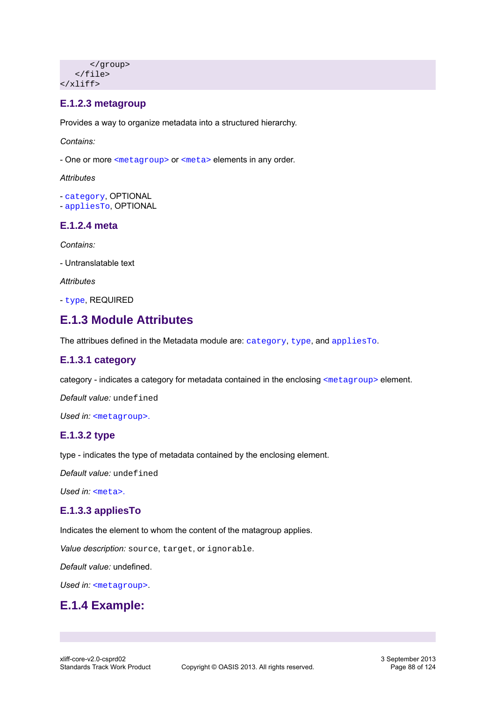```
 </group>
    </file>
</xliff>
```
## <span id="page-87-0"></span>**E.1.2.3 metagroup**

Provides a way to organize metadata into a structured hierarchy.

*Contains:*

- One or more [<metagroup>](#page-87-0) or [<meta>](#page-87-1) elements in any order.

*Attributes*

- [category](#page-87-2), OPTIONAL - [appliesTo](#page-87-3), OPTIONAL

## <span id="page-87-1"></span>**E.1.2.4 meta**

*Contains:*

- Untranslatable text

*Attributes*

- [type](#page-87-4), REQUIRED

# **E.1.3 Module Attributes**

The attribues defined in the Metadata module are: [category](#page-87-4), [type](#page-87-4), and [appliesTo](#page-87-3).

## <span id="page-87-2"></span>**E.1.3.1 category**

category - indicates a category for metadata contained in the enclosing [<metagroup>](#page-87-0) element.

*Default value:* undefined

<span id="page-87-4"></span>Used in: [<metagroup>](#page-87-0).

## **E.1.3.2 type**

type - indicates the type of metadata contained by the enclosing element.

*Default value:* undefined

*Used in:* [<meta>](#page-87-1).

## <span id="page-87-3"></span>**E.1.3.3 appliesTo**

Indicates the element to whom the content of the matagroup applies.

*Value description:* source, target, or ignorable.

*Default value:* undefined.

*Used in:* [<metagroup>](#page-87-0).

# **E.1.4 Example:**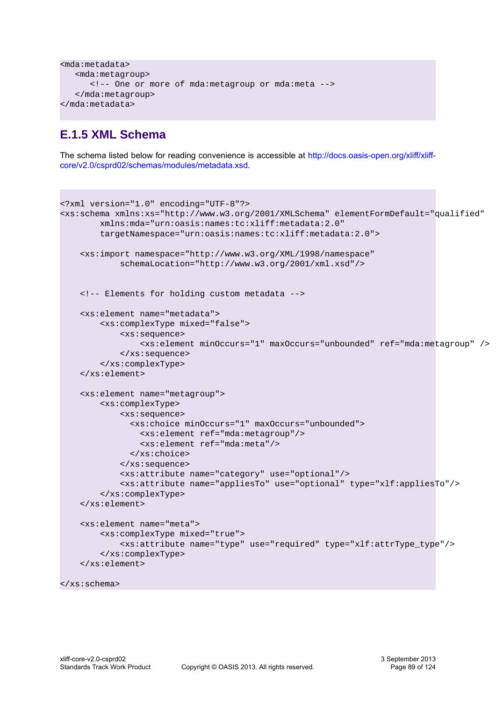```
<mda:metadata>
    <mda:metagroup>
       <!-- One or more of mda:metagroup or mda:meta -->
    </mda:metagroup>
</mda:metadata>
```
# **E.1.5 XML Schema**

The schema listed below for reading convenience is accessible at [http://docs.oasis-open.org/xliff/xliff](http://docs.oasis-open.org/xliff/xliff-core/v2.0/csprd02/schemas/modules/metadata.xsd)[core/v2.0/csprd02/schemas/modules/metadata.xsd.](http://docs.oasis-open.org/xliff/xliff-core/v2.0/csprd02/schemas/modules/metadata.xsd)

```
<?xml version="1.0" encoding="UTF-8"?>
<xs:schema xmlns:xs="http://www.w3.org/2001/XMLSchema" elementFormDefault="qualified"
         xmlns:mda="urn:oasis:names:tc:xliff:metadata:2.0"
         targetNamespace="urn:oasis:names:tc:xliff:metadata:2.0">
     <xs:import namespace="http://www.w3.org/XML/1998/namespace"
             schemaLocation="http://www.w3.org/2001/xml.xsd"/>
     <!-- Elements for holding custom metadata -->
     <xs:element name="metadata">
         <xs:complexType mixed="false">
             <xs:sequence>
                 <xs:element minOccurs="1" maxOccurs="unbounded" ref="mda:metagroup" />
             </xs:sequence>
         </xs:complexType>
     </xs:element>
     <xs:element name="metagroup">
         <xs:complexType>
             <xs:sequence>
               <xs:choice minOccurs="1" maxOccurs="unbounded">
                 <xs:element ref="mda:metagroup"/>
                 <xs:element ref="mda:meta"/>
               </xs:choice>
             </xs:sequence>
             <xs:attribute name="category" use="optional"/>
             <xs:attribute name="appliesTo" use="optional" type="xlf:appliesTo"/>
         </xs:complexType>
     </xs:element>
     <xs:element name="meta">
         <xs:complexType mixed="true">
             <xs:attribute name="type" use="required" type="xlf:attrType_type"/>
         </xs:complexType>
     </xs:element>
```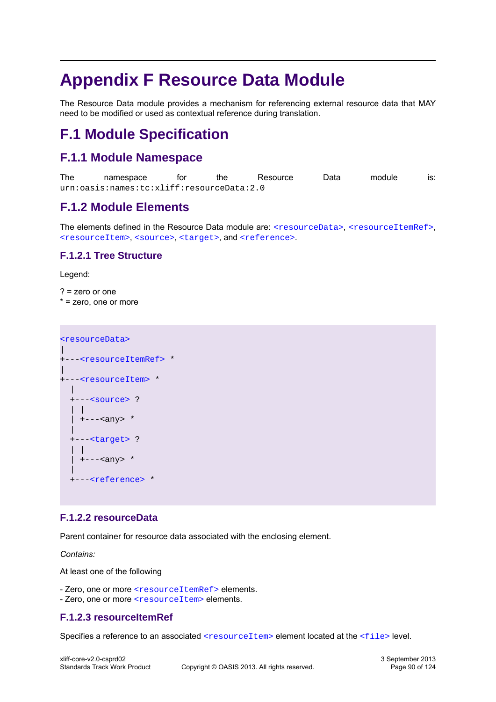# **Appendix F Resource Data Module**

The Resource Data module provides a mechanism for referencing external resource data that MAY need to be modified or used as contextual reference during translation.

# **F.1 Module Specification**

# **F.1.1 Module Namespace**

| The | namespace                                 | tor | the | Resource | Data | module | IS: |
|-----|-------------------------------------------|-----|-----|----------|------|--------|-----|
|     | urn:oasis:names:tc:xliff:resourceData:2.0 |     |     |          |      |        |     |

# **F.1.2 Module Elements**

The elements defined in the Resource Data module are: [<resourceData>](#page-89-0), [<resourceItemRef>](#page-89-1), [<resourceItem>](#page-90-0), [<source>](#page-91-0), [<target>](#page-91-1), and [<reference>](#page-92-0).

## **F.1.2.1 Tree Structure**

Legend:

? = zero or one \* = zero, one or more

```
<resourceData>
\overline{\phantom{a}}+---<resourceItemRef> *
\overline{\phantom{a}}+---<resourceItem> *
   \mathbf{I} +---<source> ?
    | |
   | +---<any> *\blacksquare +---<target> ?
     | |
     | +---<any> *
 |
   +---<reference> *
```
## <span id="page-89-0"></span>**F.1.2.2 resourceData**

Parent container for resource data associated with the enclosing element.

*Contains:*

At least one of the following

- Zero, one or more [<resourceItemRef>](#page-89-1) elements.
- Zero, one or more [<resourceItem>](#page-90-0) elements.

## <span id="page-89-1"></span>**F.1.2.3 resourceItemRef**

Specifies a reference to an associated  $\le$ resourceItem> element located at the  $\le$ file> level.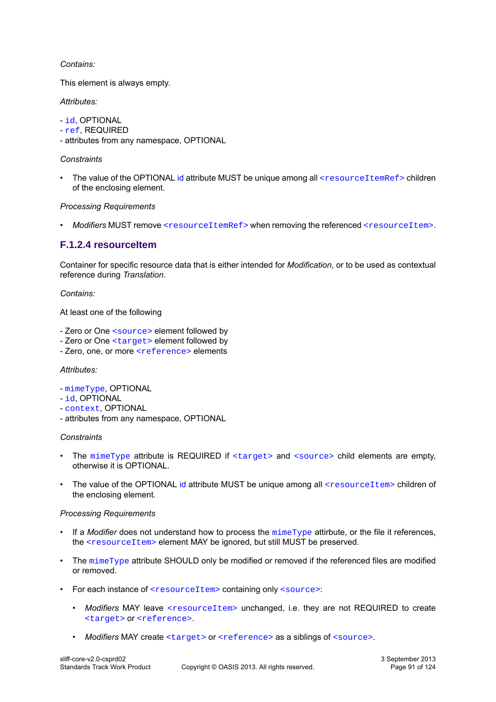#### *Contains:*

This element is always empty.

#### *Attributes:*

- [id](#page-93-0), OPTIONAL
- [ref](#page-94-0), REQUIRED
- attributes from any namespace, OPTIONAL

### *Constraints*

The value of the OPTIONAL [id](#page-93-0) attribute MUST be unique among all [<resourceItemRef>](#page-89-1) children of the enclosing element.

### *Processing Requirements*

• *Modifiers* MUST remove [<resourceItemRef>](#page-89-1) when removing the referenced [<resourceItem>](#page-90-0).

## <span id="page-90-0"></span>**F.1.2.4 resourceItem**

Container for specific resource data that is either intended for *Modification*, or to be used as contextual reference during *Translation*.

#### *Contains:*

At least one of the following

- Zero or One [<source>](#page-91-0) element followed by
- Zero or One [<target>](#page-91-1) element followed by
- Zero, one, or more [<reference>](#page-92-0) elements

#### *Attributes:*

- [mimeType](#page-93-1), OPTIONAL
- [id](#page-93-0), OPTIONAL
- [context](#page-93-2), OPTIONAL
- attributes from any namespace, OPTIONAL

#### *Constraints*

- The [mimeType](#page-93-1) attribute is REQUIRED if [<target>](#page-91-1) and [<source>](#page-91-0) child elements are empty, otherwise it is OPTIONAL.
- The value of the OPTIONAL [id](#page-93-0) attribute MUST be unique among all [<resourceItem>](#page-90-0) children of the enclosing element.

#### *Processing Requirements*

- If a *Modifier* does not understand how to process the [mimeType](#page-93-1) attirbute, or the file it references, the [<resourceItem>](#page-90-0) element MAY be ignored, but still MUST be preserved.
- The [mimeType](#page-93-1) attribute SHOULD only be modified or removed if the referenced files are modified or removed.
- For each instance of [<resourceItem>](#page-90-0) containing only [<source>](#page-91-0):
	- *Modifiers* MAY leave [<resourceItem>](#page-90-0) unchanged, i.e. they are not REQUIRED to create [<target>](#page-91-1) or [<reference>](#page-92-0).
	- Modifiers MAY create [<target>](#page-91-1) or [<reference>](#page-92-0) as a siblings of [<source>](#page-91-0).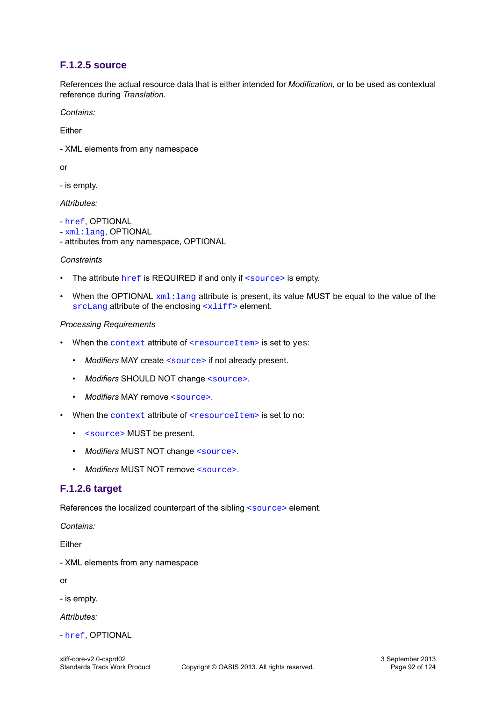## <span id="page-91-0"></span>**F.1.2.5 source**

References the actual resource data that is either intended for *Modification*, or to be used as contextual reference during *Translation*.

*Contains:*

Either

- XML elements from any namespace

or

- is empty.

*Attributes:*

- [href](#page-93-3), OPTIONAL
- [xml:lang](#page-93-4), OPTIONAL
- attributes from any namespace, OPTIONAL

#### *Constraints*

- The attribute  $href$  is REQUIRED if and only if  $\langle source \rangle$  is empty.
- When the OPTIONAL  $xml:$  lang attribute is present, its value MUST be equal to the value of the [srcLang](#page-35-0) attribute of the enclosing [<xliff>](#page-12-0) element.

#### *Processing Requirements*

- When the [context](#page-93-2) attribute of [<resourceItem>](#page-90-0) is set to yes:
	- Modifiers MAY create [<source>](#page-91-0) if not already present.
	- *Modifiers* SHOULD NOT change [<source>](#page-91-0).
	- *Modifiers* MAY remove [<source>](#page-91-0).
- When the [context](#page-93-2) attribute of [<resourceItem>](#page-90-0) is set to no:
	- [<source>](#page-91-0) MUST be present.
	- *Modifiers* MUST NOT change [<source>](#page-91-0).
	- *Modifiers* MUST NOT remove [<source>](#page-91-0).

## <span id="page-91-1"></span>**F.1.2.6 target**

References the localized counterpart of the sibling [<source>](#page-91-0) element.

*Contains:*

Either

- XML elements from any namespace

or

- is empty.

*Attributes:*

- [href](#page-93-3), OPTIONAL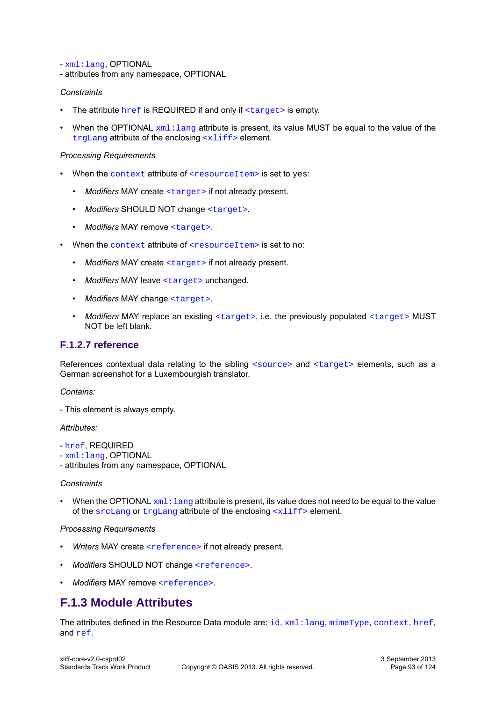- [xml:lang](#page-93-4), OPTIONAL

- attributes from any namespace, OPTIONAL

#### *Constraints*

- The attribute  $\text{href{a)}+ \text{if}+ \text{if}+ \text{if}+ \text{if}+ \text{if}+ \text{if}+ \text{if}+ \text{if}+ \text{if}+ \text{if}+ \text{if}+ \text{if}+ \text{if}+ \text{if}+ \text{if}+ \text{if}+ \text{if}+ \text{if}+ \text{if}+ \text{if}+ \text{if}+ \text{if}+ \text{if}+ \text{if}+ \text{if}+ \text{if}+ \text{if}+ \text{if}+ \text{if}+ \text{if}+ \text{if}+ \text{if}+ \text{if$  $\text{href{a)}+ \text{if}+ \text{if}+ \text{if}+ \text{if}+ \text{if}+ \text{if}+ \text{if}+ \text{if}+ \text{if}+ \text{if}+ \text{if}+ \text{if}+ \text{if}+ \text{if}+ \text{if}+ \text{if}+ \text{if}+ \text{if}+ \text{if}+ \text{if}+ \text{if}+ \text{if}+ \text{if}+ \text{if}+ \text{if}+ \text{if}+ \text{if}+ \text{if}+ \text{if}+ \text{if}+ \text{if}+ \text{if}+ \text{if$  $\text{href{a)}+ \text{if}+ \text{if}+ \text{if}+ \text{if}+ \text{if}+ \text{if}+ \text{if}+ \text{if}+ \text{if}+ \text{if}+ \text{if}+ \text{if}+ \text{if}+ \text{if}+ \text{if}+ \text{if}+ \text{if}+ \text{if}+ \text{if}+ \text{if}+ \text{if}+ \text{if}+ \text{if}+ \text{if}+ \text{if}+ \text{if}+ \text{if}+ \text{if}+ \text{if}+ \text{if}+ \text{if}+ \text{if}+ \text{if$
- When the OPTIONAL  $xml:$  lang attribute is present, its value MUST be equal to the value of the [trgLang](#page-37-0) attribute of the enclosing [<xliff>](#page-12-0) element.

#### *Processing Requirements*

- When the [context](#page-93-2) attribute of [<resourceItem>](#page-90-0) is set to yes:
	- Modifiers MAY create [<target>](#page-91-1) if not already present.
	- *Modifiers* SHOULD NOT change [<target>](#page-91-1).
	- *Modifiers* MAY remove [<target>](#page-91-1).
- When the [context](#page-93-2) attribute of [<resourceItem>](#page-90-0) is set to no:
	- *Modifiers* MAY create [<target>](#page-91-1) if not already present.
	- Modifiers MAY leave [<target>](#page-91-1) unchanged.
	- *Modifiers* MAY change [<target>](#page-91-1).
	- *Modifiers* MAY replace an existing [<target>](#page-91-1), i.e. the previously populated [<target>](#page-91-1) MUST NOT be left blank.

## <span id="page-92-0"></span>**F.1.2.7 reference**

References contextual data relating to the sibling [<source>](#page-91-0) and [<target>](#page-91-1) elements, such as a German screenshot for a Luxembourgish translator.

*Contains:*

- This element is always empty.

#### *Attributes:*

- [href](#page-93-3), REQUIRED
- [xml:lang](#page-93-4), OPTIONAL
- attributes from any namespace, OPTIONAL

#### *Constraints*

• When the OPTIONAL  $xml:$  lang attribute is present, its value does not need to be equal to the value of the  $srcLang$  or  $trglang$  attribute of the enclosing  $\langle x1\text{if} f \rangle$  element.

#### *Processing Requirements*

- Writers MAY create [<reference>](#page-92-0) if not already present.
- *Modifiers* SHOULD NOT change [<reference>](#page-92-0).
- *Modifiers* MAY remove [<reference>](#page-92-0).

# **F.1.3 Module Attributes**

The attributes defined in the Resource Data module are: [id](#page-93-0), xml: lang, [mimeType](#page-93-1), [context](#page-93-2), [href](#page-93-3), and [ref](#page-94-0).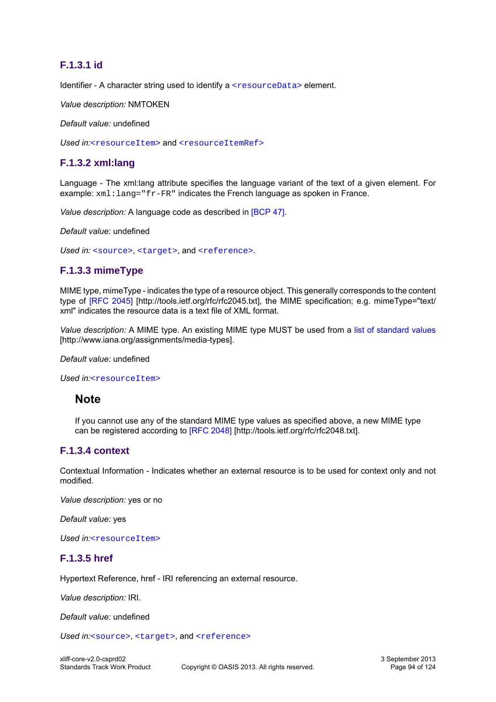## <span id="page-93-0"></span>**F.1.3.1 id**

Identifier - A character string used to identify a [<resourceData>](#page-89-0) element.

*Value description:* NMTOKEN

*Default value:* undefined

Used in:[<resourceItem>](#page-90-0) and [<resourceItemRef>](#page-89-1)

## <span id="page-93-4"></span>**F.1.3.2 xml:lang**

Language - The xml:lang attribute specifies the language variant of the text of a given element. For example: xml: lang="fr-FR" indicates the French language as spoken in France.

*Value description:* A language code as described in [\[BCP 47\].](#page-9-1)

*Default value:* undefined

Used in: [<source>](#page-91-0), [<target>](#page-91-1), and [<reference>](#page-92-0).

## <span id="page-93-1"></span>**F.1.3.3 mimeType**

MIME type, mimeType - indicates the type of a resource object. This generally corresponds to the content type of [\[RFC 2045\]](http://tools.ietf.org/rfc/rfc2045.txt) [http://tools.ietf.org/rfc/rfc2045.txt], the MIME specification; e.g. mimeType="text/ xml" indicates the resource data is a text file of XML format.

*Value description:* A MIME type. An existing MIME type MUST be used from a [list of standard values](http://www.iana.org/assignments/media-types) [http://www.iana.org/assignments/media-types].

#### *Default value:* undefined

Used in:[<resourceItem>](#page-90-0)

## **Note**

If you cannot use any of the standard MIME type values as specified above, a new MIME type can be registered according to [\[RFC 2048\]](http://tools.ietf.org/rfc/rfc2048.txt) [http://tools.ietf.org/rfc/rfc2048.txt].

## <span id="page-93-2"></span>**F.1.3.4 context**

Contextual Information - Indicates whether an external resource is to be used for context only and not modified.

*Value description:* yes or no

*Default value:* yes

*Used in:*[<resourceItem>](#page-90-0)

## <span id="page-93-3"></span>**F.1.3.5 href**

Hypertext Reference, href - IRI referencing an external resource.

*Value description:* IRI.

*Default value:* undefined

Used in:[<source>](#page-91-0), [<target>](#page-91-1), and [<reference>](#page-92-0)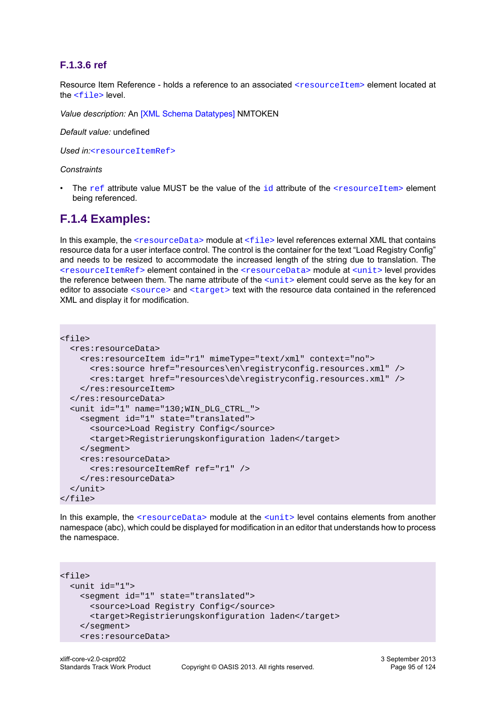## <span id="page-94-0"></span>**F.1.3.6 ref**

Resource Item Reference - holds a reference to an associated [<resourceItem>](#page-90-0) element located at the [<file>](#page-13-0) level.

*Value description:* An [\[XML Schema Datatypes\]](#page-9-2) NMTOKEN

*Default value:* undefined

*Used in:*[<resourceItemRef>](#page-89-1)

#### *Constraints*

The [ref](#page-94-0) attribute value MUST be the value of the  $id$  attribute of the  $\leq$ resourceItem> element being referenced.

## **F.1.4 Examples:**

In this example, the [<resourceData>](#page-89-0) module at [<file>](#page-13-0) level references external XML that contains resource data for a user interface control. The control is the container for the text "Load Registry Config" and needs to be resized to accommodate the increased length of the string due to translation. The [<resourceItemRef>](#page-89-0) element contained in the [<resourceData>](#page-89-0) module at [<unit>](#page-14-0) level provides the reference between them. The name attribute of the  $\langle$ unit> element could serve as the key for an editor to associate [<source>](#page-91-0) and [<target>](#page-91-1) text with the resource data contained in the referenced XML and display it for modification.

```
<file>
   <res:resourceData>
     <res:resourceItem id="r1" mimeType="text/xml" context="no">
       <res:source href="resources\en\registryconfig.resources.xml" />
       <res:target href="resources\de\registryconfig.resources.xml" />
     </res:resourceItem> 
   </res:resourceData>
   <unit id="1" name="130;WIN_DLG_CTRL_">
     <segment id="1" state="translated">
       <source>Load Registry Config</source>
       <target>Registrierungskonfiguration laden</target>
     </segment>
     <res:resourceData>
       <res:resourceItemRef ref="r1" />
     </res:resourceData> 
   </unit>
\langlefile>
```
In this example, the  $\langle$ resourceData> module at the  $\langle$ unit> level contains elements from another namespace (abc), which could be displayed for modification in an editor that understands how to process the namespace.

```
<file>
  <unit id="1">
    <segment id="1" state="translated">
       <source>Load Registry Config</source>
       <target>Registrierungskonfiguration laden</target>
     </segment>
     <res:resourceData>
```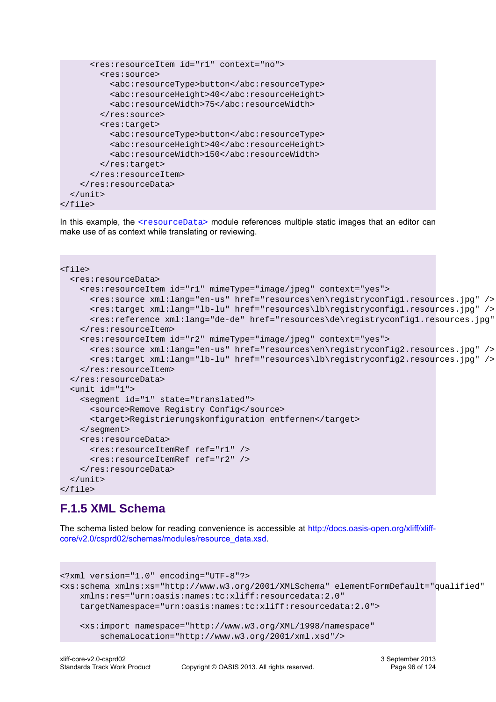```
 <res:resourceItem id="r1" context="no">
         <res:source>
           <abc:resourceType>button</abc:resourceType>
           <abc:resourceHeight>40</abc:resourceHeight>
           <abc:resourceWidth>75</abc:resourceWidth>
         </res:source>
         <res:target>
           <abc:resourceType>button</abc:resourceType>
           <abc:resourceHeight>40</abc:resourceHeight>
           <abc:resourceWidth>150</abc:resourceWidth>
         </res:target>
      </res:resourceItem>
     </res:resourceData>
  \langle/unit>
</file>
```
In this example, the [<resourceData>](#page-89-0) module references multiple static images that an editor can make use of as context while translating or reviewing.

```
<file>
   <res:resourceData>
     <res:resourceItem id="r1" mimeType="image/jpeg" context="yes">
       <res:source xml:lang="en-us" href="resources\en\registryconfig1.resources.jpg" />
       <res:target xml:lang="lb-lu" href="resources\lb\registryconfig1.resources.jpg" />
       <res:reference xml:lang="de-de" href="resources\de\registryconfig1.resources.jpg" />
     </res:resourceItem> 
     <res:resourceItem id="r2" mimeType="image/jpeg" context="yes">
       <res:source xml:lang="en-us" href="resources\en\registryconfig2.resources.jpg" />
       <res:target xml:lang="lb-lu" href="resources\lb\registryconfig2.resources.jpg" />
     </res:resourceItem> 
   </res:resourceData>
   <unit id="1">
     <segment id="1" state="translated">
       <source>Remove Registry Config</source>
       <target>Registrierungskonfiguration entfernen</target>
     </segment>
     <res:resourceData>
       <res:resourceItemRef ref="r1" />
       <res:resourceItemRef ref="r2" />
     </res:resourceData> 
   </unit>
\langlefile>
```
# **F.1.5 XML Schema**

The schema listed below for reading convenience is accessible at [http://docs.oasis-open.org/xliff/xliff](http://docs.oasis-open.org/xliff/xliff-core/v2.0/csprd02/schemas/modules/resource_data.xsd)[core/v2.0/csprd02/schemas/modules/resource\\_data.xsd.](http://docs.oasis-open.org/xliff/xliff-core/v2.0/csprd02/schemas/modules/resource_data.xsd)

```
<?xml version="1.0" encoding="UTF-8"?>
<xs:schema xmlns:xs="http://www.w3.org/2001/XMLSchema" elementFormDefault="qualified"
    xmlns:res="urn:oasis:names:tc:xliff:resourcedata:2.0"
    targetNamespace="urn:oasis:names:tc:xliff:resourcedata:2.0">
     <xs:import namespace="http://www.w3.org/XML/1998/namespace"
         schemaLocation="http://www.w3.org/2001/xml.xsd"/>
```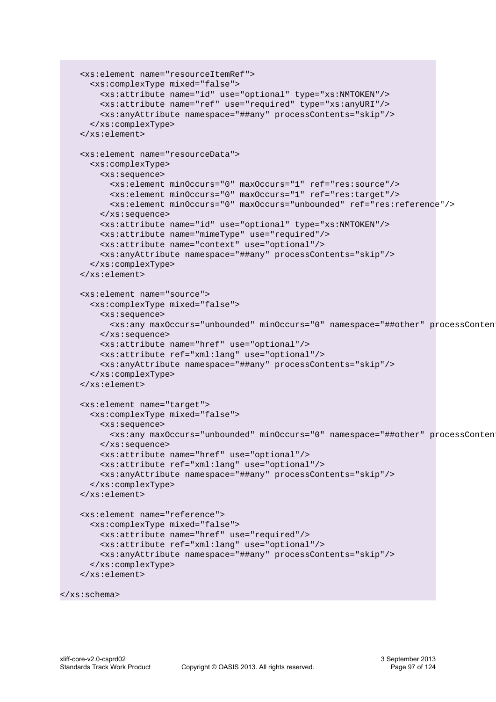```
 <xs:element name="resourceItemRef">
  <xs:complexType mixed="false">
     <xs:attribute name="id" use="optional" type="xs:NMTOKEN"/>
     <xs:attribute name="ref" use="required" type="xs:anyURI"/>
     <xs:anyAttribute namespace="##any" processContents="skip"/>
   </xs:complexType>
 </xs:element>
 <xs:element name="resourceData">
   <xs:complexType>
     <xs:sequence>
       <xs:element minOccurs="0" maxOccurs="1" ref="res:source"/>
       <xs:element minOccurs="0" maxOccurs="1" ref="res:target"/>
       <xs:element minOccurs="0" maxOccurs="unbounded" ref="res:reference"/>
     </xs:sequence>
     <xs:attribute name="id" use="optional" type="xs:NMTOKEN"/>
     <xs:attribute name="mimeType" use="required"/>
     <xs:attribute name="context" use="optional"/>
     <xs:anyAttribute namespace="##any" processContents="skip"/>
  </xs:complexType>
 </xs:element>
 <xs:element name="source">
  <xs:complexType mixed="false">
     <xs:sequence>
      <xs:any maxOccurs="unbounded" minOccurs="0" namespace="##other" processConten
     </xs:sequence>
     <xs:attribute name="href" use="optional"/>
     <xs:attribute ref="xml:lang" use="optional"/>
     <xs:anyAttribute namespace="##any" processContents="skip"/>
   </xs:complexType>
 </xs:element>
 <xs:element name="target">
  <xs:complexType mixed="false">
     <xs:sequence>
       <xs:any maxOccurs="unbounded" minOccurs="0" namespace="##other" processContents="skip"/>
     </xs:sequence>
     <xs:attribute name="href" use="optional"/>
     <xs:attribute ref="xml:lang" use="optional"/>
     <xs:anyAttribute namespace="##any" processContents="skip"/>
  </xs:complexType>
 </xs:element>
 <xs:element name="reference">
  <xs:complexType mixed="false">
     <xs:attribute name="href" use="required"/>
     <xs:attribute ref="xml:lang" use="optional"/>
     <xs:anyAttribute namespace="##any" processContents="skip"/>
   </xs:complexType>
 </xs:element>
```

```
</xs:schema>
```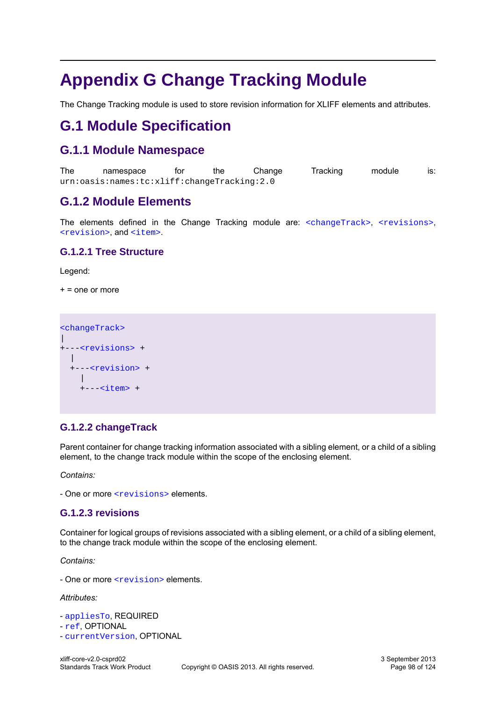# **Appendix G Change Tracking Module**

The Change Tracking module is used to store revision information for XLIFF elements and attributes.

# **G.1 Module Specification**

# **G.1.1 Module Namespace**

The namespace for the Change Tracking module is: urn:oasis:names:tc:xliff:changeTracking:2.0

# **G.1.2 Module Elements**

The elements defined in the Change Tracking module are: [<changeTrack>](#page-97-0), [<revisions>](#page-97-1), [<revision>](#page-98-0), and [<item>](#page-98-1).

## **G.1.2.1 Tree Structure**

Legend:

 $+$  = one or more

[<changeTrack>](#page-97-0)  $\overline{\phantom{a}}$ +---[<revisions>](#page-97-1) + | +---[<revision>](#page-98-0) + | +---[<item>](#page-98-1) +

## <span id="page-97-0"></span>**G.1.2.2 changeTrack**

Parent container for change tracking information associated with a sibling element, or a child of a sibling element, to the change track module within the scope of the enclosing element.

*Contains:*

- One or more [<revisions>](#page-97-1) elements.

## <span id="page-97-1"></span>**G.1.2.3 revisions**

Container for logical groups of revisions associated with a sibling element, or a child of a sibling element, to the change track module within the scope of the enclosing element.

*Contains:*

- One or more [<revision>](#page-98-0) elements.

*Attributes:*

- [appliesTo](#page-99-0), REQUIRED
- [ref](#page-100-0), OPTIONAL
- [currentVersion](#page-99-1), OPTIONAL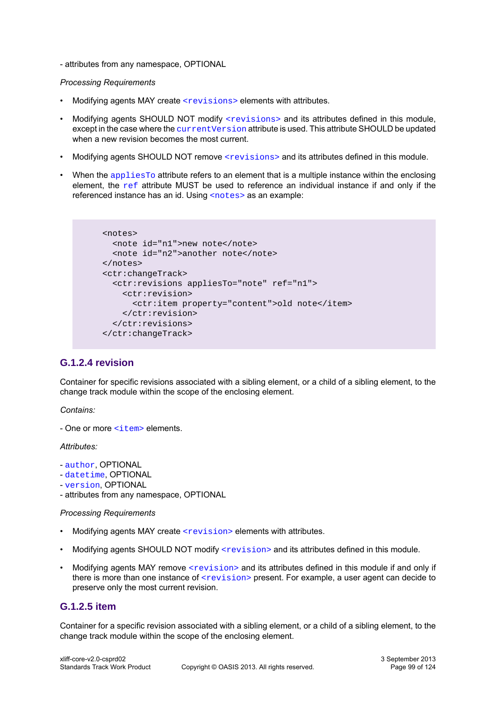- attributes from any namespace, OPTIONAL

#### *Processing Requirements*

- Modifying agents MAY create [<revisions>](#page-97-1) elements with attributes.
- Modifying agents SHOULD NOT modify [<revisions>](#page-97-1) and its attributes defined in this module, except in the case where the current Version attribute is used. This attribute SHOULD be updated when a new revision becomes the most current.
- Modifying agents SHOULD NOT remove [<revisions>](#page-97-1) and its attributes defined in this module.
- When the  $\alpha$  and  $\alpha$  attribute refers to an element that is a multiple instance within the enclosing element, the  $ref$  attribute MUST be used to reference an individual instance if and only if the referenced instance has an id. Using [<notes>](#page-16-1) as an example:

```
 <notes>
   <note id="n1">new note</note>
   <note id="n2">another note</note> 
 </notes>
 <ctr:changeTrack>
   <ctr:revisions appliesTo="note" ref="n1">
     <ctr:revision>
       <ctr:item property="content">old note</item>
     </ctr:revision>
   </ctr:revisions>
 </ctr:changeTrack>
```
## <span id="page-98-0"></span>**G.1.2.4 revision**

Container for specific revisions associated with a sibling element, or a child of a sibling element, to the change track module within the scope of the enclosing element.

*Contains:*

- One or more [<item>](#page-98-1) elements.

*Attributes:*

- [author](#page-99-2), OPTIONAL
- [datetime](#page-100-1), OPTIONAL
- [version](#page-100-2), OPTIONAL

- attributes from any namespace, OPTIONAL

#### *Processing Requirements*

- Modifying agents MAY create [<revision>](#page-98-0) elements with attributes.
- Modifying agents SHOULD NOT modify [<revision>](#page-98-0) and its attributes defined in this module.
- Modifying agents MAY remove [<revision>](#page-98-0) and its attributes defined in this module if and only if there is more than one instance of  $\langle$ revision> present. For example, a user agent can decide to preserve only the most current revision.

## <span id="page-98-1"></span>**G.1.2.5 item**

Container for a specific revision associated with a sibling element, or a child of a sibling element, to the change track module within the scope of the enclosing element.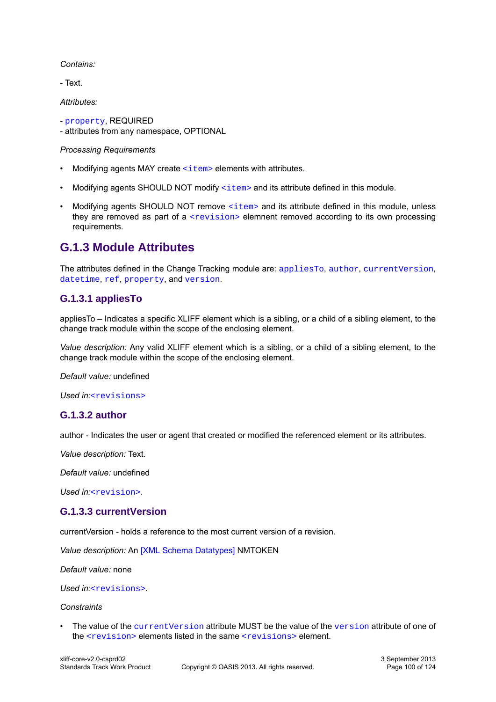*Contains:*

- Text.

*Attributes:*

- [property](#page-100-3), REQUIRED

- attributes from any namespace, OPTIONAL

#### *Processing Requirements*

- Modifying agents MAY create  $\leq$ item> elements with attributes.
- Modifying agents SHOULD NOT modify  $\leq$  items and its attribute defined in this module.
- Modifying agents SHOULD NOT remove [<item>](#page-98-1) and its attribute defined in this module, unless they are removed as part of a  $\langle$ revision> elemnent removed according to its own processing requirements.

## **G.1.3 Module Attributes**

The attributes defined in the Change Tracking module are: [appliesTo](#page-99-0), [author](#page-99-2), [currentVersion](#page-99-1), [datetime](#page-100-1), [ref](#page-100-0), [property](#page-100-3), and [version](#page-100-2).

## <span id="page-99-0"></span>**G.1.3.1 appliesTo**

appliesTo – Indicates a specific XLIFF element which is a sibling, or a child of a sibling element, to the change track module within the scope of the enclosing element.

*Value description:* Any valid XLIFF element which is a sibling, or a child of a sibling element, to the change track module within the scope of the enclosing element.

*Default value:* undefined

*Used in:*[<revisions>](#page-97-1)

## <span id="page-99-2"></span>**G.1.3.2 author**

author - Indicates the user or agent that created or modified the referenced element or its attributes.

*Value description:* Text.

*Default value:* undefined

*Used in:*[<revision>](#page-98-0).

## <span id="page-99-1"></span>**G.1.3.3 currentVersion**

currentVersion - holds a reference to the most current version of a revision.

*Value description:* An [\[XML Schema Datatypes\]](#page-9-2) NMTOKEN

*Default value:* none

*Used in:*[<revisions>](#page-97-1).

#### *Constraints*

The value of the current Version attribute MUST be the value of the [version](#page-100-2) attribute of one of the  $\langle$ revision> elements listed in the same  $\langle$ revisions> element.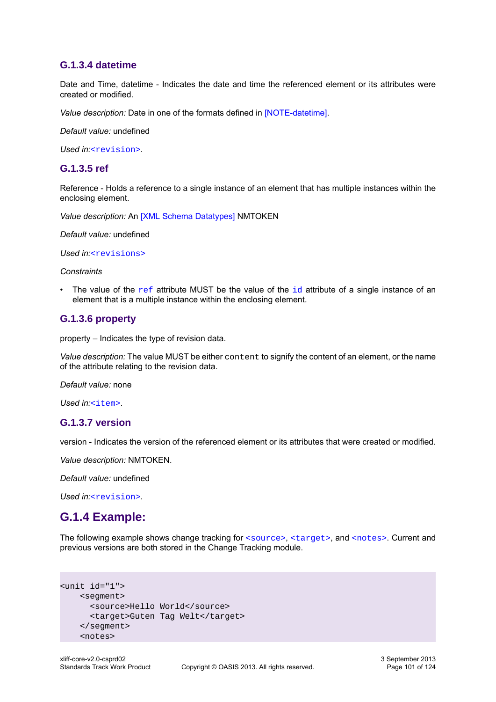## <span id="page-100-1"></span>**G.1.3.4 datetime**

Date and Time, datetime - Indicates the date and time the referenced element or its attributes were created or modified.

*Value description:* Date in one of the formats defined in [\[NOTE-datetime\].](#page-9-3)

*Default value:* undefined

*Used in:*[<revision>](#page-98-0).

### <span id="page-100-0"></span>**G.1.3.5 ref**

Reference - Holds a reference to a single instance of an element that has multiple instances within the enclosing element.

*Value description:* An [\[XML Schema Datatypes\]](#page-9-2) NMTOKEN

*Default value:* undefined

*Used in:*[<revisions>](#page-97-1)

*Constraints*

The value of the  $ref$  attribute MUST be the value of the  $id$  attribute of a single instance of an element that is a multiple instance within the enclosing element.

### <span id="page-100-3"></span>**G.1.3.6 property**

property – Indicates the type of revision data.

*Value description:* The value MUST be either content to signify the content of an element, or the name of the attribute relating to the revision data.

*Default value:* none

*Used in:*[<item>](#page-98-1).

### <span id="page-100-2"></span>**G.1.3.7 version**

version - Indicates the version of the referenced element or its attributes that were created or modified.

*Value description:* NMTOKEN.

*Default value:* undefined

*Used in:*[<revision>](#page-98-0).

## **G.1.4 Example:**

The following example shows change tracking for [<source>](#page-17-0), [<target>](#page-17-1), and [<notes>](#page-16-1). Current and previous versions are both stored in the Change Tracking module.

```
<unit id="1">
     <segment>
       <source>Hello World</source>
       <target>Guten Tag Welt</target> 
     </segment>
     <notes>
```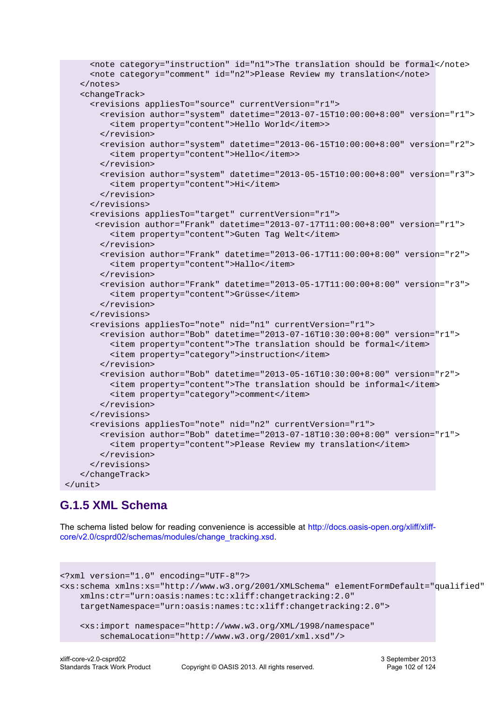```
 <note category="instruction" id="n1">The translation should be formal</note>
      <note category="comment" id="n2">Please Review my translation</note>
    </notes>
    <changeTrack>
      <revisions appliesTo="source" currentVersion="r1">
        <revision author="system" datetime="2013-07-15T10:00:00+8:00" version="r1">
          <item property="content">Hello World</item>>
        </revision>
        <revision author="system" datetime="2013-06-15T10:00:00+8:00" version="r2">
          <item property="content">Hello</item>>
        </revision>
        <revision author="system" datetime="2013-05-15T10:00:00+8:00" version="r3">
          <item property="content">Hi</item>
        </revision>
      </revisions>
      <revisions appliesTo="target" currentVersion="r1">
       <revision author="Frank" datetime="2013-07-17T11:00:00+8:00" version="r1">
          <item property="content">Guten Tag Welt</item>
        </revision>
        <revision author="Frank" datetime="2013-06-17T11:00:00+8:00" version="r2">
          <item property="content">Hallo</item>
        </revision>
        <revision author="Frank" datetime="2013-05-17T11:00:00+8:00" version="r3">
          <item property="content">Grüsse</item>
        </revision>
      </revisions>
      <revisions appliesTo="note" nid="n1" currentVersion="r1">
        <revision author="Bob" datetime="2013-07-16T10:30:00+8:00" version="r1">
          <item property="content">The translation should be formal</item>
          <item property="category">instruction</item>
        </revision>
        <revision author="Bob" datetime="2013-05-16T10:30:00+8:00" version="r2">
          <item property="content">The translation should be informal</item>
          <item property="category">comment</item>
        </revision>
      </revisions>
      <revisions appliesTo="note" nid="n2" currentVersion="r1">
        <revision author="Bob" datetime="2013-07-18T10:30:00+8:00" version="r1">
          <item property="content">Please Review my translation</item>
        </revision>
      </revisions>
    </changeTrack>
 </unit>
```
# **G.1.5 XML Schema**

The schema listed below for reading convenience is accessible at [http://docs.oasis-open.org/xliff/xliff](http://docs.oasis-open.org/xliff/xliff-core/v2.0/csprd02/schemas/modules/change_tracking.xsd)[core/v2.0/csprd02/schemas/modules/change\\_tracking.xsd](http://docs.oasis-open.org/xliff/xliff-core/v2.0/csprd02/schemas/modules/change_tracking.xsd).

```
<?xml version="1.0" encoding="UTF-8"?>
<xs:schema xmlns:xs="http://www.w3.org/2001/XMLSchema" elementFormDefault="qualified"
    xmlns:ctr="urn:oasis:names:tc:xliff:changetracking:2.0"
    targetNamespace="urn:oasis:names:tc:xliff:changetracking:2.0">
     <xs:import namespace="http://www.w3.org/XML/1998/namespace"
         schemaLocation="http://www.w3.org/2001/xml.xsd"/>
```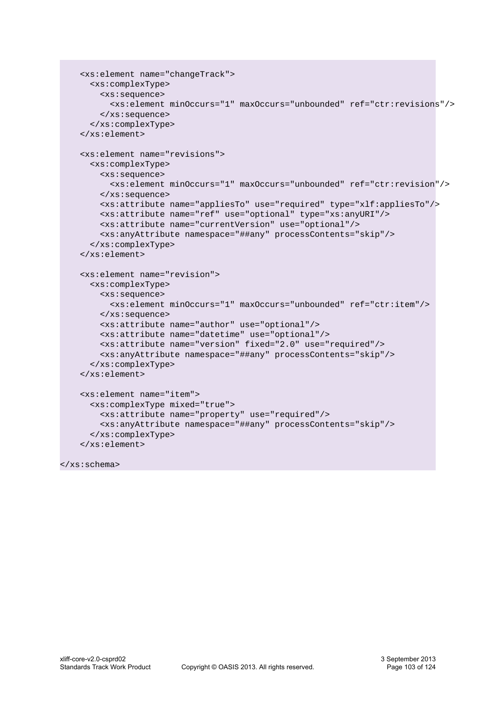```
 <xs:element name="changeTrack">
   <xs:complexType>
     <xs:sequence>
       <xs:element minOccurs="1" maxOccurs="unbounded" ref="ctr:revisions"/>
     </xs:sequence>
   </xs:complexType>
 </xs:element>
 <xs:element name="revisions">
   <xs:complexType>
     <xs:sequence>
       <xs:element minOccurs="1" maxOccurs="unbounded" ref="ctr:revision"/>
     </xs:sequence>
     <xs:attribute name="appliesTo" use="required" type="xlf:appliesTo"/>
     <xs:attribute name="ref" use="optional" type="xs:anyURI"/>
     <xs:attribute name="currentVersion" use="optional"/>
     <xs:anyAttribute namespace="##any" processContents="skip"/>
   </xs:complexType>
 </xs:element>
 <xs:element name="revision">
   <xs:complexType>
     <xs:sequence>
       <xs:element minOccurs="1" maxOccurs="unbounded" ref="ctr:item"/>
     </xs:sequence>
     <xs:attribute name="author" use="optional"/>
     <xs:attribute name="datetime" use="optional"/>
     <xs:attribute name="version" fixed="2.0" use="required"/>
     <xs:anyAttribute namespace="##any" processContents="skip"/>
   </xs:complexType>
 </xs:element>
 <xs:element name="item">
   <xs:complexType mixed="true">
     <xs:attribute name="property" use="required"/>
     <xs:anyAttribute namespace="##any" processContents="skip"/>
   </xs:complexType>
 </xs:element>
```

```
</xs:schema>
```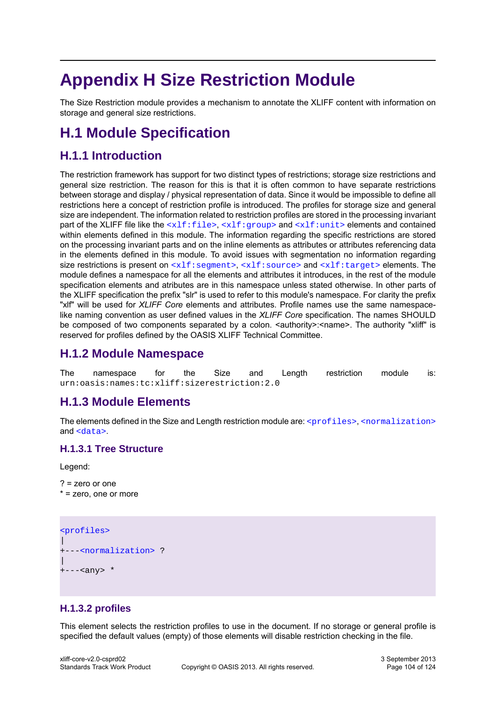# **Appendix H Size Restriction Module**

The Size Restriction module provides a mechanism to annotate the XLIFF content with information on storage and general size restrictions.

# **H.1 Module Specification**

# **H.1.1 Introduction**

The restriction framework has support for two distinct types of restrictions; storage size restrictions and general size restriction. The reason for this is that it is often common to have separate restrictions between storage and display / physical representation of data. Since it would be impossible to define all restrictions here a concept of restriction profile is introduced. The profiles for storage size and general size are independent. The information related to restriction profiles are stored in the processing invariant part of the XLIFF file like the  $\langle x1f:file\rangle$ ,  $\langle x1f:qroup\rangle$  and  $\langle x1f:unit\rangle$  elements and contained within elements defined in this module. The information regarding the specific restrictions are stored on the processing invariant parts and on the inline elements as attributes or attributes referencing data in the elements defined in this module. To avoid issues with segmentation no information regarding size restrictions is present on  $\langle x1f:segment\rangle$ ,  $\langle x1f:source\rangle$  and  $\langle x1f:square\rangle$  elements. The module defines a namespace for all the elements and attributes it introduces, in the rest of the module specification elements and atributes are in this namespace unless stated otherwise. In other parts of the XLIFF specification the prefix "slr" is used to refer to this module's namespace. For clarity the prefix "xlf" will be used for *XLIFF Core* elements and attributes. Profile names use the same namespacelike naming convention as user defined values in the *XLIFF Core* specification. The names SHOULD be composed of two components separated by a colon. <authority>:<name>. The authority "xliff" is reserved for profiles defined by the OASIS XLIFF Technical Committee.

# **H.1.2 Module Namespace**

The namespace for the Size and Length restriction module is: urn:oasis:names:tc:xliff:sizerestriction:2.0

# **H.1.3 Module Elements**

The elements defined in the Size and Length restriction module are:  $\langle$ profiles>,  $\langle$ normalization> and [<data>](#page-104-1).

## **H.1.3.1 Tree Structure**

Legend:

```
? = zero or one
* = zero, one or more
```

```
<profiles>
\overline{\phantom{a}}+---<normalization> ?
\overline{\phantom{a}}+---<any> *
```
## <span id="page-103-0"></span>**H.1.3.2 profiles**

This element selects the restriction profiles to use in the document. If no storage or general profile is specified the default values (empty) of those elements will disable restriction checking in the file.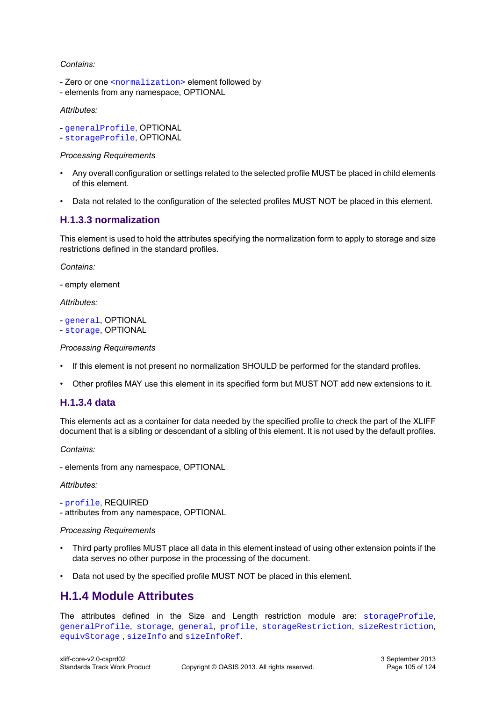#### *Contains:*

- Zero or one [<normalization>](#page-104-0) element followed by
- elements from any namespace, OPTIONAL

#### *Attributes:*

- [generalProfile](#page-105-0), OPTIONAL
- [storageProfile](#page-105-1), OPTIONAL

#### *Processing Requirements*

- Any overall configuration or settings related to the selected profile MUST be placed in child elements of this element.
- Data not related to the configuration of the selected profiles MUST NOT be placed in this element.

## <span id="page-104-0"></span>**H.1.3.3 normalization**

This element is used to hold the attributes specifying the normalization form to apply to storage and size restrictions defined in the standard profiles.

*Contains:*

- empty element

*Attributes:*

```
- general, OPTIONAL
```
- [storage](#page-105-3), OPTIONAL

#### *Processing Requirements*

- If this element is not present no normalization SHOULD be performed for the standard profiles.
- Other profiles MAY use this element in its specified form but MUST NOT add new extensions to it.

## <span id="page-104-1"></span>**H.1.3.4 data**

This elements act as a container for data needed by the specified profile to check the part of the XLIFF document that is a sibling or descendant of a sibling of this element. It is not used by the default profiles.

*Contains:*

- elements from any namespace, OPTIONAL

*Attributes:*

- [profile](#page-106-0), REQUIRED

- attributes from any namespace, OPTIONAL

#### *Processing Requirements*

- Third party profiles MUST place all data in this element instead of using other extension points if the data serves no other purpose in the processing of the document.
- Data not used by the specified profile MUST NOT be placed in this element.

## **H.1.4 Module Attributes**

The attributes defined in the Size and Length restriction module are: [storageProfile](#page-105-1), [generalProfile](#page-105-0), [storage](#page-105-3), [general](#page-105-2), [profile](#page-106-0), [storageRestriction](#page-106-1), [sizeRestriction](#page-106-2), [equivStorage](#page-106-3) , [sizeInfo](#page-107-0) and [sizeInfoRef](#page-107-1).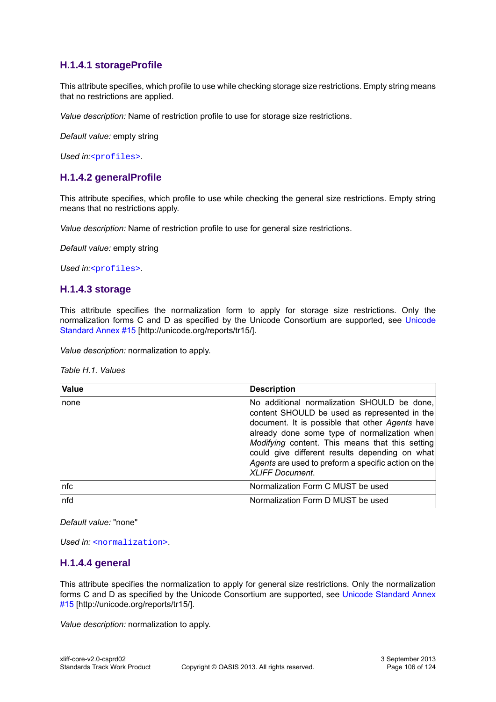## <span id="page-105-1"></span>**H.1.4.1 storageProfile**

This attribute specifies, which profile to use while checking storage size restrictions. Empty string means that no restrictions are applied.

*Value description:* Name of restriction profile to use for storage size restrictions.

*Default value:* empty string

<span id="page-105-0"></span>Used in:[<profiles>](#page-103-0).

## **H.1.4.2 generalProfile**

This attribute specifies, which profile to use while checking the general size restrictions. Empty string means that no restrictions apply.

*Value description:* Name of restriction profile to use for general size restrictions.

*Default value:* empty string

<span id="page-105-3"></span>*Used in:*[<profiles>](#page-103-0).

#### **H.1.4.3 storage**

This attribute specifies the normalization form to apply for storage size restrictions. Only the normalization forms C and D as specified by the Unicode Consortium are supported, see [Unicode](http://unicode.org/reports/tr15/) [Standard Annex #15](http://unicode.org/reports/tr15/) [http://unicode.org/reports/tr15/].

*Value description:* normalization to apply.

*Table H.1. Values*

| Value | <b>Description</b>                                                                                                                                                                                                                                                                                                                                                                   |
|-------|--------------------------------------------------------------------------------------------------------------------------------------------------------------------------------------------------------------------------------------------------------------------------------------------------------------------------------------------------------------------------------------|
| none  | No additional normalization SHOULD be done,<br>content SHOULD be used as represented in the<br>document. It is possible that other Agents have<br>already done some type of normalization when<br>Modifying content. This means that this setting<br>could give different results depending on what<br>Agents are used to preform a specific action on the<br><b>XLIFF Document.</b> |
| nfc   | Normalization Form C MUST be used                                                                                                                                                                                                                                                                                                                                                    |
| nfd   | Normalization Form D MUST be used                                                                                                                                                                                                                                                                                                                                                    |

*Default value:* "none"

<span id="page-105-2"></span>*Used in:* [<normalization>](#page-104-0).

## **H.1.4.4 general**

This attribute specifies the normalization to apply for general size restrictions. Only the normalization forms C and D as specified by the Unicode Consortium are supported, see [Unicode Standard Annex](http://unicode.org/reports/tr15/) [#15](http://unicode.org/reports/tr15/) [http://unicode.org/reports/tr15/].

*Value description:* normalization to apply.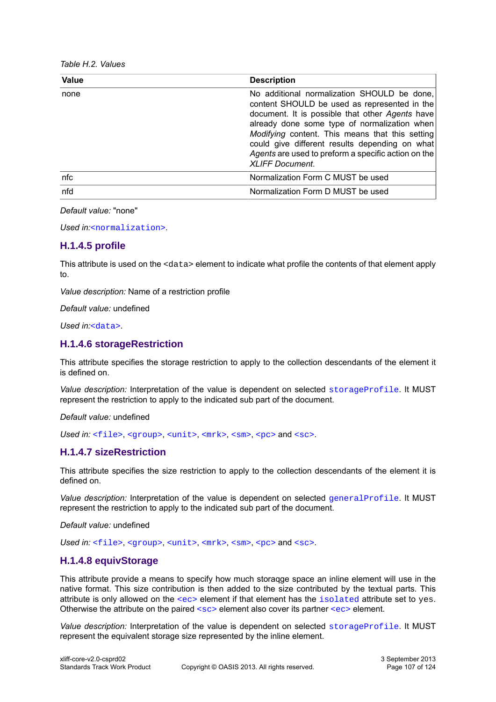|  |  | Table H.2. Values |
|--|--|-------------------|
|--|--|-------------------|

| <b>Value</b> | <b>Description</b>                                                                                                                                                                                                                                                                                                                                                                   |
|--------------|--------------------------------------------------------------------------------------------------------------------------------------------------------------------------------------------------------------------------------------------------------------------------------------------------------------------------------------------------------------------------------------|
| none         | No additional normalization SHOULD be done,<br>content SHOULD be used as represented in the<br>document. It is possible that other Agents have<br>already done some type of normalization when<br>Modifying content. This means that this setting<br>could give different results depending on what<br>Agents are used to preform a specific action on the<br><b>XLIFF Document.</b> |
| nfc          | Normalization Form C MUST be used                                                                                                                                                                                                                                                                                                                                                    |
| nfd          | Normalization Form D MUST be used                                                                                                                                                                                                                                                                                                                                                    |

*Default value:* "none"

*Used in:*[<normalization>](#page-104-0).

## <span id="page-106-0"></span>**H.1.4.5 profile**

This attribute is used on the <data> element to indicate what profile the contents of that element apply to.

*Value description:* Name of a restriction profile

*Default value:* undefined

*Used in:*[<data>](#page-104-1).

## <span id="page-106-1"></span>**H.1.4.6 storageRestriction**

This attribute specifies the storage restriction to apply to the collection descendants of the element it is defined on.

*Value description:* Interpretation of the value is dependent on selected [storageProfile](#page-105-1). It MUST represent the restriction to apply to the indicated sub part of the document.

*Default value:* undefined

Used in: [<file>](#page-13-0), [<group>](#page-14-1), [<unit>](#page-14-0), [<mrk>](#page-23-0), [<sm>](#page-23-1), [<pc>](#page-19-1) and [<sc>](#page-20-0).

## <span id="page-106-2"></span>**H.1.4.7 sizeRestriction**

This attribute specifies the size restriction to apply to the collection descendants of the element it is defined on.

*Value description:* Interpretation of the value is dependent on selected [generalProfile](#page-105-0). It MUST represent the restriction to apply to the indicated sub part of the document.

*Default value:* undefined

Used in: [<file>](#page-13-0), [<group>](#page-14-1), [<unit>](#page-14-0), [<mrk>](#page-23-0), [<sm>](#page-23-1), [<pc>](#page-19-1) and [<sc>](#page-20-0).

## <span id="page-106-3"></span>**H.1.4.8 equivStorage**

This attribute provide a means to specify how much storaqge space an inline element will use in the native format. This size contribution is then added to the size contributed by the textual parts. This attribute is only allowed on the [<ec>](#page-21-0) element if that element has the [isolated](#page-30-1) attribute set to yes. Otherwise the attribute on the paired  $<sub>SC</sub>$  element also cover its partner  $<sub>EC</sub>$  element.</sub></sub>

*Value description:* Interpretation of the value is dependent on selected [storageProfile](#page-105-1). It MUST represent the equivalent storage size represented by the inline element.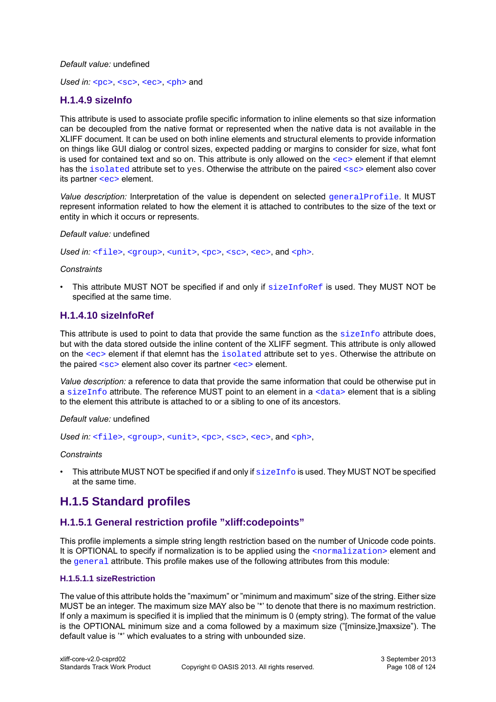#### *Default value:* undefined

*Used in:* [<pc>](#page-19-1), [<sc>](#page-20-0), [<ec>](#page-21-0), [<ph>](#page-19-0) and

## <span id="page-107-0"></span>**H.1.4.9 sizeInfo**

This attribute is used to associate profile specific information to inline elements so that size information can be decoupled from the native format or represented when the native data is not available in the XLIFF document. It can be used on both inline elements and structural elements to provide information on things like GUI dialog or control sizes, expected padding or margins to consider for size, what font is used for contained text and so on. This attribute is only allowed on the  $\langle e \rangle$  element if that elemnt has the [isolated](#page-30-1) attribute set to yes. Otherwise the attribute on the paired [<sc>](#page-20-0) element also cover its partner [<ec>](#page-21-0) element.

*Value description:* Interpretation of the value is dependent on selected [generalProfile](#page-105-0). It MUST represent information related to how the element it is attached to contributes to the size of the text or entity in which it occurs or represents.

#### *Default value:* undefined

Used in: [<file>](#page-13-0), [<group>](#page-14-1), [<unit>](#page-14-0), [<pc>](#page-19-1), [<sc>](#page-20-0), [<ec>](#page-21-0), and [<ph>](#page-19-0).

#### *Constraints*

This attribute MUST NOT be specified if and only if  $sizeInfoRef$  is used. They MUST NOT be specified at the same time.

### <span id="page-107-1"></span>**H.1.4.10 sizeInfoRef**

This attribute is used to point to data that provide the same function as the  $\frac{\sinh(\theta)}{\sinh(\theta)}$  attribute does, but with the data stored outside the inline content of the XLIFF segment. This attribute is only allowed on the [<ec>](#page-21-0) element if that elemnt has the [isolated](#page-30-1) attribute set to yes. Otherwise the attribute on the paired  $\langle \sec \rangle$  element also cover its partner  $\langle \sec \rangle$  element.

*Value description:* a reference to data that provide the same information that could be otherwise put in a [sizeInfo](#page-107-0) attribute. The reference MUST point to an element in a  $\langle \text{data} \rangle$  element that is a sibling to the element this attribute is attached to or a sibling to one of its ancestors.

#### *Default value:* undefined

Used in: [<file>](#page-13-0), [<group>](#page-14-1), [<unit>](#page-14-0), [<pc>](#page-19-1), [<sc>](#page-20-0), [<ec>](#page-21-0), and [<ph>](#page-19-0),

#### *Constraints*

This attribute MUST NOT be specified if and only if  $sizeInfo$  is used. They MUST NOT be specified at the same time.

## **H.1.5 Standard profiles**

## **H.1.5.1 General restriction profile "xliff:codepoints"**

This profile implements a simple string length restriction based on the number of Unicode code points. It is OPTIONAL to specify if normalization is to be applied using the [<normalization>](#page-104-0) element and the [general](#page-105-2) attribute. This profile makes use of the following attributes from this module:

#### **H.1.5.1.1 sizeRestriction**

The value of this attribute holds the "maximum" or "minimum and maximum" size of the string. Either size MUST be an integer. The maximum size MAY also be '\*' to denote that there is no maximum restriction. If only a maximum is specified it is implied that the minimum is 0 (empty string). The format of the value is the OPTIONAL minimum size and a coma followed by a maximum size ("[minsize,]maxsize"). The default value is '\*' which evaluates to a string with unbounded size.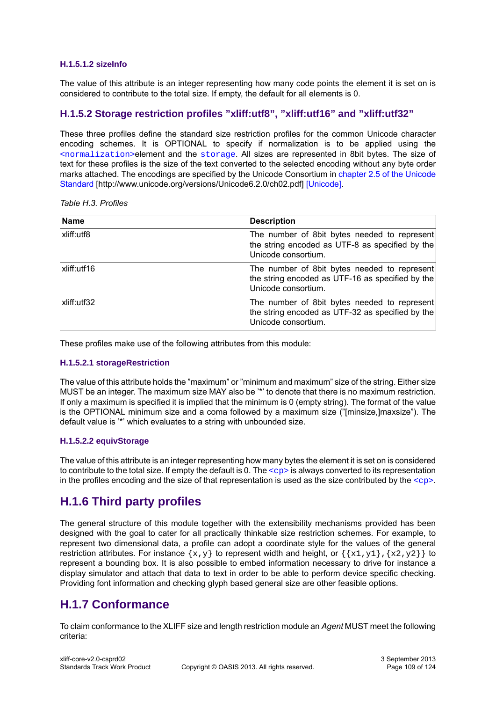#### **H.1.5.1.2 sizeInfo**

The value of this attribute is an integer representing how many code points the element it is set on is considered to contribute to the total size. If empty, the default for all elements is 0.

#### **H.1.5.2 Storage restriction profiles "xliff:utf8", "xliff:utf16" and "xliff:utf32"**

These three profiles define the standard size restriction profiles for the common Unicode character encoding schemes. It is OPTIONAL to specify if normalization is to be applied using the [<normalization>](#page-104-0)element and the [storage](#page-105-0). All sizes are represented in 8bit bytes. The size of text for these profiles is the size of the text converted to the selected encoding without any byte order marks attached. The encodings are specified by the Unicode Consortium in [chapter 2.5 of the Unicode](http://www.unicode.org/versions/Unicode6.2.0/ch02.pdf) [Standard](http://www.unicode.org/versions/Unicode6.2.0/ch02.pdf) [http://www.unicode.org/versions/Unicode6.2.0/ch02.pdf] [\[Unicode\].](#page-9-0)

*Table H.3. Profiles*

| <b>Name</b> | <b>Description</b>                                                                                                      |
|-------------|-------------------------------------------------------------------------------------------------------------------------|
| xliff:utf8  | The number of 8bit bytes needed to represent<br>the string encoded as UTF-8 as specified by the<br>Unicode consortium.  |
| xliff:utf16 | The number of 8bit bytes needed to represent<br>the string encoded as UTF-16 as specified by the<br>Unicode consortium. |
| xliff:utf32 | The number of 8bit bytes needed to represent<br>the string encoded as UTF-32 as specified by the<br>Unicode consortium. |

These profiles make use of the following attributes from this module:

#### **H.1.5.2.1 storageRestriction**

The value of this attribute holds the "maximum" or "minimum and maximum" size of the string. Either size MUST be an integer. The maximum size MAY also be '\*' to denote that there is no maximum restriction. If only a maximum is specified it is implied that the minimum is 0 (empty string). The format of the value is the OPTIONAL minimum size and a coma followed by a maximum size ("[minsize,]maxsize"). The default value is '\*' which evaluates to a string with unbounded size.

#### **H.1.5.2.2 equivStorage**

The value of this attribute is an integer representing how many bytes the element it is set on is considered to contribute to the total size. If empty the default is 0. The  $\langle$  cp> is always converted to its representation in the profiles encoding and the size of that representation is used as the size contributed by the  $\langle cp \rangle$ .

## **H.1.6 Third party profiles**

The general structure of this module together with the extensibility mechanisms provided has been designed with the goal to cater for all practically thinkable size restriction schemes. For example, to represent two dimensional data, a profile can adopt a coordinate style for the values of the general restriction attributes. For instance  $\{x,y\}$  to represent width and height, or  $\{\{x1,y1\},\{x2,y2\}\}$  to represent a bounding box. It is also possible to embed information necessary to drive for instance a display simulator and attach that data to text in order to be able to perform device specific checking. Providing font information and checking glyph based general size are other feasible options.

## **H.1.7 Conformance**

To claim conformance to the XLIFF size and length restriction module an *Agent* MUST meet the following criteria: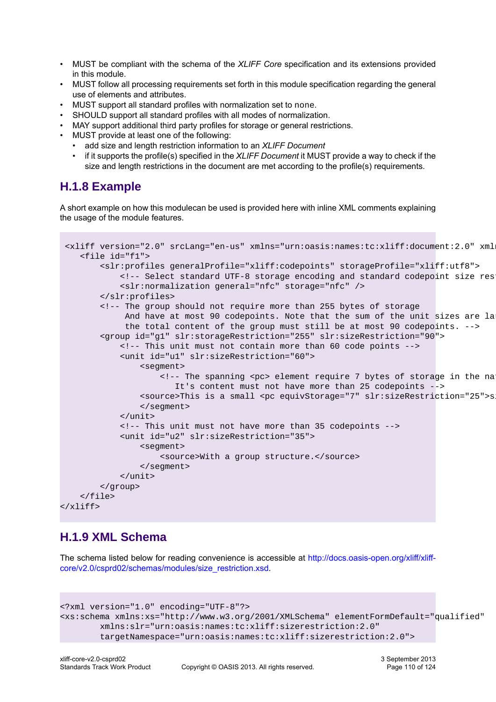- MUST be compliant with the schema of the *XLIFF Core* specification and its extensions provided in this module.
- MUST follow all processing requirements set forth in this module specification regarding the general use of elements and attributes.
- MUST support all standard profiles with normalization set to none.
- SHOULD support all standard profiles with all modes of normalization.
- MAY support additional third party profiles for storage or general restrictions.
- MUST provide at least one of the following:
	- add size and length restriction information to an *XLIFF Document*
	- if it supports the profile(s) specified in the *XLIFF Document* it MUST provide a way to check if the size and length restrictions in the document are met according to the profile(s) requirements.

## **H.1.8 Example**

A short example on how this modulecan be used is provided here with inline XML comments explaining the usage of the module features.

```
<xliff version="2.0" srcLang="en-us" xmlns="urn:oasis:names:tc:xliff:document:2.0" xml
     <file id="f1">
          <slr:profiles generalProfile="xliff:codepoints" storageProfile="xliff:utf8">
              <!-- Select standard UTF-8 storage encoding and standard codepoint size restriction both with NFC normalization-->
              <slr:normalization general="nfc" storage="nfc" />
         </slr:profiles>
         <!-- The group should not require more than 255 bytes of storage
              And have at most 90 codepoints. Note that the sum of the unit sizes are la
               the total content of the group must still be at most 90 codepoints. -->
         <group id="g1" slr:storageRestriction="255" slr:sizeRestriction="90">
              <!-- This unit must not contain more than 60 code points -->
              <unit id="u1" slr:sizeRestriction="60">
                  <segment>
                      \langle -1 \rangle -- The spanning \langlepc> element require 7 bytes of storage in the na
                          It's content must not have more than 25 codepoints -->
                  <source>This is a small <pc equivStorage="7" slr:sizeRestriction="25">size restriction</pc> example.</source>
                  </segment>
              </unit>
              <!-- This unit must not have more than 35 codepoints -->
              <unit id="u2" slr:sizeRestriction="35">
                  <segment>
                       <source>With a group structure.</source>
                  </segment>
              </unit>
         </group>
     </file>
</xliff>
```
## **H.1.9 XML Schema**

The schema listed below for reading convenience is accessible at [http://docs.oasis-open.org/xliff/xliff](http://docs.oasis-open.org/xliff/xliff-core/v2.0/csprd02/schemas/modules/size_restriction.xsd)[core/v2.0/csprd02/schemas/modules/size\\_restriction.xsd.](http://docs.oasis-open.org/xliff/xliff-core/v2.0/csprd02/schemas/modules/size_restriction.xsd)

```
<?xml version="1.0" encoding="UTF-8"?>
<xs:schema xmlns:xs="http://www.w3.org/2001/XMLSchema" elementFormDefault="qualified"
         xmlns:slr="urn:oasis:names:tc:xliff:sizerestriction:2.0"
         targetNamespace="urn:oasis:names:tc:xliff:sizerestriction:2.0">
```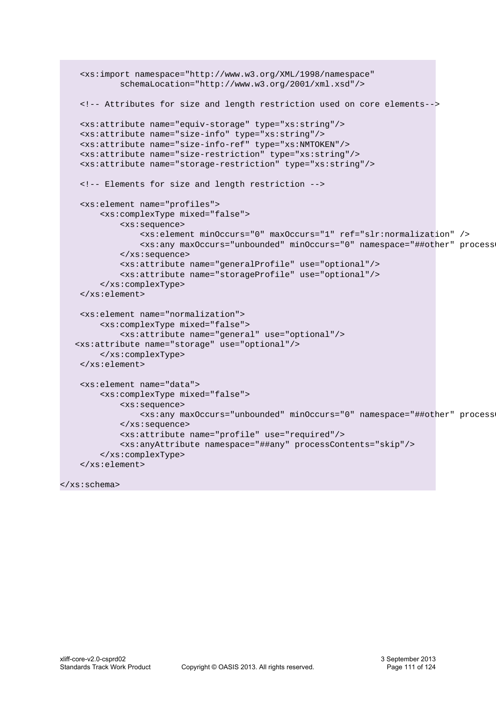```
 <xs:import namespace="http://www.w3.org/XML/1998/namespace"
          schemaLocation="http://www.w3.org/2001/xml.xsd"/>
  <!-- Attributes for size and length restriction used on core elements--> 
 <xs:attribute name="equiv-storage" type="xs:string"/>
 <xs:attribute name="size-info" type="xs:string"/>
  <xs:attribute name="size-info-ref" type="xs:NMTOKEN"/>
  <xs:attribute name="size-restriction" type="xs:string"/>
  <xs:attribute name="storage-restriction" type="xs:string"/>
  <!-- Elements for size and length restriction -->
 <xs:element name="profiles">
      <xs:complexType mixed="false">
          <xs:sequence>
              <xs:element minOccurs="0" maxOccurs="1" ref="slr:normalization" />
              <xs:any maxOccurs="unbounded" minOccurs="0" namespace="##other" processContents="skip"/>
          </xs:sequence>
          <xs:attribute name="generalProfile" use="optional"/>
          <xs:attribute name="storageProfile" use="optional"/>
      </xs:complexType>
  </xs:element>
  <xs:element name="normalization">
      <xs:complexType mixed="false">
          <xs:attribute name="general" use="optional"/>
 <xs:attribute name="storage" use="optional"/>
      </xs:complexType>
  </xs:element>
  <xs:element name="data">
      <xs:complexType mixed="false">
          <xs:sequence>
              <xs:any maxOccurs="unbounded" minOccurs="0" namespace="##other" processContents="skip"/>
          </xs:sequence>
          <xs:attribute name="profile" use="required"/>
          <xs:anyAttribute namespace="##any" processContents="skip"/>
      </xs:complexType>
  </xs:element>
```

```
</xs:schema>
```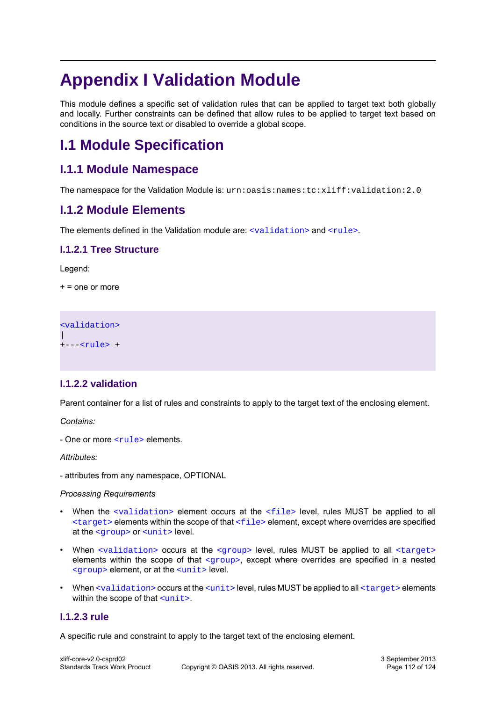# **Appendix I Validation Module**

This module defines a specific set of validation rules that can be applied to target text both globally and locally. Further constraints can be defined that allow rules to be applied to target text based on conditions in the source text or disabled to override a global scope.

## **I.1 Module Specification**

## **I.1.1 Module Namespace**

The namespace for the Validation Module is: urn:oasis:names:tc:xliff:validation:2.0

## **I.1.2 Module Elements**

The elements defined in the Validation module are:  $\langle \text{validation} \rangle$  and  $\langle \text{null} \rangle$ .

### **I.1.2.1 Tree Structure**

Legend:

 $+$  = one or more

[<validation>](#page-111-0)  $\overline{\phantom{a}}$ +---[<rule>](#page-111-1) +

### <span id="page-111-0"></span>**I.1.2.2 validation**

Parent container for a list of rules and constraints to apply to the target text of the enclosing element.

*Contains:*

- One or more [<rule>](#page-111-1) elements.

*Attributes:*

- attributes from any namespace, OPTIONAL

#### *Processing Requirements*

- When the [<validation>](#page-111-0) element occurs at the [<file>](#page-13-0) level, rules MUST be applied to all  $\langle$  target> elements within the scope of that  $\langle$  f i le> element, except where overrides are specified at the [<group>](#page-14-0) or [<unit>](#page-14-1) level.
- When  $\alpha$  -validation > occurs at the  $\alpha$  or level, rules MUST be applied to all  $\alpha$  target > elements within the scope of that <qroup>, except where overrides are specified in a nested [<group>](#page-14-0) element, or at the [<unit>](#page-14-1) level.
- When [<validation>](#page-111-0) occurs at the [<unit>](#page-14-1) level, rules MUST be applied to all [<target>](#page-17-0) elements within the scope of that  $\langle \text{unit}\rangle$ .

#### <span id="page-111-1"></span>**I.1.2.3 rule**

A specific rule and constraint to apply to the target text of the enclosing element.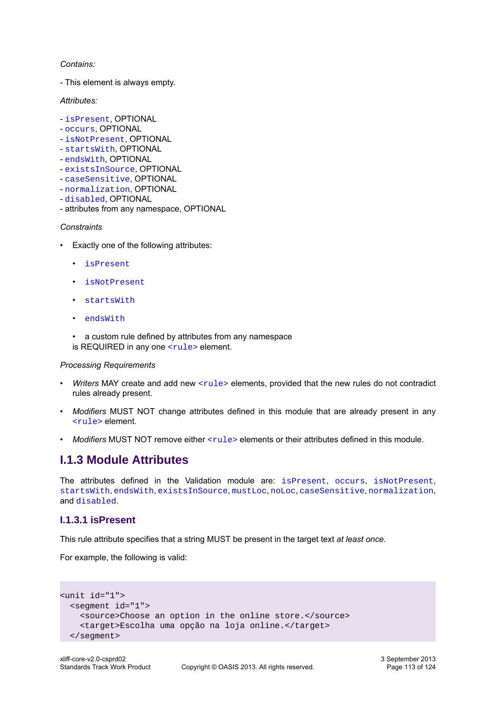#### *Contains:*

- This element is always empty.

*Attributes:*

- [isPresent](#page-112-0), OPTIONAL
- [occurs](#page-113-0), OPTIONAL
- [isNotPresent](#page-114-0), OPTIONAL
- [startsWith](#page-114-1), OPTIONAL
- [endsWith](#page-115-0), OPTIONAL
- [existsInSource](#page-116-0), OPTIONAL
- [caseSensitive](#page-118-0), OPTIONAL
- [normalization](#page-118-1), OPTIONAL
- [disabled](#page-118-2), OPTIONAL
- attributes from any namespace, OPTIONAL

#### *Constraints*

- Exactly one of the following attributes:
	- [isPresent](#page-112-0)
	- [isNotPresent](#page-114-0)
	- [startsWith](#page-114-1)
	- [endsWith](#page-115-0)
	- a custom rule defined by attributes from any namespace is REQUIRED in any one  $\langle \text{rule} \rangle$  element.

#### *Processing Requirements*

- *Writers* MAY create and add new [<rule>](#page-111-1) elements, provided that the new rules do not contradict rules already present.
- *Modifiers* MUST NOT change attributes defined in this module that are already present in any [<rule>](#page-111-1) element.
- *Modifiers* MUST NOT remove either  $\langle \text{rule} \rangle$  elements or their attributes defined in this module.

## **I.1.3 Module Attributes**

The attributes defined in the Validation module are: [isPresent](#page-112-0), [occurs](#page-113-0), [isNotPresent](#page-114-0), [startsWith](#page-114-1), [endsWith](#page-115-0), [existsInSource](#page-116-0), [mustLoc](#page-117-0), [noLoc](#page-117-1), [caseSensitive](#page-118-0), [normalization](#page-118-1), and [disabled](#page-118-2).

#### <span id="page-112-0"></span>**I.1.3.1 isPresent**

This rule attribute specifies that a string MUST be present in the target text *at least once*.

For example, the following is valid:

```
<unit id="1">
  <segment id="1">
    <source>Choose an option in the online store.</source>
     <target>Escolha uma opção na loja online.</target>
  </segment>
```
3 September 2013 Page 113 of 124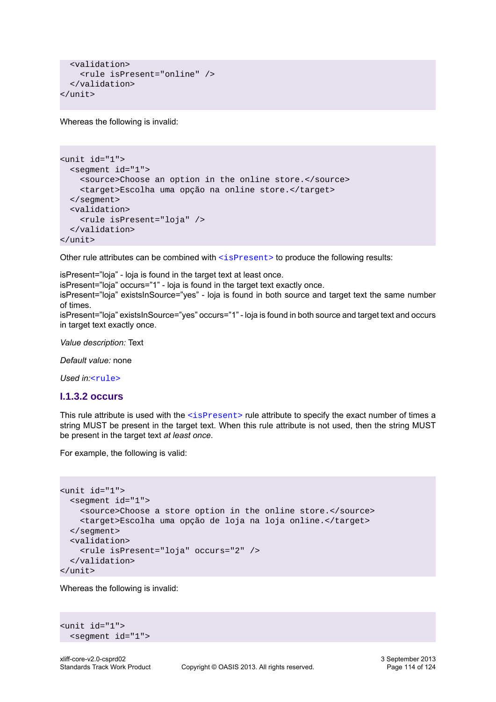```
 <validation>
     <rule isPresent="online" />
   </validation>
</unit>
```
Whereas the following is invalid:

```
<unit id="1">
  <segment id="1">
    <source>Choose an option in the online store.</source>
    <target>Escolha uma opção na online store.</target>
  </segment>
  <validation>
     <rule isPresent="loja" />
   </validation>
</unit>
```
Other rule attributes can be combined with [<isPresent>](#page-112-0) to produce the following results:

isPresent="loja" - loja is found in the target text at least once.

isPresent="loja" occurs="1" - loja is found in the target text exactly once.

isPresent="loja" existsInSource="yes" - loja is found in both source and target text the same number of times.

isPresent="loja" existsInSource="yes" occurs="1" - loja is found in both source and target text and occurs in target text exactly once.

*Value description:* Text

*Default value:* none

*Used in:*[<rule>](#page-111-1)

#### <span id="page-113-0"></span>**I.1.3.2 occurs**

This rule attribute is used with the  $\langle$ isPresent> rule attribute to specify the exact number of times a string MUST be present in the target text. When this rule attribute is not used, then the string MUST be present in the target text *at least once*.

For example, the following is valid:

```
<unit id="1">
  <segment id="1">
    <source>Choose a store option in the online store.</source>
    <target>Escolha uma opção de loja na loja online.</target>
  </segment>
  <validation>
     <rule isPresent="loja" occurs="2" />
  </validation>
</unit>
```
Whereas the following is invalid:

```
<unit id="1">
  <segment id="1">
```
3 September 2013 Page 114 of 124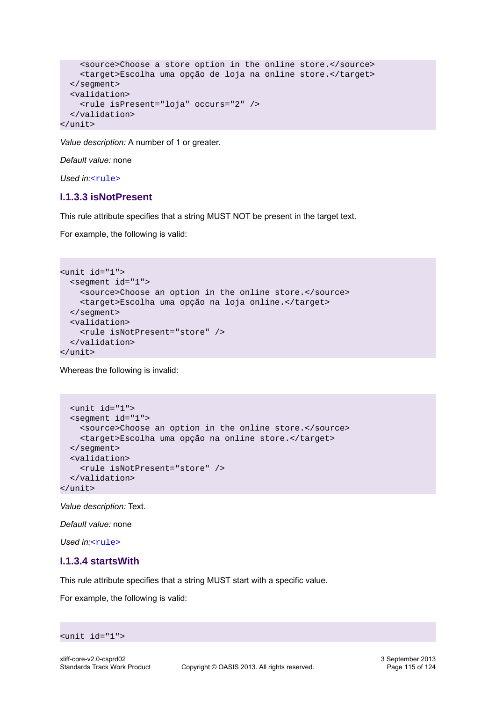```
 <source>Choose a store option in the online store.</source>
     <target>Escolha uma opção de loja na online store.</target>
  </segment>
  <validation>
     <rule isPresent="loja" occurs="2" />
  </validation>
</unit>
```
*Value description:* A number of 1 or greater.

*Default value:* none

*Used in:*[<rule>](#page-111-1)

#### <span id="page-114-0"></span>**I.1.3.3 isNotPresent**

This rule attribute specifies that a string MUST NOT be present in the target text.

For example, the following is valid:

```
<unit id="1">
  <segment id="1">
    <source>Choose an option in the online store.</source>
    <target>Escolha uma opção na loja online.</target>
  </segment>
   <validation>
     <rule isNotPresent="store" />
  </validation>
</unit>
```
Whereas the following is invalid:

```
 <unit id="1">
  <segment id="1">
    <source>Choose an option in the online store.</source>
     <target>Escolha uma opção na online store.</target>
  </segment>
   <validation>
     <rule isNotPresent="store" />
  </validation>
</unit>
```
*Value description:* Text.

*Default value:* none

*Used in:*[<rule>](#page-111-1)

#### <span id="page-114-1"></span>**I.1.3.4 startsWith**

This rule attribute specifies that a string MUST start with a specific value.

For example, the following is valid:

```
<unit id="1">
```
3 September 2013 Page 115 of 124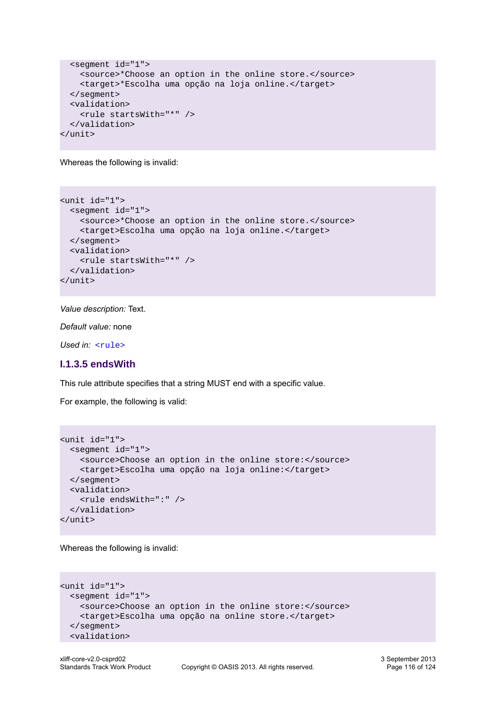```
 <segment id="1">
     <source>*Choose an option in the online store.</source>
     <target>*Escolha uma opção na loja online.</target>
  </segment>
  <validation>
    <rule startsWith="*" />
   </validation>
</unit>
```
Whereas the following is invalid:

```
<unit id="1">
  <segment id="1">
     <source>*Choose an option in the online store.</source>
     <target>Escolha uma opção na loja online.</target>
  </segment>
  <validation>
     <rule startsWith="*" />
  </validation>
</unit>
```
*Value description:* Text.

*Default value:* none

*Used in:* [<rule>](#page-111-1)

#### <span id="page-115-0"></span>**I.1.3.5 endsWith**

This rule attribute specifies that a string MUST end with a specific value.

For example, the following is valid:

```
<unit id="1">
  <segment id="1">
    <source>Choose an option in the online store:</source>
    <target>Escolha uma opção na loja online:</target>
  </segment>
  <validation>
     <rule endsWith=":" />
  </validation>
</unit>
```
Whereas the following is invalid:

```
<unit id="1">
  <segment id="1">
    <source>Choose an option in the online store:</source>
     <target>Escolha uma opção na online store.</target>
  </segment>
   <validation>
```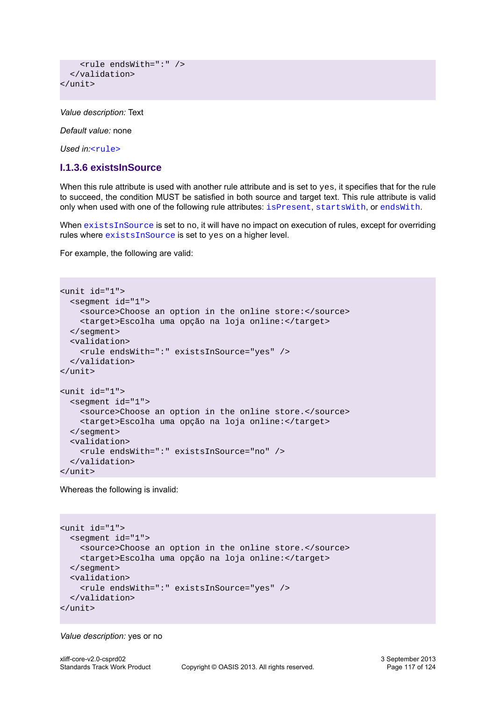```
 <rule endsWith=":" />
   </validation>
</unit>
```
*Value description:* Text

*Default value:* none

<span id="page-116-0"></span>*Used in:*[<rule>](#page-111-1)

#### **I.1.3.6 existsInSource**

When this rule attribute is used with another rule attribute and is set to yes, it specifies that for the rule to succeed, the condition MUST be satisfied in both source and target text. This rule attribute is valid only when used with one of the following rule attributes: [isPresent](#page-112-0), [startsWith](#page-114-1), or [endsWith](#page-115-0).

When [existsInSource](#page-116-0) is set to no, it will have no impact on execution of rules, except for overriding rules where [existsInSource](#page-116-0) is set to yes on a higher level.

For example, the following are valid:

```
<unit id="1">
  <segment id="1">
     <source>Choose an option in the online store:</source>
     <target>Escolha uma opção na loja online:</target>
  </segment>
   <validation>
     <rule endsWith=":" existsInSource="yes" />
  </validation>
</unit>
<unit id="1">
   <segment id="1">
     <source>Choose an option in the online store.</source>
     <target>Escolha uma opção na loja online:</target>
  </segment>
  <validation>
     <rule endsWith=":" existsInSource="no" />
   </validation>
</unit>
```
Whereas the following is invalid:

```
<unit id="1">
   <segment id="1">
     <source>Choose an option in the online store.</source>
     <target>Escolha uma opção na loja online:</target>
  </segment>
   <validation>
     <rule endsWith=":" existsInSource="yes" />
  </validation>
</unit>
```
#### *Value description:* yes or no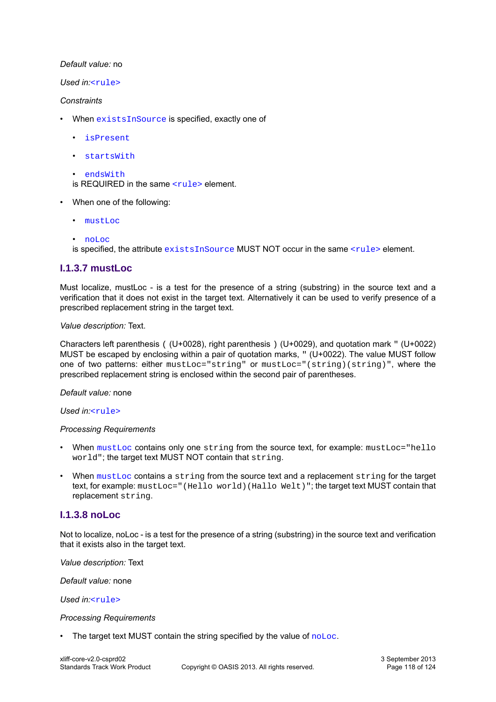#### *Default value:* no

#### *Used in:*[<rule>](#page-111-1)

#### *Constraints*

- When [existsInSource](#page-116-0) is specified, exactly one of
	- [isPresent](#page-112-0)
	- [startsWith](#page-114-1)

```
• endsWith
is REQUIRED in the same \langle \text{rule} \rangle element.
```
- When one of the following:
	- [mustLoc](#page-117-0)
	- [noLoc](#page-117-1)

is specified, the attribute [existsInSource](#page-116-0) MUST NOT occur in the same [<rule>](#page-111-1) element.

### <span id="page-117-0"></span>**I.1.3.7 mustLoc**

Must localize, mustLoc - is a test for the presence of a string (substring) in the source text and a verification that it does not exist in the target text. Alternatively it can be used to verify presence of a prescribed replacement string in the target text.

#### *Value description:* Text.

Characters left parenthesis ( (U+0028), right parenthesis ) (U+0029), and quotation mark " (U+0022) MUST be escaped by enclosing within a pair of quotation marks, " (U+0022). The value MUST follow one of two patterns: either mustLoc="string" or mustLoc="(string)(string)", where the prescribed replacement string is enclosed within the second pair of parentheses.

#### *Default value:* none

*Used in:*[<rule>](#page-111-1)

#### *Processing Requirements*

- When [mustLoc](#page-117-0) contains only one string from the source text, for example: mustLoc="hello world"; the target text MUST NOT contain that string.
- When  $mustLoc$  contains a string from the source text and a replacement string for the target text, for example: mustLoc="(Hello world)(Hallo Welt)"; the target text MUST contain that replacement string.

#### <span id="page-117-1"></span>**I.1.3.8 noLoc**

Not to localize, noLoc - is a test for the presence of a string (substring) in the source text and verification that it exists also in the target text.

*Value description:* Text

*Default value:* none

*Used in:*[<rule>](#page-111-1)

#### *Processing Requirements*

The target text MUST contain the string specified by the value of [noLoc](#page-117-1).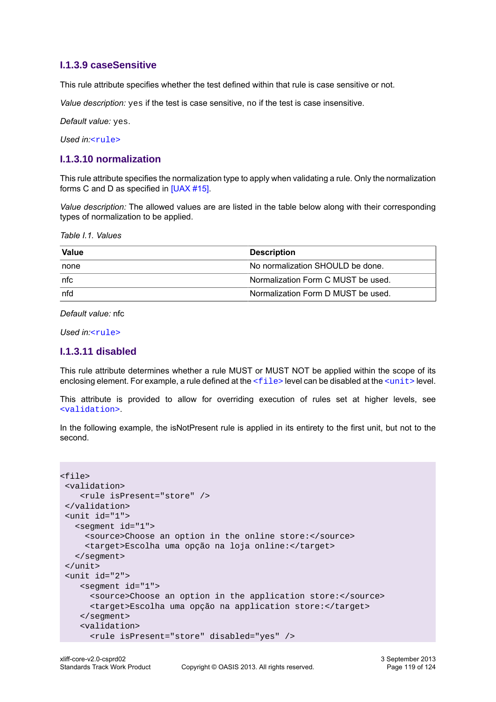#### <span id="page-118-0"></span>**I.1.3.9 caseSensitive**

This rule attribute specifies whether the test defined within that rule is case sensitive or not.

*Value description:* yes if the test is case sensitive, no if the test is case insensitive.

*Default value:* yes.

*Used in:*[<rule>](#page-111-1)

#### <span id="page-118-1"></span>**I.1.3.10 normalization**

This rule attribute specifies the normalization type to apply when validating a rule. Only the normalization forms C and D as specified in [\[UAX #15\].](#page-9-1)

*Value description:* The allowed values are are listed in the table below along with their corresponding types of normalization to be applied.

*Table I.1. Values*

| <b>Value</b>   | Description                        |
|----------------|------------------------------------|
| ⊺none          | No normalization SHOULD be done.   |
| $ n$ f $\rm c$ | Normalization Form C MUST be used. |
| nfd            | Normalization Form D MUST be used. |

*Default value:* nfc

<span id="page-118-2"></span>*Used in:*[<rule>](#page-111-1)

#### **I.1.3.11 disabled**

This rule attribute determines whether a rule MUST or MUST NOT be applied within the scope of its enclosing element. For example, a rule defined at the  $\leq$  file  $>$  level can be disabled at the  $\leq$ unit  $>$  level.

This attribute is provided to allow for overriding execution of rules set at higher levels, see [<validation>](#page-111-0).

In the following example, the isNotPresent rule is applied in its entirety to the first unit, but not to the second.

```
<file>
  <validation>
     <rule isPresent="store" />
 </validation>
  <unit id="1">
    <segment id="1">
      <source>Choose an option in the online store:</source>
      <target>Escolha uma opção na loja online:</target>
    </segment>
  </unit>
  <unit id="2">
     <segment id="1">
       <source>Choose an option in the application store:</source>
       <target>Escolha uma opção na application store:</target>
     </segment>
     <validation>
       <rule isPresent="store" disabled="yes" />
```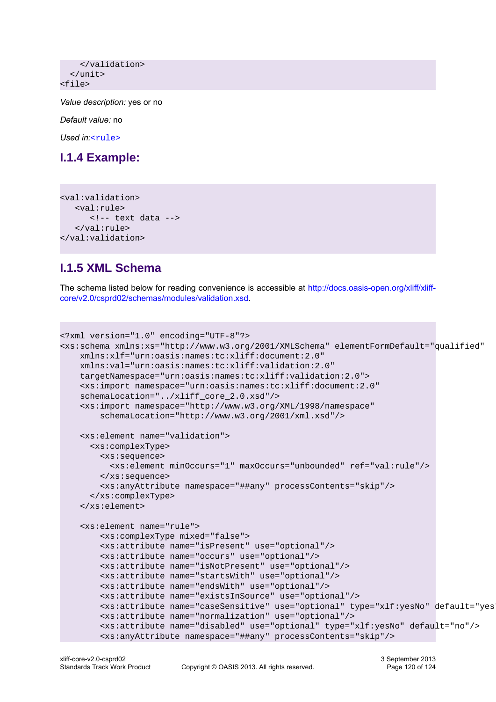```
 </validation>
   </unit>
<file>
```
*Value description:* yes or no

*Default value:* no

*Used in:*[<rule>](#page-111-1)

## **I.1.4 Example:**

```
<val:validation>
     <val:rule>
         \left\langle -\right\rangle text data \left\langle -\right\rangle </val:rule>
</val:validation>
```
## **I.1.5 XML Schema**

The schema listed below for reading convenience is accessible at [http://docs.oasis-open.org/xliff/xliff](http://docs.oasis-open.org/xliff/xliff-core/v2.0/csprd02/schemas/modules/validation.xsd)[core/v2.0/csprd02/schemas/modules/validation.xsd](http://docs.oasis-open.org/xliff/xliff-core/v2.0/csprd02/schemas/modules/validation.xsd).

```
<?xml version="1.0" encoding="UTF-8"?>
<xs:schema xmlns:xs="http://www.w3.org/2001/XMLSchema" elementFormDefault="qualified"
     xmlns:xlf="urn:oasis:names:tc:xliff:document:2.0"
     xmlns:val="urn:oasis:names:tc:xliff:validation:2.0"
     targetNamespace="urn:oasis:names:tc:xliff:validation:2.0">
     <xs:import namespace="urn:oasis:names:tc:xliff:document:2.0"
     schemaLocation="../xliff_core_2.0.xsd"/>
     <xs:import namespace="http://www.w3.org/XML/1998/namespace"
         schemaLocation="http://www.w3.org/2001/xml.xsd"/>
     <xs:element name="validation">
       <xs:complexType>
         <xs:sequence>
           <xs:element minOccurs="1" maxOccurs="unbounded" ref="val:rule"/>
         </xs:sequence>
         <xs:anyAttribute namespace="##any" processContents="skip"/>
       </xs:complexType>
     </xs:element>
     <xs:element name="rule">
         <xs:complexType mixed="false">
         <xs:attribute name="isPresent" use="optional"/>
         <xs:attribute name="occurs" use="optional"/>
         <xs:attribute name="isNotPresent" use="optional"/>
         <xs:attribute name="startsWith" use="optional"/>
         <xs:attribute name="endsWith" use="optional"/>
         <xs:attribute name="existsInSource" use="optional"/>
         <xs:attribute name="caseSensitive" use="optional" type="xlf:yesNo" default="yes"/>
         <xs:attribute name="normalization" use="optional"/>
         <xs:attribute name="disabled" use="optional" type="xlf:yesNo" default="no"/> 
         <xs:anyAttribute namespace="##any" processContents="skip"/>
```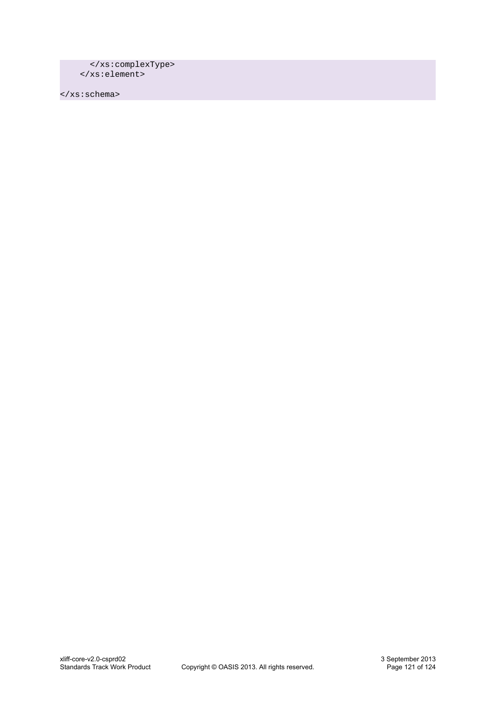```
 </xs:complexType>
 </xs:element>
```
</xs:schema>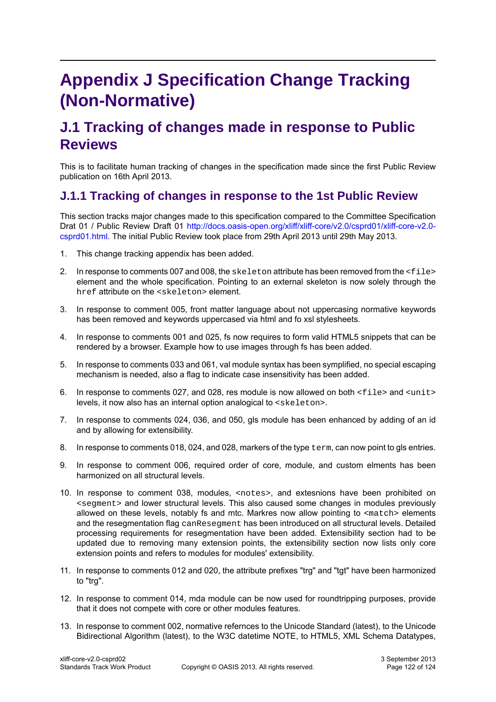## **Appendix J Specification Change Tracking (Non-Normative)**

## **J.1 Tracking of changes made in response to Public Reviews**

This is to facilitate human tracking of changes in the specification made since the first Public Review publication on 16th April 2013.

## **J.1.1 Tracking of changes in response to the 1st Public Review**

This section tracks major changes made to this specification compared to the Committee Specification Drat 01 / Public Review Draft 01 [http://docs.oasis-open.org/xliff/xliff-core/v2.0/csprd01/xliff-core-v2.0](http://docs.oasis-open.org/xliff/xliff-core/v2.0/csprd01/xliff-core-v2.0-csprd01.html) [csprd01.html](http://docs.oasis-open.org/xliff/xliff-core/v2.0/csprd01/xliff-core-v2.0-csprd01.html). The initial Public Review took place from 29th April 2013 until 29th May 2013.

- 1. This change tracking appendix has been added.
- 2. In response to comments 007 and 008, the skeleton attribute has been removed from the <file> element and the whole specification. Pointing to an external skeleton is now solely through the href attribute on the <skeleton> element.
- 3. In response to comment 005, front matter language about not uppercasing normative keywords has been removed and keywords uppercased via html and fo xsl stylesheets.
- 4. In response to comments 001 and 025, fs now requires to form valid HTML5 snippets that can be rendered by a browser. Example how to use images through fs has been added.
- 5. In response to comments 033 and 061, val module syntax has been symplified, no special escaping mechanism is needed, also a flag to indicate case insensitivity has been added.
- 6. In response to comments 027, and 028, res module is now allowed on both  $\leq$  file > and  $\leq$ unit > levels, it now also has an internal option analogical to <skeleton>.
- 7. In response to comments 024, 036, and 050, gls module has been enhanced by adding of an id and by allowing for extensibility.
- 8. In response to comments 018, 024, and 028, markers of the type  $term$ , can now point to gls entries.
- 9. In response to comment 006, required order of core, module, and custom elments has been harmonized on all structural levels.
- 10. In response to comment 038, modules, <notes>, and extesnions have been prohibited on <segment> and lower structural levels. This also caused some changes in modules previously allowed on these levels, notably fs and mtc. Markres now allow pointing to <match> elements and the resegmentation flag canResegment has been introduced on all structural levels. Detailed processing requirements for resegmentation have been added. Extensibility section had to be updated due to removing many extension points, the extensibility section now lists only core extension points and refers to modules for modules' extensibility.
- 11. In response to comments 012 and 020, the attribute prefixes "trg" and "tgt" have been harmonized to "trg".
- 12. In response to comment 014, mda module can be now used for roundtripping purposes, provide that it does not compete with core or other modules features.
- 13. In response to comment 002, normative refernces to the Unicode Standard (latest), to the Unicode Bidirectional Algorithm (latest), to the W3C datetime NOTE, to HTML5, XML Schema Datatypes,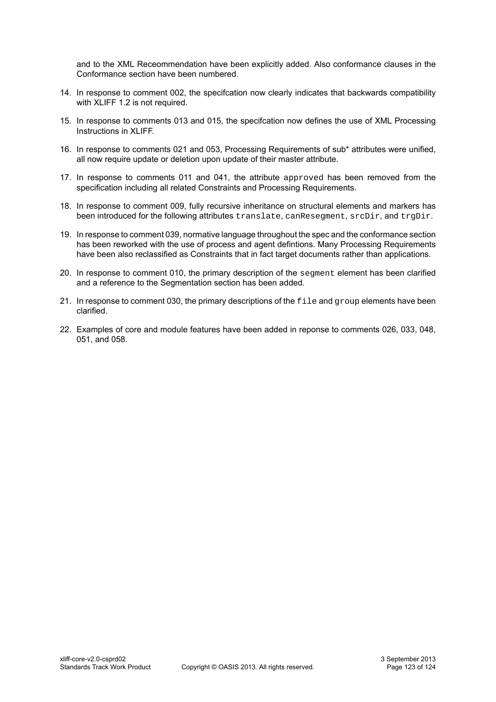and to the XML Receommendation have been explicitly added. Also conformance clauses in the Conformance section have been numbered.

- 14. In response to comment 002, the specifcation now clearly indicates that backwards compatibility with XLIFF 1.2 is not required.
- 15. In response to comments 013 and 015, the specifcation now defines the use of XML Processing Instructions in XLIFF.
- 16. In response to comments 021 and 053, Processing Requirements of sub\* attributes were unified, all now require update or deletion upon update of their master attribute.
- 17. In response to comments 011 and 041, the attribute approved has been removed from the specification including all related Constraints and Processing Requirements.
- 18. In response to comment 009, fully recursive inheritance on structural elements and markers has been introduced for the following attributes translate, canResegment, srcDir, and trgDir.
- 19. In response to comment 039, normative language throughout the spec and the conformance section has been reworked with the use of process and agent defintions. Many Processing Requirements have been also reclassified as Constraints that in fact target documents rather than applications.
- 20. In response to comment 010, the primary description of the segment element has been clarified and a reference to the Segmentation section has been added.
- 21. In response to comment 030, the primary descriptions of the  $file$  and  $group$  elements have been clarified.
- 22. Examples of core and module features have been added in reponse to comments 026, 033, 048, 051, and 058.